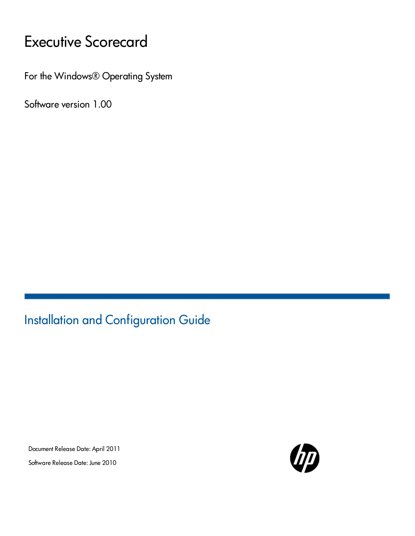# Executive Scorecard

For the Windows® Operating System

Software version 1.00

Installation and Configuration Guide

Document Release Date: April 2011 Software Release Date: June 2010

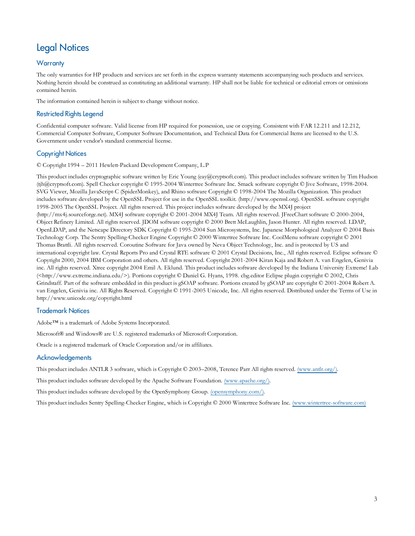### Legal Notices

#### **Warranty**

The only warranties for HP products and services are set forth in the express warranty statements accompanying such products and services. Nothing herein should be construed as constituting an additional warranty. HP shall not be liable for technical or editorial errors or omissions contained herein.

The information contained herein is subject to change without notice.

#### Restricted Rights Legend

Confidential computer software. Valid license from HP required for possession, use or copying. Consistent with FAR 12.211 and 12.212, Commercial Computer Software, Computer Software Documentation, and Technical Data for Commercial Items are licensed to the U.S. Government under vendor's standard commercial license.

#### Copyright Notices

© Copyright 1994 – 2011 Hewlett-Packard Development Company, L.P

This product includes cryptographic software written by Eric Young (eay@cryptsoft.com). This product includes software written by Tim Hudson (tjh@cryptsoft.com). Spell Checker copyright © 1995-2004 Wintertree Software Inc. Smack software copyright © Jive Software, 1998-2004. SVG Viewer, Mozilla JavaScript-C (SpiderMonkey), and Rhino software Copyright © 1998-2004 The Mozilla Organization. This product includes software developed by the OpenSSL Project for use in the OpenSSL toolkit. (http://www.openssl.org). OpenSSL software copyright 1998-2005 The OpenSSL Project. All rights reserved. This project includes software developed by the MX4J project (http://mx4j.sourceforge.net). MX4J software copyright © 2001-2004 MX4J Team. All rights reserved. JFreeChart software © 2000-2004, Object Refinery Limited. All rights reserved. JDOM software copyright © 2000 Brett McLaughlin, Jason Hunter. All rights reserved. LDAP, OpenLDAP, and the Netscape Directory SDK Copyright © 1995-2004 Sun Microsystems, Inc. Japanese Morphological Analyzer © 2004 Basis Technology Corp. The Sentry Spelling-Checker Engine Copyright © 2000 Wintertree Software Inc. CoolMenu software copyright © 2001 Thomas Brattli. All rights reserved. Coroutine Software for Java owned by Neva Object Technology, Inc. and is protected by US and international copyright law. Crystal Reports Pro and Crystal RTE software © 2001 Crystal Decisions, Inc., All rights reserved. Eclipse software © Copyright 2000, 2004 IBM Corporation and others. All rights reserved. Copyright 2001-2004 Kiran Kaja and Robert A. van Engelen, Genivia inc. All rights reserved. Xtree copyright 2004 Emil A. Eklund. This product includes software developed by the Indiana University Extreme! Lab (<http://www.extreme.indiana.edu/>). Portions copyright © Daniel G. Hyans, 1998. cbg.editor Eclipse plugin copyright © 2002, Chris Grindstaff. Part of the software embedded in this product is gSOAP software. Portions created by gSOAP are copyright © 2001-2004 Robert A. van Engelen, Genivia inc. All Rights Reserved. Copyright © 1991-2005 Unicode, Inc. All rights reserved. Distributed under the Terms of Use in http://www.unicode.org/copyright.html

#### Trademark Notices

Adobe™ is a trademark of Adobe Systems Incorporated.

Microsoft® and Windows® are U.S. registered trademarks of Microsoft Corporation.

Oracle is a registered trademark of Oracle Corporation and/or its affiliates.

#### **Acknowledgements**

This product includes ANTLR 3 software, which is Copyright © 2003–2008, Terence Parr All rights reserved. [\(www.antlr.org/\)](http://www.antlr.org/).

This product includes software developed by the Apache Software Foundation. [\(www.apache.org/\).](http://www.apache.org/)

This product includes software developed by the OpenSymphony Group. [\(opensymphony.com/\)](http://www.opensymphony.com/).

This product includes Sentry Spelling-Checker Engine, which is Copyright © 2000 Wintertree Software Inc. [\(www.wintertree-software.com\)](http://www.wintertree-software.com/dev/ssce/java/)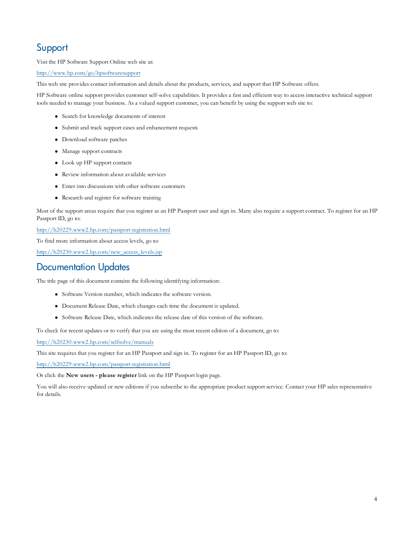### Support

Visit the HP Software Support Online web site at:

<http://www.hp.com/go/hpsoftwaresupport>

This web site provides contact information and details about the products, services, and support that HP Software offers.

HP Software online support provides customer self-solve capabilities. It provides a fast and efficient way to access interactive technical support tools needed to manage your business. As a valued support customer, you can benefit by using the support web site to:

- Search for knowledge documents of interest
- Submit and track support cases and enhancement requests
- Download software patches
- Manage support contracts
- $\bullet$  Look up HP support contacts
- Review information about available services
- Enter into discussions with other software customers
- Research and register for software training

Most of the support areas require that you register as an HP Passport user and sign in. Many also require a support contract. To register for an HP Passport ID, go to:

<http://h20229.www2.hp.com/passport-registration.html>

To find more information about access levels, go to:

[http://h20230.www2.hp.com/new\\_access\\_levels.jsp](http://h20230.www2.hp.com/new_access_levels.jsp)

### Documentation Updates

The title page of this document contains the following identifying information:

- Software Version number, which indicates the software version.
- Document Release Date, which changes each time the document is updated.
- Software Release Date, which indicates the release date of this version of the software.

To check for recent updates or to verify that you are using the most recent edition of a document, go to:

[http://h20230.www2.hp.com/selfsolve/manuals](http://h20230.www2.hp.com/selfsolve/manuals.html)

This site requires that you register for an HP Passport and sign in. To register for an HP Passport ID, go to:

<http://h20229.www2.hp.com/passport-registration.html>

Or click the **New users - please register** link on the HP Passport login page.

You will also receive updated or new editions if you subscribe to the appropriate product support service. Contact your HP sales representative for details.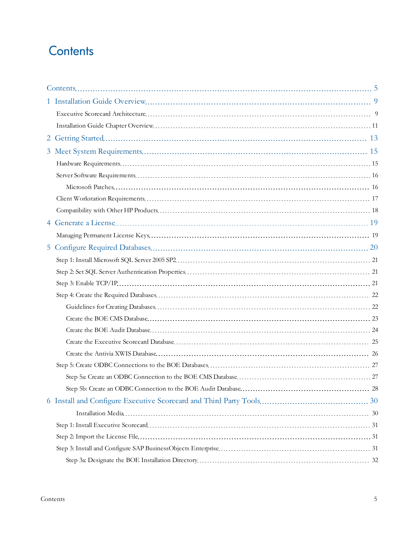## <span id="page-4-0"></span>**Contents**

| 5 <sup>5</sup> |  |
|----------------|--|
|                |  |
|                |  |
|                |  |
|                |  |
|                |  |
|                |  |
|                |  |
|                |  |
|                |  |
|                |  |
|                |  |
|                |  |
|                |  |
|                |  |
|                |  |
|                |  |
|                |  |
|                |  |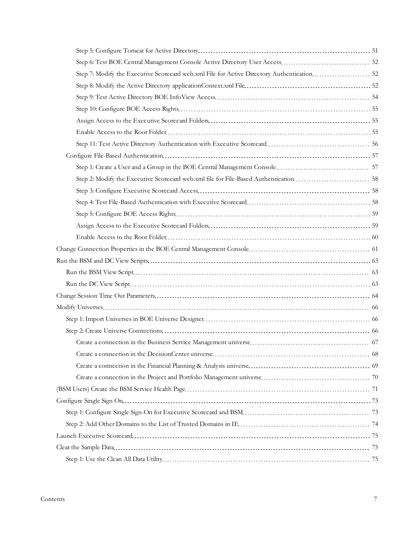| Step 7: Modify the Executive Scorecard web.xml File for Active Directory Authentication 52 |  |
|--------------------------------------------------------------------------------------------|--|
|                                                                                            |  |
|                                                                                            |  |
|                                                                                            |  |
|                                                                                            |  |
|                                                                                            |  |
|                                                                                            |  |
|                                                                                            |  |
|                                                                                            |  |
|                                                                                            |  |
|                                                                                            |  |
|                                                                                            |  |
|                                                                                            |  |
|                                                                                            |  |
|                                                                                            |  |
|                                                                                            |  |
|                                                                                            |  |
|                                                                                            |  |
|                                                                                            |  |
|                                                                                            |  |
|                                                                                            |  |
|                                                                                            |  |
|                                                                                            |  |
|                                                                                            |  |
|                                                                                            |  |
|                                                                                            |  |
|                                                                                            |  |
|                                                                                            |  |
|                                                                                            |  |
|                                                                                            |  |
|                                                                                            |  |
|                                                                                            |  |
|                                                                                            |  |
|                                                                                            |  |
|                                                                                            |  |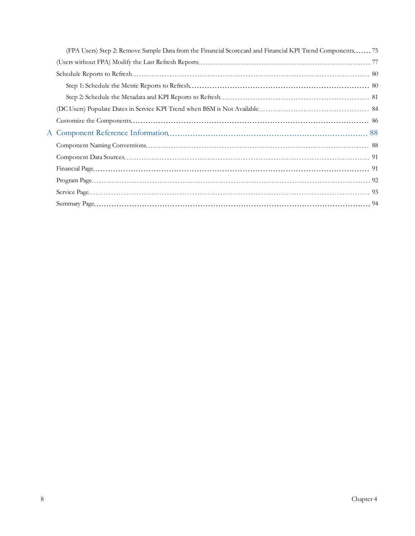| (FPA Users) Step 2: Remove Sample Data from the Financial Scorecard and Financial KPI Trend Components 75 |  |
|-----------------------------------------------------------------------------------------------------------|--|
|                                                                                                           |  |
|                                                                                                           |  |
|                                                                                                           |  |
|                                                                                                           |  |
|                                                                                                           |  |
|                                                                                                           |  |
|                                                                                                           |  |
|                                                                                                           |  |
|                                                                                                           |  |
|                                                                                                           |  |
|                                                                                                           |  |
|                                                                                                           |  |
|                                                                                                           |  |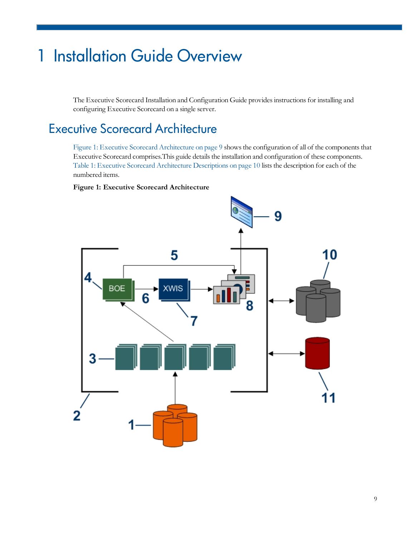# <span id="page-8-0"></span>1 Installation Guide Overview

The Executive Scorecard Installation and Configuration Guide provides instructions for installing and configuring Executive Scorecard on a single server.

## <span id="page-8-1"></span>Executive Scorecard Architecture

[Figure](#page-8-2) [1:](#page-8-2) [Executive](#page-8-2) [Scorecard](#page-8-2) [Architecture](#page-8-2) [on](#page-8-2) [page](#page-8-2) [9](#page-8-2) shows the configuration of all of the components that Executive Scorecard comprises.This guide detailsthe installation and configuration of these components. [Table](#page-9-0) [1:](#page-9-0) [Executive](#page-9-0) [Scorecard](#page-9-0) [Architecture](#page-9-0) [Descriptions](#page-9-0) [on](#page-9-0) [page](#page-9-0) [10](#page-9-0) lists the description for each of the numbered items.

#### <span id="page-8-2"></span>**Figure 1: Executive Scorecard Architecture**

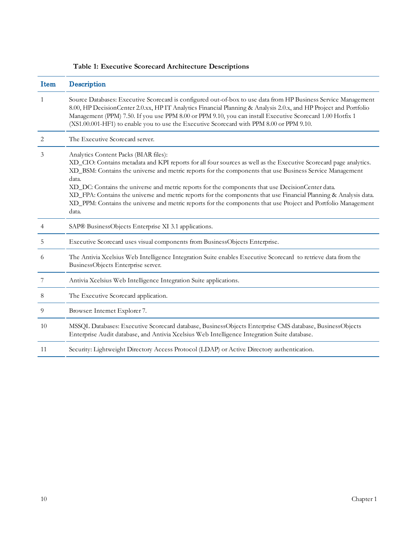| Item | Description                                                                                                                                                                                                                                                                                                                                                                                                                                                                                                                                                                                                                       |  |
|------|-----------------------------------------------------------------------------------------------------------------------------------------------------------------------------------------------------------------------------------------------------------------------------------------------------------------------------------------------------------------------------------------------------------------------------------------------------------------------------------------------------------------------------------------------------------------------------------------------------------------------------------|--|
| 1    | Source Databases: Executive Scorecard is configured out-of-box to use data from HP Business Service Management<br>8.00, HP DecisionCenter 2.0.xx, HP IT Analytics Financial Planning & Analysis 2.0.x, and HP Project and Portfolio<br>Management (PPM) 7.50. If you use PPM 8.00 or PPM 9.10, you can install Executive Scorecard 1.00 Hotfix 1<br>(XS1.00.001-HF1) to enable you to use the Executive Scorecard with PPM 8.00 or PPM 9.10.                                                                                                                                                                                      |  |
| 2    | The Executive Scorecard server.                                                                                                                                                                                                                                                                                                                                                                                                                                                                                                                                                                                                   |  |
| 3    | Analytics Content Packs (BIAR files):<br>XD_CIO: Contains metadata and KPI reports for all four sources as well as the Executive Scorecard page analytics.<br>XD_BSM: Contains the universe and metric reports for the components that use Business Service Management<br>data.<br>XD_DC: Contains the universe and metric reports for the components that use DecisionCenter data.<br>XD_FPA: Contains the universe and metric reports for the components that use Financial Planning & Analysis data.<br>XD_PPM: Contains the universe and metric reports for the components that use Project and Portfolio Management<br>data. |  |
| 4    | SAP® BusinessObjects Enterprise XI 3.1 applications.                                                                                                                                                                                                                                                                                                                                                                                                                                                                                                                                                                              |  |
| 5    | Executive Scorecard uses visual components from BusinessObjects Enterprise.                                                                                                                                                                                                                                                                                                                                                                                                                                                                                                                                                       |  |
| 6    | The Antivia Xcelsius Web Intelligence Integration Suite enables Executive Scorecard to retrieve data from the<br>BusinessObjects Enterprise server.                                                                                                                                                                                                                                                                                                                                                                                                                                                                               |  |
| 7    | Antivia Xcelsius Web Intelligence Integration Suite applications.                                                                                                                                                                                                                                                                                                                                                                                                                                                                                                                                                                 |  |
| 8    | The Executive Scorecard application.                                                                                                                                                                                                                                                                                                                                                                                                                                                                                                                                                                                              |  |
| 9    | Browser: Internet Explorer 7.                                                                                                                                                                                                                                                                                                                                                                                                                                                                                                                                                                                                     |  |
| 10   | MSSQL Databases: Executive Scorecard database, BusinessObjects Enterprise CMS database, BusinessObjects<br>Enterprise Audit database, and Antivia Xcelsius Web Intelligence Integration Suite database.                                                                                                                                                                                                                                                                                                                                                                                                                           |  |
| 11   | Security: Lightweight Directory Access Protocol (LDAP) or Active Directory authentication.                                                                                                                                                                                                                                                                                                                                                                                                                                                                                                                                        |  |

#### <span id="page-9-0"></span>**Table 1: Executive Scorecard Architecture Descriptions**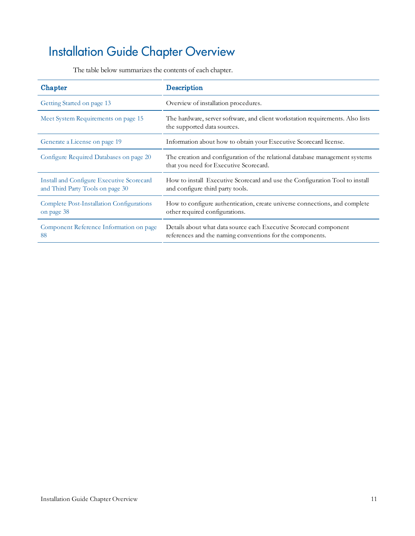# <span id="page-10-0"></span>Installation Guide Chapter Overview

|  | The table below summarizes the contents of each chapter. |
|--|----------------------------------------------------------|
|--|----------------------------------------------------------|

| Chapter                                                                       | <b>Description</b>                                                                                                             |
|-------------------------------------------------------------------------------|--------------------------------------------------------------------------------------------------------------------------------|
| Getting Started on page 13                                                    | Overview of installation procedures.                                                                                           |
| Meet System Requirements on page 15                                           | The hardware, server software, and client workstation requirements. Also lists<br>the supported data sources.                  |
| Generate a License on page 19                                                 | Information about how to obtain your Executive Scorecard license.                                                              |
| Configure Required Databases on page 20                                       | The creation and configuration of the relational database management systems<br>that you need for Executive Scorecard.         |
| Install and Configure Executive Scorecard<br>and Third Party Tools on page 30 | How to install Executive Scorecard and use the Configuration Tool to install<br>and configure third party tools.               |
| Complete Post-Installation Configurations<br>on page 38                       | How to configure authentication, create universe connections, and complete<br>other required configurations.                   |
| Component Reference Information on page<br>88                                 | Details about what data source each Executive Scorecard component<br>references and the naming conventions for the components. |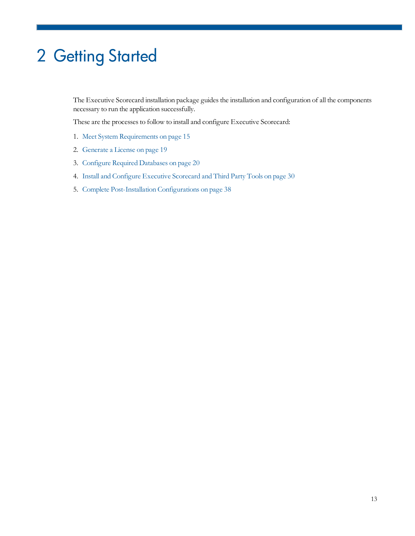# <span id="page-12-0"></span>2 Getting Started

The Executive Scorecard installation package guides the installation and configuration of all the components necessary to run the application successfully.

These are the processes to follow to install and configure Executive Scorecard:

- 1. [Meet](#page-14-0) [System](#page-14-0) [Requirements](#page-14-0) [on](#page-14-0) [page](#page-14-0) [15](#page-14-0)
- 2. [Generate](#page-18-0) [a](#page-18-0) [License](#page-18-0) [on](#page-18-0) [page](#page-18-0) [19](#page-18-0)
- 3. [Configure](#page-19-0) [Required](#page-19-0) [Databases](#page-19-0) [on](#page-19-0) [page](#page-19-0) [20](#page-19-0)
- 4. [Install](#page-29-0) [and](#page-29-0) [Configure](#page-29-0) [Executive](#page-29-0) [Scorecard](#page-29-0) [and](#page-29-0) [Third](#page-29-0) [Party](#page-29-0) [Tools](#page-29-0) [on](#page-29-0) [page](#page-29-0) [30](#page-29-0)
- 5. [Complete](#page-37-0) [Post-Installation](#page-37-0) [Configurations](#page-37-0) [on](#page-37-0) [page](#page-37-0) [38](#page-37-0)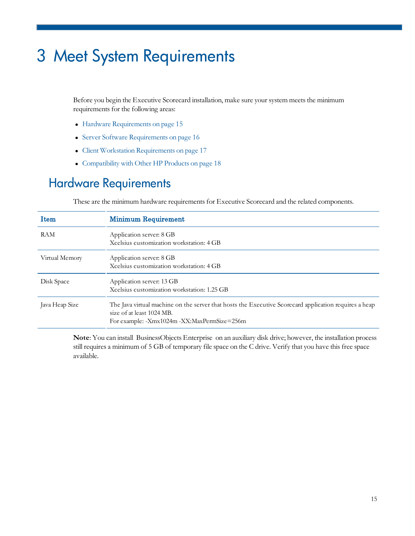# <span id="page-14-0"></span>3 Meet System Requirements

Before you begin the Executive Scorecard installation, make sure your system meets the minimum requirements for the following areas:

- [Hardware](#page-14-1) [Requirements](#page-14-1) [on](#page-14-1) [page](#page-14-1) [15](#page-14-1)
- [Server](#page-15-0) [Software](#page-15-0) [Requirements](#page-15-0) [on](#page-15-0) [page](#page-15-0) [16](#page-15-0)
- [Client](#page-16-0) [Workstation](#page-16-0) [Requirements](#page-16-0) [on](#page-16-0) [page](#page-16-0) [17](#page-16-0)
- [Compatibility](#page-17-0) [with](#page-17-0) [Other](#page-17-0) [HP](#page-17-0) [Products](#page-17-0) [on](#page-17-0) [page](#page-17-0) [18](#page-17-0)

## <span id="page-14-1"></span>Hardware Requirements

These are the minimum hardware requirements for Executive Scorecard and the related components.

| Item           | <b>Minimum Requirement</b>                                                                                                                                                        |
|----------------|-----------------------------------------------------------------------------------------------------------------------------------------------------------------------------------|
| <b>RAM</b>     | Application server: 8 GB<br>Xcelsius customization workstation: 4 GB                                                                                                              |
| Virtual Memory | Application server: 8 GB<br>Xcelsius customization workstation: 4 GB                                                                                                              |
| Disk Space     | Application server: 13 GB<br>Xcelsius customization workstation: 1.25 GB                                                                                                          |
| Java Heap Size | The Java virtual machine on the server that hosts the Executive Scorecard application requires a heap<br>size of at least 1024 MB.<br>For example: -Xmx1024m -XX:MaxPermSize=256m |

**Note**: You can install BusinessObjects Enterprise on an auxiliary disk drive; however, the installation process still requires a minimum of 5 GB of temporary file space on the C drive. Verify that you have this free space available.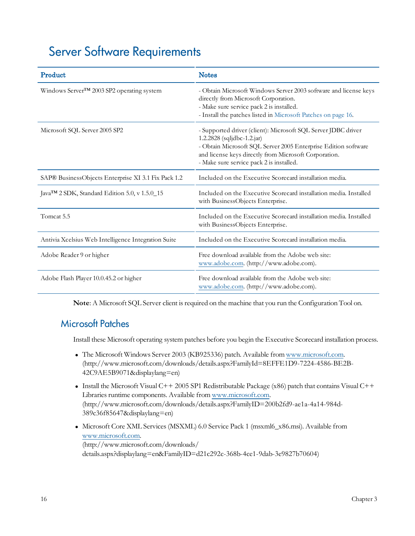## <span id="page-15-0"></span>Server Software Requirements

| Product                                                   | <b>Notes</b>                                                                                                                                                                                                                                                       |
|-----------------------------------------------------------|--------------------------------------------------------------------------------------------------------------------------------------------------------------------------------------------------------------------------------------------------------------------|
| Windows Server™ 2003 SP2 operating system                 | - Obtain Microsoft Windows Server 2003 software and license keys<br>directly from Microsoft Corporation.<br>- Make sure service pack 2 is installed.<br>- Install the patches listed in Microsoft Patches on page 16.                                              |
| Microsoft SQL Server 2005 SP2                             | - Supported driver (client): Microsoft SQL Server JDBC driver<br>1.2.2828 (sqljdbc-1.2.jar)<br>- Obtain Microsoft SQL Server 2005 Enterprise Edition software<br>and license keys directly from Microsoft Corporation.<br>- Make sure service pack 2 is installed. |
| SAP® BusinessObjects Enterprise XI 3.1 Fix Pack 1.2       | Included on the Executive Scorecard installation media.                                                                                                                                                                                                            |
| Java <sup>™</sup> 2 SDK, Standard Edition 5.0, v 1.5.0_15 | Included on the Executive Scorecard installation media. Installed<br>with BusinessObjects Enterprise.                                                                                                                                                              |
| Tomcat 5.5                                                | Included on the Executive Scorecard installation media. Installed<br>with BusinessObjects Enterprise.                                                                                                                                                              |
| Antivia Xcelsius Web Intelligence Integration Suite       | Included on the Executive Scorecard installation media.                                                                                                                                                                                                            |
| Adobe Reader 9 or higher                                  | Free download available from the Adobe web site:<br>www.adobe.com. (http://www.adobe.com).                                                                                                                                                                         |
| Adobe Flash Player 10.0.45.2 or higher                    | Free download available from the Adobe web site:<br>www.adobe.com. (http://www.adobe.com).                                                                                                                                                                         |

<span id="page-15-1"></span>**Note**: A Microsoft SQL Server client is required on the machine that you run the Configuration Tool on.

### Microsoft Patches

Install these Microsoft operating system patches before you begin the Executive Scorecard installation process.

- The Microsoft Windows Server 2003 (KB925336) patch. Available from [www.microsoft.com](http://www.microsoft.com/downloads/details.aspx?FamilyId=8EFFE1D9-7224-4586-BE2B-42C9AE5B9071&displaylang=en). (http://www.microsoft.com/downloads/details.aspx?FamilyId=8EFFE1D9-7224-4586-BE2B-42C9AE5B9071&displaylang=en)
- Install the Microsoft Visual C++ 2005 SP1 Redistributable Package (x86) patch that contains Visual C++ Libraries runtime components. Available from [www.microsoft.com.](http://www.microsoft.com/downloads/details.aspx?FamilyID=200b2fd9-ae1a-4a14-984d-389c36f85647&displaylang=en) (http://www.microsoft.com/downloads/details.aspx?FamilyID=200b2fd9-ae1a-4a14-984d-389c36f85647&displaylang=en)
- Microsoft Core XML Services (MSXML) 6.0 Service Pack 1 (msxml6\_x86.msi). Available from [www.microsoft.com](http://www.microsoft.com/downloads/details.aspx?displaylang=en&FamilyID=d21c292c-368b-4ce1-9dab-3e9827b70604). (http://www.microsoft.com/downloads/ details.aspx?displaylang=en&FamilyID=d21c292c-368b-4ce1-9dab-3e9827b70604)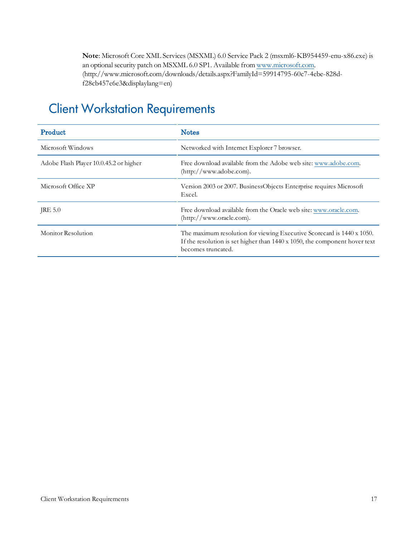**Note**: Microsoft Core XML Services(MSXML) 6.0 Service Pack 2 (msxml6-KB954459-enu-x86.exe) is an optional security patch on MSXML 6.0 SP1. Available from [www.microsoft.com.](http://www.microsoft.com/downloads/details.aspx?FamilyId=59914795-60c7-4ebe-828d-f28cb457e6e3&displaylang=en) (http://www.microsoft.com/downloads/details.aspx?FamilyId=59914795-60c7-4ebe-828df28cb457e6e3&displaylang=en)

# <span id="page-16-0"></span>Client Workstation Requirements

| Product                                | <b>Notes</b>                                                                                                                                                               |
|----------------------------------------|----------------------------------------------------------------------------------------------------------------------------------------------------------------------------|
| Microsoft Windows                      | Networked with Internet Explorer 7 browser.                                                                                                                                |
| Adobe Flash Player 10.0.45.2 or higher | Free download available from the Adobe web site: www.adobe.com.<br>(http://www.adobe.com).                                                                                 |
| Microsoft Office XP                    | Version 2003 or 2007. BusinessObjects Enterprise requires Microsoft<br>Excel.                                                                                              |
| JRE 5.0                                | Free download available from the Oracle web site: www.oracle.com.<br>$(\text{http://www.oracle.com}).$                                                                     |
| Monitor Resolution                     | The maximum resolution for viewing Executive Scorecard is 1440 x 1050.<br>If the resolution is set higher than 1440 x 1050, the component hover text<br>becomes truncated. |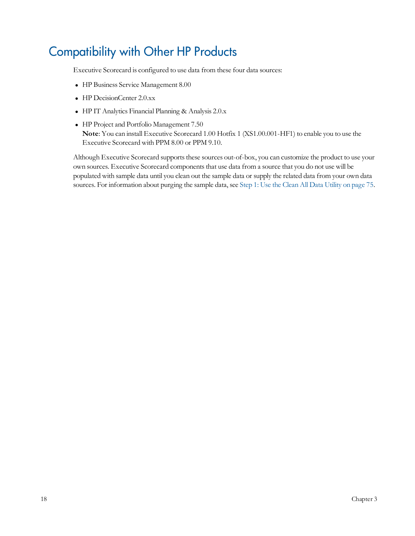# <span id="page-17-0"></span>Compatibility with Other HP Products

Executive Scorecard is configured to use data from these four data sources:

- HP Business Service Management 8.00
- HP DecisionCenter 2.0.xx
- HP IT Analytics Financial Planning & Analysis 2.0.x
- HP Project and Portfolio Management 7.50 **Note**: You can install Executive Scorecard 1.00 Hotfix 1 (XS1.00.001-HF1) to enable you to use the Executive Scorecard with PPM 8.00 or PPM 9.10.

Although Executive Scorecard supports these sources out-of-box, you can customize the product to use your own sources. Executive Scorecard components that use data from a source that you do not use will be populated with sample data until you clean out the sample data or supply the related data from your own data sources. For information about purging the sample data, see [Step](#page-74-2) [1:](#page-74-2) [Use](#page-74-2) [the](#page-74-2) [Clean](#page-74-2) [All](#page-74-2) [Data](#page-74-2) [Utility](#page-74-2) [on](#page-74-2) [page](#page-74-2) [75](#page-74-2).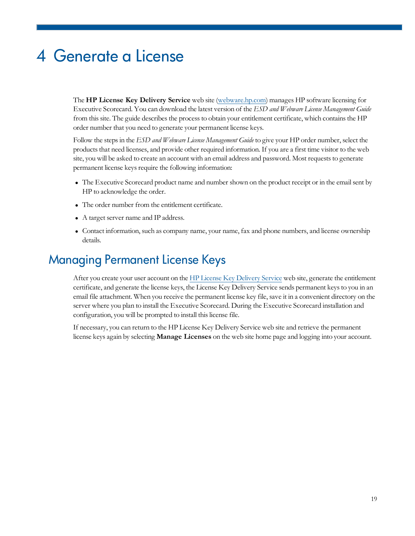# <span id="page-18-0"></span>4 Generate a License

The **HP License Key Delivery Service** web site ([webware.hp.com](http://webware.hp.com/)) manages HP software licensing for Executive Scorecard. You can download the latest version of the *ESD and Webware License Management Guide* from this site. The guide describes the process to obtain your entitlement certificate, which contains the HP order number that you need to generate your permanent license keys.

Follow the stepsin the *ESD and Webware License Management Guide* to give your HP order number, select the products that need licenses, and provide other required information. If you are a first time visitor to the web site, you will be asked to create an account with an email address and password. Most requests to generate permanent license keys require the following information:

- The Executive Scorecard product name and number shown on the product receipt or in the email sent by HP to acknowledge the order.
- The order number from the entitlement certificate.
- A target server name and IP address.
- <sup>l</sup> Contact information, such as company name, your name, fax and phone numbers, and license ownership details.

### <span id="page-18-1"></span>Managing Permanent License Keys

After you create your user account on the [HP](http://webware.hp.com/) [License](http://webware.hp.com/) [Key](http://webware.hp.com/) [Delivery](http://webware.hp.com/) [Service](http://webware.hp.com/) web site, generate the entitlement certificate, and generate the license keys, the License Key Delivery Service sends permanent keysto you in an email file attachment. When you receive the permanent license key file, save it in a convenient directory on the server where you plan to install the Executive Scorecard. During the Executive Scorecard installation and configuration, you will be prompted to install this license file.

If necessary, you can return to the HP License Key Delivery Service web site and retrieve the permanent license keys again by selecting **Manage Licenses** on the web site home page and logging into your account.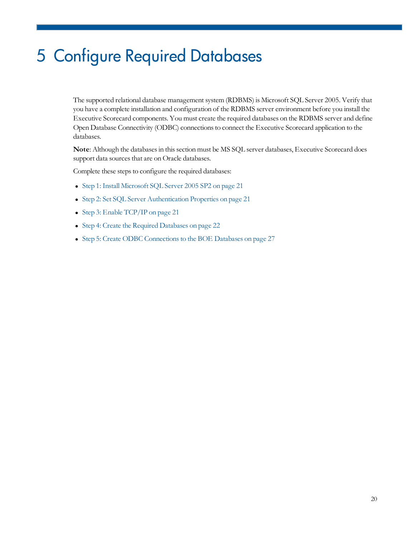# <span id="page-19-0"></span>5 Configure Required Databases

The supported relational database management system (RDBMS) is Microsoft SQL Server 2005. Verify that you have a complete installation and configuration of the RDBMS server environment before you install the Executive Scorecard components. You must create the required databases on the RDBMS server and define Open Database Connectivity (ODBC) connectionsto connect the Executive Scorecard application to the databases.

Note: Although the databases in this section must be MS SQL server databases, Executive Scorecard does support data sources that are on Oracle databases.

Complete these steps to configure the required databases:

- [Step](#page-20-0) [1:](#page-20-0) [Install](#page-20-0) [Microsoft](#page-20-0) [SQL](#page-20-0) [Server](#page-20-0) [2005](#page-20-0) [SP2](#page-20-0) [on](#page-20-0) [page](#page-20-0) [21](#page-20-0)
- [Step](#page-20-1) [2:](#page-20-1) [Set](#page-20-1) [SQL](#page-20-1) [Server](#page-20-1) [Authentication](#page-20-1) [Properties](#page-20-1) [on](#page-20-1) [page](#page-20-1) [21](#page-20-1)
- [Step](#page-20-2) [3:](#page-20-2) [Enable](#page-20-2) [TCP/IP](#page-20-2) [on](#page-20-2) [page](#page-20-2) [21](#page-20-2)
- [Step](#page-21-0) [4:](#page-21-0) [Create](#page-21-0) [the](#page-21-0) [Required](#page-21-0) [Databases](#page-21-0) [on](#page-21-0) [page](#page-21-0) [22](#page-21-0)
- [Step](#page-26-0) [5:](#page-26-0) [Create](#page-26-0) [ODBC](#page-26-0) Connections to [the](#page-26-0) [BOE](#page-26-0) [Databases](#page-26-0) [on](#page-26-0) [page](#page-26-0) [27](#page-26-0)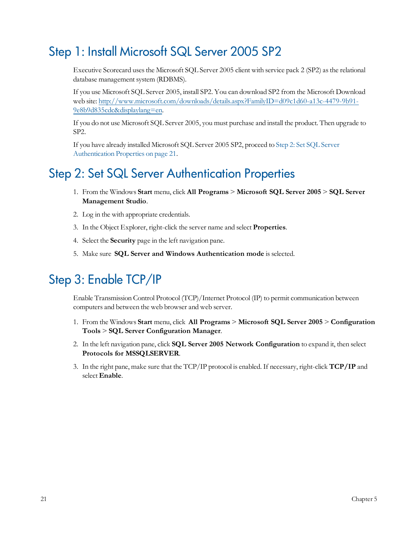## <span id="page-20-0"></span>Step 1: Install Microsoft SQL Server 2005 SP2

Executive Scorecard uses the Microsoft SQL Server 2005 client with service pack 2 (SP2) as the relational database management system (RDBMS).

If you use Microsoft SQL Server 2005, install SP2. You can download SP2 from the Microsoft Download web site: [http://www.microsoft.com/downloads/details.aspx?FamilyID=d09c1d60-a13c-4479-9b91-](http://www.microsoft.com/downloads/details.aspx?FamilyID=d09c1d60-a13c-4479-9b91-9e8b9d835cdc&displaylang=en) [9e8b9d835cdc&displaylang=en](http://www.microsoft.com/downloads/details.aspx?FamilyID=d09c1d60-a13c-4479-9b91-9e8b9d835cdc&displaylang=en).

If you do not use Microsoft SQL Server 2005, you must purchase and install the product. Then upgrade to SP2.

If you have already installed Microsoft SQL Server 2005 SP2, proceed to [Step](#page-20-1) [2:](#page-20-1) [Set](#page-20-1) [SQL](#page-20-1) [Server](#page-20-1) [Authentication](#page-20-1) [Properties](#page-20-1) [on](#page-20-1) [page](#page-20-1) [21](#page-20-1).

### <span id="page-20-1"></span>Step 2: Set SQL Server Authentication Properties

- 1. From the Windows **Start** menu, click **All Programs** > **Microsoft SQL Server 2005** > **SQL Server Management Studio**.
- 2. Log in the with appropriate credentials.
- 3. In the Object Explorer, right-click the server name and select **Properties**.
- 4. Select the **Security** page in the left navigation pane.
- 5. Make sure **SQL Server and Windows Authentication mode** isselected.

## <span id="page-20-2"></span>Step 3: Enable TCP/IP

Enable Transmission Control Protocol (TCP)/Internet Protocol (IP) to permit communication between computers and between the web browser and web server.

- 1. From the Windows **Start** menu, click **All Programs** > **Microsoft SQL Server 2005** > **Configuration Tools** > **SQL Server Configuration Manager**.
- 2. In the left navigation pane, click **SQL Server 2005 Network Configuration** to expand it, then select **Protocols for MSSQLSERVER**.
- 3. In the right pane, make sure that the TCP/IP protocol is enabled. If necessary, right-click **TCP/IP** and select **Enable**.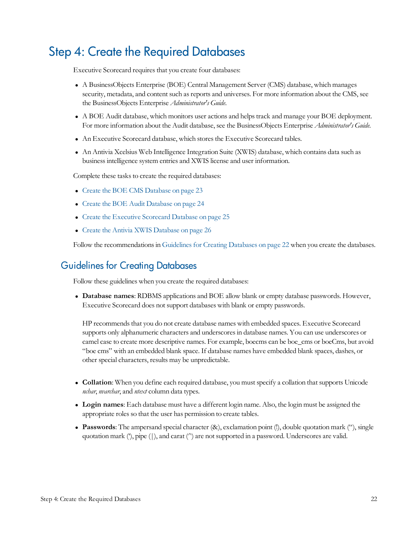## <span id="page-21-0"></span>Step 4: Create the Required Databases

Executive Scorecard requires that you create four databases:

- <sup>l</sup> A BusinessObjects Enterprise (BOE) Central Management Server (CMS) database, which manages security, metadata, and content such as reports and universes. For more information about the CMS, see the BusinessObjects Enterprise *Administrator's Guide*.
- A BOE Audit database, which monitors user actions and helps track and manage your BOE deployment. For more information about the Audit database, see the BusinessObjects Enterprise *Administrator's Guide.*
- An Executive Scorecard database, which stores the Executive Scorecard tables.
- An Antivia Xcelsius Web Intelligence Integration Suite (XWIS) database, which contains data such as businessintelligence system entries and XWIS license and user information.

Complete these tasks to create the required databases:

- [Create](#page-22-0) [the](#page-22-0) [BOE](#page-22-0) [CMS](#page-22-0) [Database](#page-22-0) [on](#page-22-0) [page](#page-22-0) [23](#page-22-0)
- [Create](#page-23-0) [the](#page-23-0) [BOE](#page-23-0) [Audit](#page-23-0) [Database](#page-23-0) [on](#page-23-0) [page](#page-23-0) [24](#page-23-0)
- [Create](#page-24-0) [the](#page-24-0) [Executive](#page-24-0) [Scorecard](#page-24-0) [Database](#page-24-0) [on](#page-24-0) [page](#page-24-0) [25](#page-24-0)
- [Create](#page-25-0) [the](#page-25-0) [Antivia](#page-25-0) [XWIS](#page-25-0) [Database](#page-25-0) [on](#page-25-0) [page](#page-25-0) [26](#page-25-0)

<span id="page-21-1"></span>Follow the recommendations in Guidelines for [Creating](#page-21-1) [Databases](#page-21-1) [on](#page-21-1) [page](#page-21-1) [22](#page-21-1) when you create the databases.

### Guidelines for Creating Databases

Follow these guidelines when you create the required databases:

<sup>l</sup> **Database names**: RDBMS applications and BOE allow blank or empty database passwords. However, Executive Scorecard does not support databases with blank or empty passwords.

HP recommends that you do not create database names with embedded spaces. Executive Scorecard supports only alphanumeric characters and underscoresin database names. You can use underscores or camel case to create more descriptive names. For example, boecms can be boe\_cms or boeCms, but avoid "boe cms" with an embedded blank space. If database names have embedded blank spaces, dashes, or other special characters, results may be unpredictable.

- <sup>l</sup> **Collation**: When you define each required database, you must specify a collation that supports Unicode *nchar*, *nvarchar*, and *ntext* column data types.
- <sup>l</sup> **Login names**: Each database must have a different login name. Also, the login must be assigned the appropriate roles so that the user has permission to create tables.
- <sup>l</sup> **Passwords**: The ampersand special character (&), exclamation point (!), double quotation mark ("), single quotation mark ('), pipe (|), and carat (^) are not supported in a password. Underscores are valid.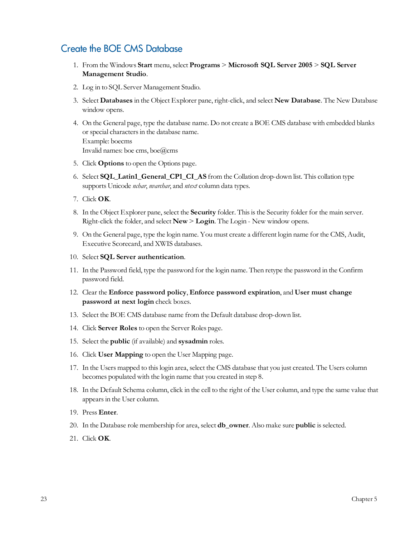### <span id="page-22-0"></span>Create the BOE CMS Database

- 1. From the Windows **Start** menu, select **Programs** > **Microsoft SQL Server 2005** > **SQL Server Management Studio**.
- 2. Log in to SQL Server Management Studio.
- 3. Select **Databases** in the Object Explorer pane, right-click, and select **New Database**. The New Database window opens.
- 4. On the General page, type the database name. Do not create a BOE CMS database with embedded blanks or special characters in the database name. Example: boecms Invalid names: boe cms, boe@cms
- 5. Click **Options** to open the Options page.
- 6. Select **SQL\_Latin1\_General\_CP1\_CI\_AS** from the Collation drop-down list. This collation type supports Unicode *nchar*, *nvarchar*, and *ntext* column data types.
- 7. Click **OK**.
- 8. In the Object Explorer pane, select the **Security** folder. Thisisthe Security folder for the main server. Right-click the folder, and select **New** > **Login**. The Login - New window opens.
- 9. On the General page, type the login name. You must create a different login name for the CMS, Audit, Executive Scorecard, and XWIS databases.
- 10. Select **SQL Server authentication**.
- 11. In the Password field, type the password for the login name. Then retype the password in the Confirm password field.
- 12. Clear the **Enforce password policy**, **Enforce password expiration**, and **User must change password at next login** check boxes.
- 13. Select the BOE CMS database name from the Default database drop-down list.
- 14. Click **Server Roles** to open the Server Roles page.
- 15. Select the **public** (if available) and **sysadmin** roles.
- 16. Click **User Mapping** to open the User Mapping page.
- 17. In the Users mapped to thislogin area, select the CMS database that you just created. The Users column becomes populated with the login name that you created in step 8.
- 18. In the Default Schema column, click in the cell to the right of the User column, and type the same value that appearsin the User column.
- 19. Press **Enter**.
- 20. In the Database role membership for area, select **db\_owner**. Also make sure **public** isselected.
- 21. Click **OK**.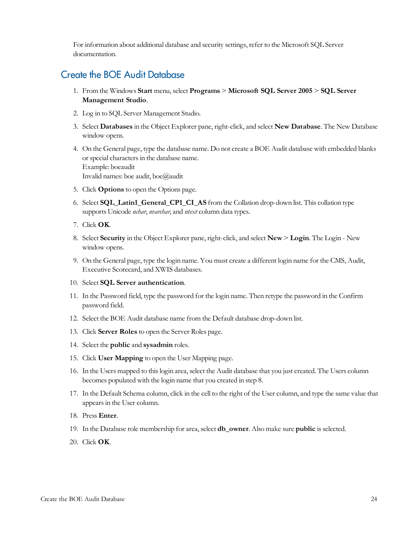#### <span id="page-23-0"></span>Create the BOE Audit Database

- 1. From the Windows **Start** menu, select **Programs** > **Microsoft SQL Server 2005** > **SQL Server Management Studio**.
- 2. Log in to SQL Server Management Studio.
- 3. Select **Databases** in the Object Explorer pane, right-click, and select **New Database**. The New Database window opens.
- 4. On the General page, type the database name. Do not create a BOE Audit database with embedded blanks or special charactersin the database name. Example: boeaudit Invalid names: boe audit, boe@audit
- 5. Click **Options** to open the Options page.
- 6. Select **SQL\_Latin1\_General\_CP1\_CI\_AS** from the Collation drop-down list. This collation type supports Unicode *nchar*, *nvarchar*, and *ntext* column data types.
- 7. Click **OK**.
- 8. Select **Security** in the Object Explorer pane, right-click, and select **New** > **Login**. The Login New window opens.
- 9. On the General page, type the login name. You must create a different login name for the CMS, Audit, Executive Scorecard, and XWIS databases.
- 10. Select **SQL Server authentication**.
- 11. In the Password field, type the password for the login name. Then retype the password in the Confirm password field.
- 12. Select the BOE Audit database name from the Default database drop-down list.
- 13. Click **Server Roles** to open the Server Roles page.
- 14. Select the **public** and **sysadmin** roles.
- 15. Click **User Mapping** to open the User Mapping page.
- 16. In the Users mapped to thislogin area, select the Audit database that you just created. The Users column becomes populated with the login name that you created in step 8.
- 17. In the Default Schema column, click in the cell to the right of the User column, and type the same value that appearsin the User column.
- 18. Press **Enter**.
- 19. In the Database role membership for area, select **db\_owner**. Also make sure **public** isselected.
- 20. Click **OK**.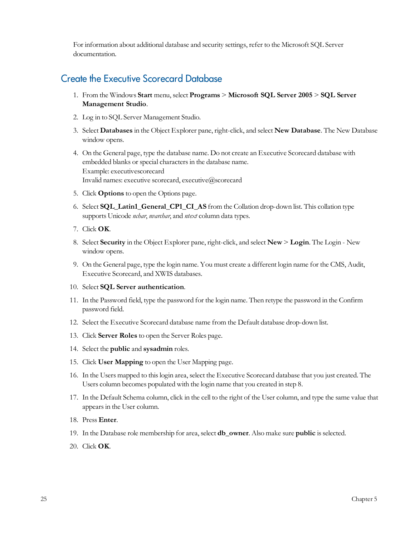### <span id="page-24-0"></span>Create the Executive Scorecard Database

- 1. From the Windows **Start** menu, select **Programs** > **Microsoft SQL Server 2005** > **SQL Server Management Studio**.
- 2. Log in to SQL Server Management Studio.
- 3. Select **Databases** in the Object Explorer pane, right-click, and select **New Database**. The New Database window opens.
- 4. On the General page, type the database name. Do not create an Executive Scorecard database with embedded blanks or special charactersin the database name. Example: executivescorecard Invalid names: executive scorecard, executive@scorecard
- 5. Click **Options** to open the Options page.
- 6. Select **SQL\_Latin1\_General\_CP1\_CI\_AS** from the Collation drop-down list. This collation type supports Unicode *nchar*, *nvarchar*, and *ntext* column data types.
- 7. Click **OK**.
- 8. Select **Security** in the Object Explorer pane, right-click, and select **New** > **Login**. The Login New window opens.
- 9. On the General page, type the login name. You must create a different login name for the CMS, Audit, Executive Scorecard, and XWIS databases.
- 10. Select **SQL Server authentication**.
- 11. In the Password field, type the password for the login name. Then retype the password in the Confirm password field.
- 12. Select the Executive Scorecard database name from the Default database drop-down list.
- 13. Click **Server Roles** to open the Server Roles page.
- 14. Select the **public** and **sysadmin** roles.
- 15. Click **User Mapping** to open the User Mapping page.
- 16. In the Users mapped to thislogin area, select the Executive Scorecard database that you just created. The Users column becomes populated with the login name that you created in step 8.
- 17. In the Default Schema column, click in the cell to the right of the User column, and type the same value that appearsin the User column.
- 18. Press **Enter**.
- 19. In the Database role membership for area, select **db\_owner**. Also make sure **public** isselected.
- 20. Click **OK**.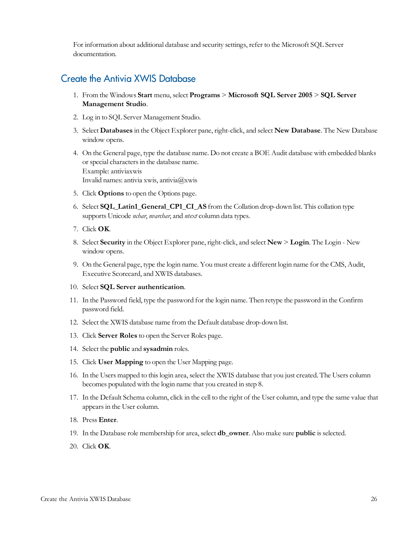#### <span id="page-25-0"></span>Create the Antivia XWIS Database

- 1. From the Windows **Start** menu, select **Programs** > **Microsoft SQL Server 2005** > **SQL Server Management Studio**.
- 2. Log in to SQL Server Management Studio.
- 3. Select **Databases** in the Object Explorer pane, right-click, and select **New Database**. The New Database window opens.
- 4. On the General page, type the database name. Do not create a BOE Audit database with embedded blanks or special characters in the database name. Example: antiviaxwis Invalid names: antivia xwis, antivia@xwis
- 5. Click **Options** to open the Options page.
- 6. Select **SQL\_Latin1\_General\_CP1\_CI\_AS** from the Collation drop-down list. This collation type supports Unicode *nchar*, *nvarchar*, and *ntext* column data types.
- 7. Click **OK**.
- 8. Select **Security** in the Object Explorer pane, right-click, and select **New** > **Login**. The Login New window opens.
- 9. On the General page, type the login name. You must create a different login name for the CMS, Audit, Executive Scorecard, and XWIS databases.
- 10. Select **SQL Server authentication**.
- 11. In the Password field, type the password for the login name. Then retype the password in the Confirm password field.
- 12. Select the XWIS database name from the Default database drop-down list.
- 13. Click **Server Roles** to open the Server Roles page.
- 14. Select the **public** and **sysadmin** roles.
- 15. Click **User Mapping** to open the User Mapping page.
- 16. In the Users mapped to thislogin area, select the XWIS database that you just created. The Users column becomes populated with the login name that you created in step 8.
- 17. In the Default Schema column, click in the cell to the right of the User column, and type the same value that appearsin the User column.
- 18. Press **Enter**.
- 19. In the Database role membership for area, select **db\_owner**. Also make sure **public** isselected.
- 20. Click **OK**.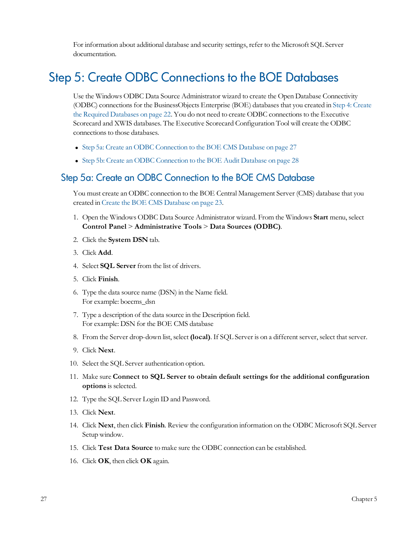### <span id="page-26-0"></span>Step 5: Create ODBC Connections to the BOE Databases

Use the Windows ODBC Data Source Administrator wizard to create the Open Database Connectivity (ODBC) connections for the BusinessObjects Enterprise (BOE) databases that you created in [Step](#page-21-0) [4:](#page-21-0) [Create](#page-21-0) [the](#page-21-0) [Required](#page-21-0) [Databases](#page-21-0) [on](#page-21-0) [page](#page-21-0) [22](#page-21-0). You do not need to create ODBC connectionsto the Executive Scorecard and XWIS databases. The Executive Scorecard Configuration Tool will create the ODBC connections to those databases.

- [Step](#page-26-1) [5a:](#page-26-1) [Create](#page-26-1) [an](#page-26-1) [ODBC](#page-26-1) [Connection](#page-26-1) [to](#page-26-1) [the](#page-26-1) [BOE](#page-26-1) [CMS](#page-26-1) [Database](#page-26-1) [on](#page-26-1) [page](#page-26-1) [27](#page-26-1)
- <span id="page-26-1"></span>• [Step](#page-27-0) [5b:](#page-27-0) [Create](#page-27-0) [an](#page-27-0) [ODBC](#page-27-0) [Connection](#page-27-0) [to](#page-27-0) [the](#page-27-0) [BOE](#page-27-0) [Audit](#page-27-0) [Database](#page-27-0) [on](#page-27-0) [page](#page-27-0) [28](#page-27-0)

#### Step 5a: Create an ODBC Connection to the BOE CMS Database

You must create an ODBC connection to the BOE Central Management Server (CMS) database that you created in [Create](#page-22-0) [the](#page-22-0) [BOE](#page-22-0) [CMS](#page-22-0) [Database](#page-22-0) [on](#page-22-0) [page](#page-22-0) [23.](#page-22-0)

- 1. Open the Windows ODBC Data Source Administrator wizard. From the Windows **Start** menu, select **Control Panel** > **Administrative Tools** > **Data Sources (ODBC)**.
- 2. Click the **System DSN** tab.
- 3. Click **Add**.
- 4. Select **SQL Server** from the list of drivers.
- 5. Click **Finish**.
- 6. Type the data source name (DSN) in the Name field. For example: boecms\_dsn
- 7. Type a description of the data source in the Description field. For example: DSN for the BOE CMS database
- 8. From the Server drop-down list, select **(local)**. If SQL Server is on a different server, select that server.
- 9. Click **Next**.
- 10. Select the SQL Server authentication option.
- 11. Make sure **Connect to SQL Server to obtain default settings for the additional configuration options** is selected.
- 12. Type the SQL Server Login ID and Password.
- 13. Click **Next**.
- 14. Click **Next**, then click **Finish**. Review the configuration information on the ODBC Microsoft SQL Server Setup window.
- 15. Click **Test Data Source** to make sure the ODBC connection can be established.
- 16. Click **OK**, then click **OK** again.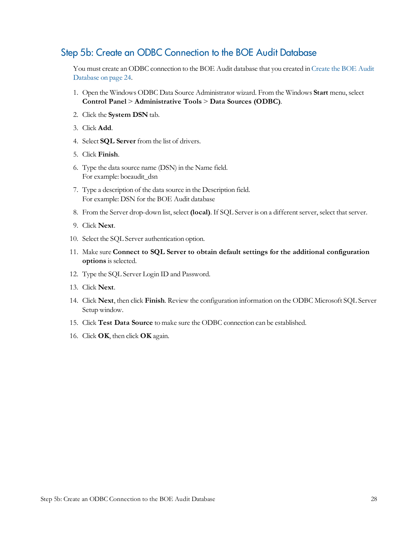#### <span id="page-27-0"></span>Step 5b: Create an ODBC Connection to the BOE Audit Database

You must create an ODBC connection to the BOE Audit database that you created in [Create](#page-23-0) [the](#page-23-0) [BOE](#page-23-0) [Audit](#page-23-0) [Database](#page-23-0) [on](#page-23-0) [page](#page-23-0) [24.](#page-23-0)

- 1. Open the Windows ODBC Data Source Administrator wizard. From the Windows **Start** menu, select **Control Panel** > **Administrative Tools** > **Data Sources (ODBC)**.
- 2. Click the **System DSN** tab.
- 3. Click **Add**.
- 4. Select **SQL Server** from the list of drivers.
- 5. Click **Finish**.
- 6. Type the data source name (DSN) in the Name field. For example: boeaudit\_dsn
- 7. Type a description of the data source in the Description field. For example: DSN for the BOE Audit database
- 8. From the Server drop-down list, select **(local)**. If SQL Server is on a different server, select that server.
- 9. Click **Next**.
- 10. Select the SQL Server authentication option.
- 11. Make sure **Connect to SQL Server to obtain default settings for the additional configuration options** is selected.
- 12. Type the SQL Server Login ID and Password.
- 13. Click **Next**.
- 14. Click **Next**, then click **Finish**. Review the configuration information on the ODBC Microsoft SQL Server Setup window.
- 15. Click **Test Data Source** to make sure the ODBC connection can be established.
- 16. Click **OK**, then click **OK** again.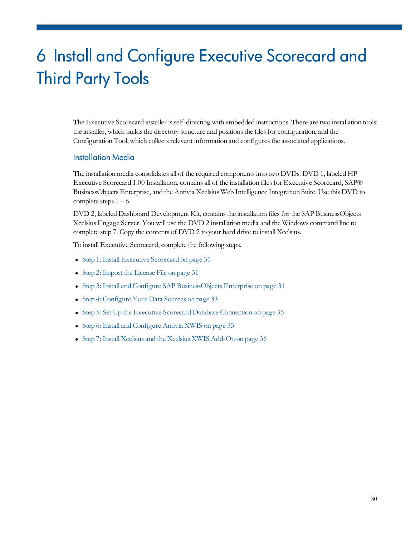# <span id="page-29-0"></span>6 Install and Configure Executive Scorecard and Third Party Tools

The Executive Scorecard installer isself-directing with embedded instructions. There are two installation tools: the installer, which builds the directory structure and positions the files for configuration, and the Configuration Tool, which collects relevant information and configures the associated applications.

#### <span id="page-29-1"></span>Installation Media

The installation media consolidates all of the required componentsinto two DVDs. DVD 1, labeled HP Executive Scorecard 1.00 Installation, contains all of the installation files for Executive Scorecard, SAP® BusinessObjects Enterprise, and the Antivia Xcelsius Web Intelligence Integration Suite. Use this DVD to complete steps  $1 - 6$ .

DVD 2, labeled Dashboard Development Kit, contains the installation files for the SAP BusinessObjects Xcelsius Engage Server. You will use the DVD 2 installation media and the Windows command line to complete step 7. Copy the contents of DVD 2 to your hard drive to install Xcelsius.

To install Executive Scorecard, complete the following steps.

- [Step](#page-30-0) [1:](#page-30-0) [Install](#page-30-0) [Executive](#page-30-0) [Scorecard](#page-30-0) [on](#page-30-0) [page](#page-30-0) [31](#page-30-0)
- [Step](#page-30-1) [2:](#page-30-1) [Import](#page-30-1) [the](#page-30-1) [License](#page-30-1) [File](#page-30-1) [on](#page-30-1) [page](#page-30-1) [31](#page-30-1)
- [Step](#page-30-2) [3:](#page-30-2) [Install](#page-30-2) [and](#page-30-2) [Configure](#page-30-2) [SAP](#page-30-2) [BusinessObjects](#page-30-2) [Enterprise](#page-30-2) [on](#page-30-2) [page](#page-30-2) [31](#page-30-2)
- [Step](#page-32-1) [4:](#page-32-1) [Configure](#page-32-1) [Your](#page-32-1) [Data](#page-32-1) [Sources](#page-32-1) [on](#page-32-1) [page](#page-32-1) [33](#page-32-1)
- [Step](#page-34-1) [5:](#page-34-1) [Set](#page-34-1) [Up](#page-34-1) [the](#page-34-1) [Executive](#page-34-1) [Scorecard](#page-34-1) [Database](#page-34-1) [Connection](#page-34-1) [on](#page-34-1) [page](#page-34-1) [35](#page-34-1)
- [Step](#page-34-2) [6:](#page-34-2) [Install](#page-34-2) [and](#page-34-2) [Configure](#page-34-2) [Antivia](#page-34-2) [XWIS](#page-34-2) [on](#page-34-2) [page](#page-34-2) [35](#page-34-2)
- [Step](#page-35-1) [7:](#page-35-1) [Install](#page-35-1) [Xcelsius](#page-35-1) [and](#page-35-1) [the](#page-35-1) Xcelsius [XWIS](#page-35-1) [Add-On](#page-35-1) [on](#page-35-1) [page](#page-35-1) [36](#page-35-1)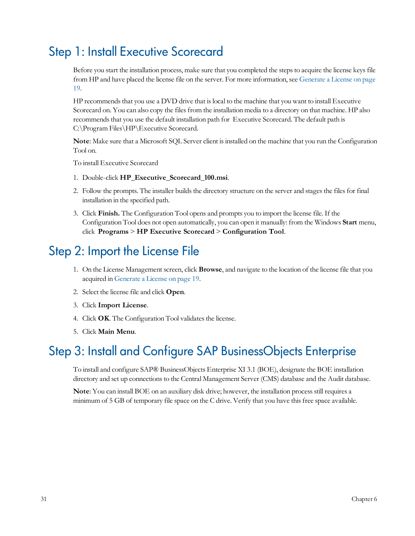## <span id="page-30-0"></span>Step 1: Install Executive Scorecard

Before you start the installation process, make sure that you completed the steps to acquire the license keys file from HP and have placed the license file on the server. For more information, see [Generate](#page-18-0) [a](#page-18-0) [License](#page-18-0) [on](#page-18-0) [page](#page-18-0) [19](#page-18-0).

HP recommends that you use a DVD drive that is local to the machine that you want to install Executive Scorecard on. You can also copy the files from the installation media to a directory on that machine. HP also recommends that you use the default installation path for Executive Scorecard. The default path is C:\Program Files\HP\Executive Scorecard.

Note: Make sure that a Microsoft SQL Server client is installed on the machine that you run the Configuration Tool on.

To install Executive Scorecard

- 1. Double-click **HP\_Executive\_Scorecard\_100.msi**.
- 2. Follow the prompts. The installer builds the directory structure on the server and stages the files for final installation in the specified path.
- 3. Click **Finish.** The Configuration Tool opens and prompts you to import the license file. If the Configuration Tool does not open automatically, you can open it manually: from the Windows **Start** menu, click **Programs** > **HP Executive Scorecard** > **Configuration Tool**.

## <span id="page-30-1"></span>Step 2: Import the License File

- 1. On the License Management screen, click **Browse**, and navigate to the location of the license file that you acquired in [Generate](#page-18-0) [a](#page-18-0) [License](#page-18-0) [on](#page-18-0) [page](#page-18-0) [19](#page-18-0).
- 2. Select the license file and click **Open**.
- 3. Click **Import License**.
- 4. Click OK. The Configuration Tool validates the license.
- 5. Click **Main Menu**.

## <span id="page-30-2"></span>Step 3: Install and Configure SAP BusinessObjects Enterprise

To install and configure SAP® BusinessObjects Enterprise XI 3.1 (BOE), designate the BOE installation directory and set up connections to the Central Management Server (CMS) database and the Audit database.

Note: You can install BOE on an auxiliary disk drive; however, the installation process still requires a minimum of 5 GB of temporary file space on the C drive. Verify that you have this free space available.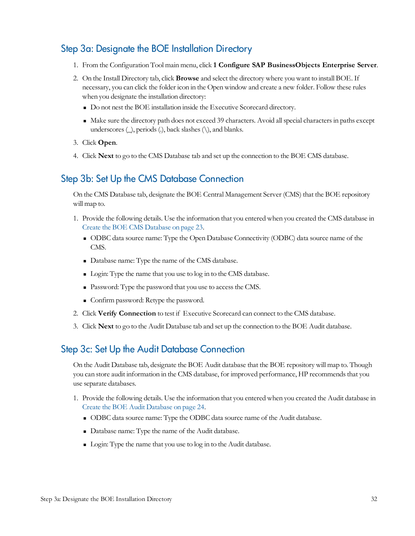### <span id="page-31-0"></span>Step 3a: Designate the BOE Installation Directory

- 1. From the Configuration Tool main menu, click **1 Configure SAP BusinessObjects Enterprise Server**.
- 2. On the Install Directory tab, click **Browse** and select the directory where you want to install BOE. If necessary, you can click the folder icon in the Open window and create a new folder. Follow these rules when you designate the installation directory:
	- <sup>n</sup> Do not nest the BOE installation inside the Executive Scorecard directory.
	- <sup>n</sup> Make sure the directory path does not exceed 39 characters. Avoid allspecial charactersin paths except underscores  $(\_)$ , periods  $(\cdot)$ , back slashes  $(\cdot)$ , and blanks.
- 3. Click **Open**.
- <span id="page-31-1"></span>4. Click **Next** to go to the CMS Database tab and set up the connection to the BOE CMS database.

#### Step 3b: Set Up the CMS Database Connection

On the CMS Database tab, designate the BOE Central Management Server (CMS) that the BOE repository will map to.

- 1. Provide the following details. Use the information that you entered when you created the CMS database in [Create](#page-22-0) [the](#page-22-0) [BOE](#page-22-0) [CMS](#page-22-0) [Database](#page-22-0) [on](#page-22-0) [page](#page-22-0) [23](#page-22-0).
	- <sup>n</sup> ODBC data source name: Type the Open Database Connectivity (ODBC) data source name of the CMS.
	- <sup>n</sup> Database name: Type the name of the CMS database.
	- <sup>n</sup> Login: Type the name that you use to log in to the CMS database.
	- Password: Type the password that you use to access the CMS.
	- <sup>n</sup> Confirm password: Retype the password.
- 2. Click **Verify Connection** to test if Executive Scorecard can connect to the CMS database.
- <span id="page-31-2"></span>3. Click **Next** to go to the Audit Database tab and set up the connection to the BOE Audit database.

#### Step 3c: Set Up the Audit Database Connection

On the Audit Database tab, designate the BOE Audit database that the BOE repository will map to. Though you can store audit information in the CMS database, for improved performance, HP recommends that you use separate databases.

- 1. Provide the following details. Use the information that you entered when you created the Audit database in [Create](#page-23-0) [the](#page-23-0) [BOE](#page-23-0) [Audit](#page-23-0) [Database](#page-23-0) [on](#page-23-0) [page](#page-23-0) [24.](#page-23-0)
	- <sup>n</sup> ODBC data source name: Type the ODBC data source name of the Audit database.
	- <sup>n</sup> Database name: Type the name of the Audit database.
	- <sup>n</sup> Login: Type the name that you use to log in to the Audit database.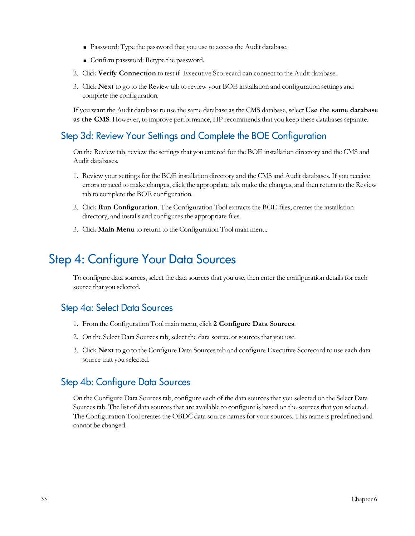- Password: Type the password that you use to access the Audit database.
- <sup>n</sup> Confirm password: Retype the password.
- 2. Click **Verify Connection** to test if Executive Scorecard can connect to the Audit database.
- 3. Click **Next** to go to the Review tab to review your BOE installation and configuration settings and complete the configuration.

If you want the Audit database to use the same database asthe CMS database, select **Use the same database as the CMS**. However, to improve performance, HP recommends that you keep these databases separate.

### <span id="page-32-0"></span>Step 3d: Review Your Settings and Complete the BOE Configuration

On the Review tab, review the settings that you entered for the BOE installation directory and the CMS and Audit databases.

- 1. Review your settingsfor the BOE installation directory and the CMS and Audit databases. If you receive errors or need to make changes, click the appropriate tab, make the changes, and then return to the Review tab to complete the BOE configuration.
- 2. Click **Run Configuration**. The Configuration Tool extracts the BOE files, creates the installation directory, and installs and configures the appropriate files.
- 3. Click **Main Menu** to return to the Configuration Tool main menu.

## <span id="page-32-1"></span>Step 4: Configure Your Data Sources

To configure data sources, select the data sourcesthat you use, then enter the configuration detailsfor each source that you selected.

#### <span id="page-32-2"></span>Step 4a: Select Data Sources

- 1. From the Configuration Tool main menu, click **2 Configure Data Sources**.
- 2. On the Select Data Sources tab, select the data source or sources that you use.
- 3. Click **Next** to go to the Configure Data Sourcestab and configure Executive Scorecard to use each data source that you selected.

### <span id="page-32-3"></span>Step 4b: Configure Data Sources

On the Configure Data Sources tab, configure each of the data sources that you selected on the Select Data Sources tab. The list of data sources that are available to configure is based on the sources that you selected. The Configuration Tool creates the OBDC data source names for your sources. This name is predefined and cannot be changed.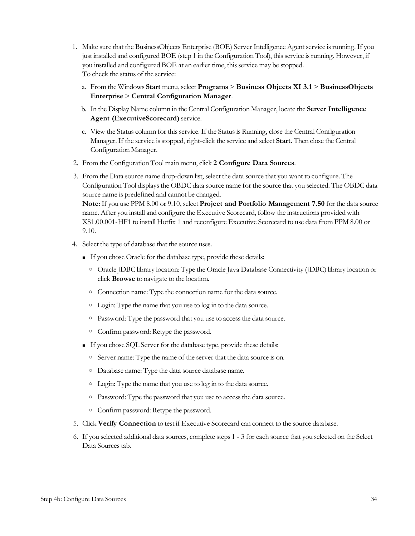- 1. Make sure that the BusinessObjects Enterprise (BOE) Server Intelligence Agent service isrunning. If you just installed and configured BOE (step 1 in the Configuration Tool), thisservice isrunning. However, if you installed and configured BOE at an earlier time, this service may be stopped. To check the status of the service:
	- a. From the Windows **Start** menu, select **Programs** > **Business Objects XI 3.1** > **BusinessObjects Enterprise** > **Central Configuration Manager**.
	- b. In the Display Name column in the Central Configuration Manager, locate the **Server Intelligence Agent (ExecutiveScorecard)** service.
	- c. View the Status column for thisservice. If the Statusis Running, close the Central Configuration Manager. If the service isstopped, right-click the service and select **Start**. Then close the Central Configuration Manager.
- 2. From the Configuration Tool main menu, click **2 Configure Data Sources**.
- 3. From the Data source name drop-down list, select the data source that you want to configure. The Configuration Tool displaysthe OBDC data source name for the source that you selected. The OBDC data source name is predefined and cannot be changed. **Note**: If you use PPM 8.00 or 9.10, select **Project and Portfolio Management 7.50** for the data source

name. After you install and configure the Executive Scorecard, follow the instructions provided with XS1.00.001-HF1 to install Hotfix 1 and reconfigure Executive Scorecard to use data from PPM 8.00 or 9.10.

- 4. Select the type of database that the source uses.
	- <sup>n</sup> If you chose Oracle for the database type, provide these details:
		- o Oracle JDBC library location: Type the Oracle Java Database Connectivity (JDBC) library location or click **Browse** to navigate to the location.
		- o Connection name: Type the connection name for the data source.
		- o Login: Type the name that you use to log in to the data source.
		- o Password: Type the password that you use to accessthe data source.
		- o Confirm password: Retype the password.
	- <sup>n</sup> If you chose SQL Server for the database type, provide these details:
		- o Server name: Type the name of the server that the data source is on.
		- o Database name: Type the data source database name.
		- o Login: Type the name that you use to log in to the data source.
		- o Password: Type the password that you use to accessthe data source.
		- o Confirm password: Retype the password.
- 5. Click **Verify Connection** to test if Executive Scorecard can connect to the source database.
- 6. If you selected additional data sources, complete steps 1 3 for each source that you selected on the Select Data Sources tab.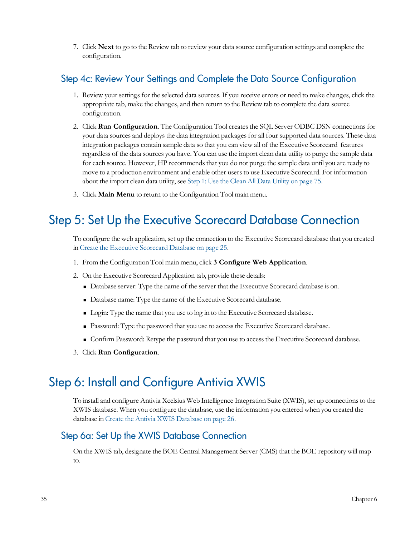7. Click **Next** to go to the Review tab to review your data source configuration settings and complete the configuration.

### <span id="page-34-0"></span>Step 4c: Review Your Settings and Complete the Data Source Configuration

- 1. Review your settings for the selected data sources. If you receive errors or need to make changes, click the appropriate tab, make the changes, and then return to the Review tab to complete the data source configuration.
- 2. Click **Run Configuration**. The Configuration Tool creates the SQL Server ODBC DSN connections for your data sources and deploys the data integration packages for all four supported data sources. These data integration packages contain sample data so that you can view all of the Executive Scorecard features regardless of the data sources you have. You can use the import clean data utility to purge the sample data for each source. However, HP recommends that you do not purge the sample data until you are ready to move to a production environment and enable other usersto use Executive Scorecard. For information about the import clean data utility, see [Step](#page-74-2) [1:](#page-74-2) [Use](#page-74-2) [the](#page-74-2) [Clean](#page-74-2) [All](#page-74-2) [Data](#page-74-2) [Utility](#page-74-2) [on](#page-74-2) [page](#page-74-2) [75](#page-74-2).
- 3. Click **Main Menu** to return to the Configuration Tool main menu.

## <span id="page-34-1"></span>Step 5: Set Up the Executive Scorecard Database Connection

To configure the web application, set up the connection to the Executive Scorecard database that you created in [Create](#page-24-0) [the](#page-24-0) [Executive](#page-24-0) [Scorecard](#page-24-0) [Database](#page-24-0) [on](#page-24-0) [page](#page-24-0) [25](#page-24-0).

- 1. From the Configuration Tool main menu, click **3 Configure Web Application**.
- 2. On the Executive Scorecard Application tab, provide these details:
	- <sup>n</sup> Database server: Type the name of the server that the Executive Scorecard database is on.
	- <sup>n</sup> Database name: Type the name of the Executive Scorecard database.
	- <sup>n</sup> Login: Type the name that you use to log in to the Executive Scorecard database.
	- <sup>n</sup> Password: Type the password that you use to accessthe Executive Scorecard database.
	- <sup>n</sup> Confirm Password: Retype the password that you use to accessthe Executive Scorecard database.
- 3. Click **Run Configuration**.

## <span id="page-34-2"></span>Step 6: Install and Configure Antivia XWIS

To install and configure Antivia Xcelsius Web Intelligence Integration Suite (XWIS), set up connectionsto the XWIS database. When you configure the database, use the information you entered when you created the database in [Create](#page-25-0) [the](#page-25-0) [Antivia](#page-25-0) [XWIS](#page-25-0) [Database](#page-25-0) [on](#page-25-0) [page](#page-25-0) [26.](#page-25-0)

#### <span id="page-34-3"></span>Step 6a: Set Up the XWIS Database Connection

On the XWIS tab, designate the BOE Central Management Server (CMS) that the BOE repository will map to.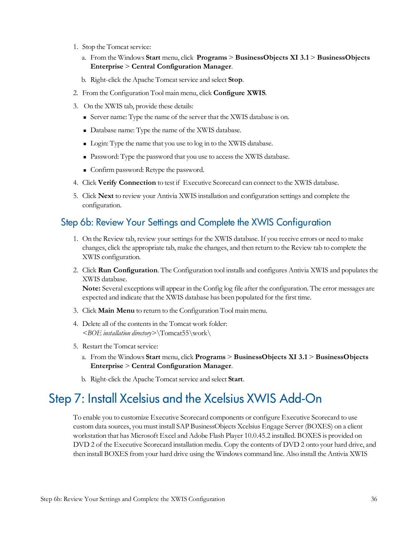- 1. Stop the Tomcat service:
	- a. From the Windows **Start** menu, click **Programs** > **BusinessObjects XI 3.1** > **BusinessObjects Enterprise** > **Central Configuration Manager**.
	- b. Right-click the Apache Tomcat service and select **Stop**.
- 2. From the Configuration Tool main menu, click **Configure XWIS**.
- 3. On the XWIS tab, provide these details:
	- <sup>n</sup> Server name: Type the name of the server that the XWIS database is on.
	- <sup>n</sup> Database name: Type the name of the XWIS database.
	- <sup>n</sup> Login: Type the name that you use to log in to the XWIS database.
	- Password: Type the password that you use to access the XWIS database.
	- <sup>n</sup> Confirm password: Retype the password.
- 4. Click **Verify Connection** to test if Executive Scorecard can connect to the XWIS database.
- 5. Click **Next** to review your Antivia XWIS installation and configuration settings and complete the configuration.

#### <span id="page-35-0"></span>Step 6b: Review Your Settings and Complete the XWIS Configuration

- 1. On the Review tab, review your settingsfor the XWIS database. If you receive errors or need to make changes, click the appropriate tab, make the changes, and then return to the Review tab to complete the XWIS configuration.
- 2. Click **Run Configuration**. The Configuration tool installs and configures Antivia XWIS and populatesthe XWIS database.

**Note:** Several exceptions will appear in the Config log file after the configuration. The error messages are expected and indicate that the XWIS database has been populated for the first time.

- 3. Click **Main Menu** to return to the Configuration Tool main menu.
- 4. Delete all of the contentsin the Tomcat work folder: *<BOE installation directory>*\Tomcat55\work\
- 5. Restart the Tomcat service:
	- a. From the Windows **Start** menu, click **Programs** > **BusinessObjects XI 3.1** > **BusinessObjects Enterprise** > **Central Configuration Manager**.
	- b. Right-click the Apache Tomcat service and select **Start**.

## <span id="page-35-1"></span>Step 7: Install Xcelsius and the Xcelsius XWIS Add-On

To enable you to customize Executive Scorecard components or configure Executive Scorecard to use custom data sources, you must install SAP BusinessObjects Xcelsius Engage Server (BOXES) on a client workstation that has Microsoft Excel and Adobe Flash Player 10.0.45.2 installed. BOXES is provided on DVD 2 of the Executive Scorecard installation media. Copy the contents of DVD 2 onto your hard drive, and then install BOXES from your hard drive using the Windows command line. Also install the Antivia XWIS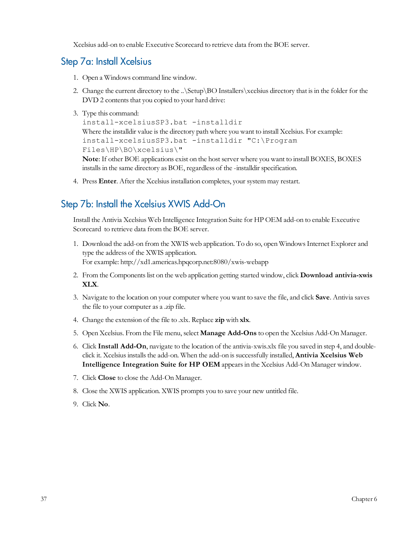Xcelsius add-on to enable Executive Scorecard to retrieve data from the BOE server.

## Step 7a: Install Xcelsius

- 1. Open a Windows command line window.
- 2. Change the current directory to the ..\Setup\BO Installers\xcelsius directory that isin the folder for the DVD 2 contents that you copied to your hard drive:
- 3. Type this command:

```
install-xcelsiusSP3.bat -installdir
Where the installdir value is the directory path where you want to install Xcelsius. For example:
install-xcelsiusSP3.bat -installdir "C:\Program
Files\HP\BO\xcelsius\"
```
**Note**: If other BOE applications exist on the host server where you want to install BOXES, BOXES installs in the same directory as BOE, regardless of the -installdir specification.

4. Press **Enter**. After the Xcelsius installation completes, your system may restart.

## Step 7b: Install the Xcelsius XWIS Add-On

Install the Antivia Xcelsius Web Intelligence Integration Suite for HP OEM add-on to enable Executive Scorecard to retrieve data from the BOE server.

- 1. Download the add-on from the XWIS web application. To do so, open WindowsInternet Explorer and type the address of the XWIS application. For example: http://xd1.americas.hpqcorp.net:8080/xwis-webapp
- 2. From the Componentslist on the web application getting started window, click **Download antivia-xwis XLX**.
- 3. Navigate to the location on your computer where you want to save the file, and click **Save**. Antivia saves the file to your computer as a .zip file.
- 4. Change the extension of the file to .xlx. Replace **zip** with **xlx**.
- 5. OpenXcelsius. From the File menu, select **Manage Add-Ons** to open the Xcelsius Add-On Manager.
- 6. Click **Install Add-On**, navigate to the location of the antivia-xwis.xlx file you saved in step 4, and doubleclick it. Xcelsiusinstallsthe add-on. When the add-on issuccessfully installed, **Antivia Xcelsius Web Intelligence Integration Suite for HP OEM** appearsin the Xcelsius Add-On Manager window.
- 7. Click **Close** to close the Add-On Manager.
- 8. Close the XWIS application. XWIS prompts you to save your new untitled file.
- 9. Click **No**.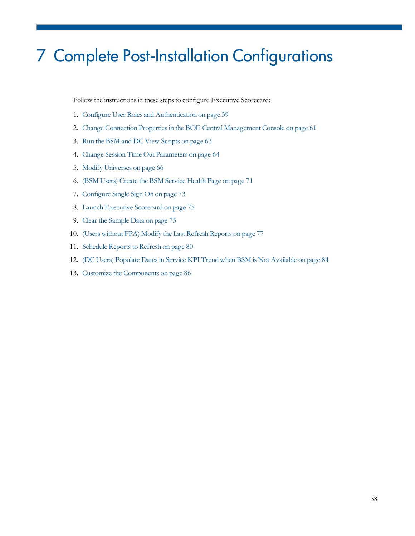# 7 Complete Post-Installation Configurations

Follow the instructions in these steps to configure Executive Scorecard:

- 1. [Configure](#page-38-0) [User](#page-38-0) [Roles](#page-38-0) [and](#page-38-0) [Authentication](#page-38-0) [on](#page-38-0) [page](#page-38-0) [39](#page-38-0)
- 2. [Change](#page-60-0) [Connection](#page-60-0) Properties in [the](#page-60-0) [BOE](#page-60-0) [Central](#page-60-0) [Management](#page-60-0) [Console](#page-60-0) [on](#page-60-0) [page](#page-60-0) [61](#page-60-0)
- 3. [Run](#page-62-0) [the](#page-62-0) [BSM](#page-62-0) [and](#page-62-0) [DC](#page-62-0) [View](#page-62-0) [Scripts](#page-62-0) [on](#page-62-0) [page](#page-62-0) [63](#page-62-0)
- 4. [Change](#page-63-0) [Session](#page-63-0) [Time](#page-63-0) [Out](#page-63-0) [Parameters](#page-63-0) [on](#page-63-0) [page](#page-63-0) [64](#page-63-0)
- 5. [Modify](#page-65-0) [Universes](#page-65-0) [on](#page-65-0) [page](#page-65-0) [66](#page-65-0)
- 6. [\(BSM](#page-70-0) [Users\)](#page-70-0) [Create](#page-70-0) [the](#page-70-0) [BSM](#page-70-0) [Service](#page-70-0) [Health](#page-70-0) [Page](#page-70-0) [on](#page-70-0) [page](#page-70-0) [71](#page-70-0)
- 7. [Configure](#page-72-0) [Single](#page-72-0) [Sign](#page-72-0) [On](#page-72-0) [on](#page-72-0) [page](#page-72-0) [73](#page-72-0)
- 8. [Launch](#page-74-0) [Executive](#page-74-0) [Scorecard](#page-74-0) [on](#page-74-0) [page](#page-74-0) [75](#page-74-0)
- 9. [Clear](#page-74-1) [the](#page-74-1) [Sample](#page-74-1) [Data](#page-74-1) [on](#page-74-1) [page](#page-74-1) [75](#page-74-1)
- 10. [\(Users](#page-76-0) [without](#page-76-0) [FPA\)](#page-76-0) [Modify](#page-76-0) [the](#page-76-0) [Last](#page-76-0) [Refresh](#page-76-0) [Reports](#page-76-0) [on](#page-76-0) [page](#page-76-0) [77](#page-76-0)
- 11. [Schedule](#page-79-0) Reports to [Refresh](#page-79-0) [on](#page-79-0) [page](#page-79-0) [80](#page-79-0)
- 12. [\(DC](#page-83-0) [Users\)](#page-83-0) [Populate](#page-83-0) [Datesin](#page-83-0) [Service](#page-83-0) [KPI](#page-83-0) [Trend](#page-83-0) [when](#page-83-0) [BSM](#page-83-0) [is](#page-83-0) [Not](#page-83-0) [Available](#page-83-0) [on](#page-83-0) [page](#page-83-0) [84](#page-83-0)
- 13. [Customize](#page-85-0) [the](#page-85-0) [Components](#page-85-0) [on](#page-85-0) [page](#page-85-0) [86](#page-85-0)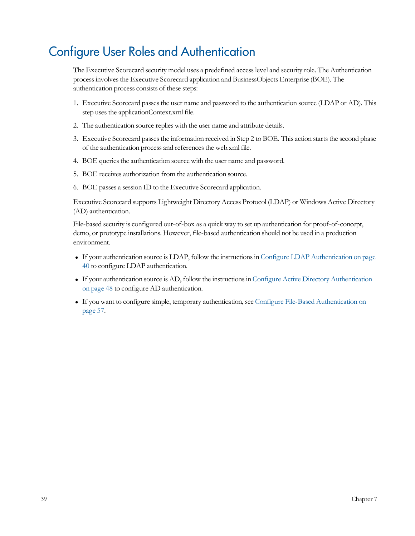# <span id="page-38-0"></span>Configure User Roles and Authentication

The Executive Scorecard security model uses a predefined access level and security role. The Authentication processinvolvesthe Executive Scorecard application and BusinessObjects Enterprise (BOE). The authentication process consists of these steps:

- 1. Executive Scorecard passesthe user name and password to the authentication source (LDAP or AD). This step uses the applicationContext.xml file.
- 2. The authentication source replies with the user name and attribute details.
- 3. Executive Scorecard passes the information received in Step 2 to BOE. This action starts the second phase of the authentication process and references the web.xml file.
- 4. BOE queries the authentication source with the user name and password.
- 5. BOE receives authorization from the authentication source.
- 6. BOE passes a session ID to the Executive Scorecard application.

Executive Scorecard supports Lightweight Directory Access Protocol (LDAP) or Windows Active Directory (AD) authentication.

File-based security is configured out-of-box as a quick way to set up authentication for proof-of-concept, demo, or prototype installations. However, file-based authentication should not be used in a production environment.

- <sup>l</sup> If your authentication source is LDAP, follow the instructionsin [Configure](#page-39-0) [LDAP](#page-39-0) [Authentication](#page-39-0) [on](#page-39-0) [page](#page-39-0) [40](#page-39-0) to configure LDAP authentication.
- If your authentication source is AD, follow the instructions in [Configure](#page-47-0) [Active](#page-47-0) [Directory](#page-47-0) [Authentication](#page-47-0) [on](#page-47-0) [page](#page-47-0) [48](#page-47-0) to configure AD authentication.
- <sup>l</sup> If you want to configure simple, temporary authentication, see [Configure](#page-56-0) [File-Based](#page-56-0) [Authentication](#page-56-0) [on](#page-56-0) [page](#page-56-0) [57.](#page-56-0)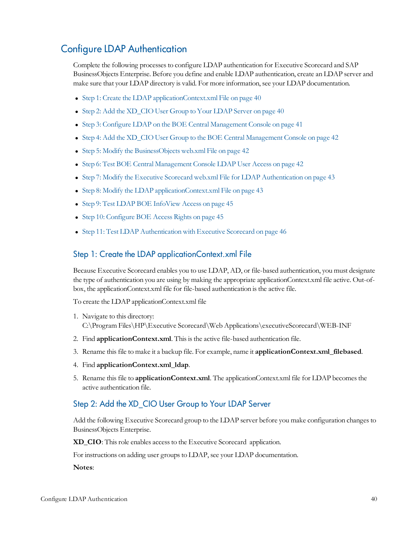## <span id="page-39-0"></span>Configure LDAP Authentication

Complete the following processesto configure LDAP authentication for Executive Scorecard and SAP BusinessObjects Enterprise. Before you define and enable LDAP authentication, create an LDAP server and make sure that your LDAP directory is valid. For more information, see your LDAP documentation.

- [Step](#page-39-1) [1:](#page-39-1) [Create](#page-39-1) [the](#page-39-1) [LDAP](#page-39-1) [applicationContext.xml](#page-39-1) [File](#page-39-1) [on](#page-39-1) [page](#page-39-1)  $40$
- [Step](#page-39-2) [2:](#page-39-2) [Add](#page-39-2) [the](#page-39-2) [XD\\_CIO](#page-39-2) [User](#page-39-2) [Group](#page-39-2) [to](#page-39-2) [Your](#page-39-2) [LDAP](#page-39-2) [Server](#page-39-2) [on](#page-39-2) [page](#page-39-2) [40](#page-39-2)
- [Step](#page-40-0) [3:](#page-40-0) [Configure](#page-40-0) [LDAP](#page-40-0) [on](#page-40-0) [the](#page-40-0) [BOE](#page-40-0) [Central](#page-40-0) [Management](#page-40-0) [Console](#page-40-0) on [page](#page-40-0) [41](#page-40-0)
- [Step](#page-41-0) [4:](#page-41-0) [Add](#page-41-0) [the](#page-41-0) [XD\\_CIO](#page-41-0) [User](#page-41-0) [Group](#page-41-0) [to](#page-41-0) the [BOE](#page-41-0) [Central](#page-41-0) [Management](#page-41-0) [Console](#page-41-0) [on](#page-41-0) [page](#page-41-0) [42](#page-41-0)
- [Step](#page-41-1) [5:](#page-41-1) [Modify](#page-41-1) [the](#page-41-1) [BusinessObjects](#page-41-1) [web.xml](#page-41-1) [File](#page-41-1) [on](#page-41-1) [page](#page-41-1) [42](#page-41-1)
- [Step](#page-41-2) [6:](#page-41-2) [Test](#page-41-2) [BOE](#page-41-2) [Central](#page-41-2) [Management](#page-41-2) [Console](#page-41-2) [LDAP](#page-41-2) [User](#page-41-2) [Access](#page-41-2) [on](#page-41-2) [page](#page-41-2) [42](#page-41-2)
- [Step](#page-42-0) [7:](#page-42-0) [Modify](#page-42-0) [the](#page-42-0) [Executive](#page-42-0) [Scorecard](#page-42-0) [web.xml](#page-42-0) [File](#page-42-0) [for](#page-42-0) [LDAP](#page-42-0) [Authentication](#page-42-0) [on](#page-42-0) [page](#page-42-0) [43](#page-42-0)
- [Step](#page-42-1) [8:](#page-42-1) [Modify](#page-42-1) [the](#page-42-1) [LDAP](#page-42-1) [applicationContext.xml](#page-42-1) [File](#page-42-1) [on](#page-42-1) [page](#page-42-1) [43](#page-42-1)
- [Step](#page-44-0) [9:](#page-44-0) [Test](#page-44-0) [LDAP](#page-44-0) [BOE](#page-44-0) [InfoView](#page-44-0) [Access](#page-44-0) [on](#page-44-0) [page](#page-44-0) [45](#page-44-0)
- [Step](#page-44-1) [10:](#page-44-1) [Configure](#page-44-1) [BOE](#page-44-1) [Access](#page-44-1) [Rights](#page-44-1) [on](#page-44-1) [page](#page-44-1) [45](#page-44-1)
- <span id="page-39-1"></span>• [Step](#page-45-0) [11:](#page-45-0) [Test](#page-45-0) [LDAP](#page-45-0) [Authentication](#page-45-0) [with](#page-45-0) [Executive](#page-45-0) [Scorecard](#page-45-0) [on](#page-45-0) [page](#page-45-0) [46](#page-45-0)

#### Step 1: Create the LDAP applicationContext.xml File

Because Executive Scorecard enables you to use LDAP, AD, or file-based authentication, you must designate the type of authentication you are using by making the appropriate applicationContext.xml file active. Out-ofbox, the applicationContext.xml file for file-based authentication is the active file.

To create the LDAP applicationContext.xml file

- 1. Navigate to this directory: C:\Program Files\HP\Executive Scorecard\Web Applications\executiveScorecard\WEB-INF
- 2. Find **applicationContext.xml**. This is the active file-based authentication file.
- 3. Rename thisfile to make it a backup file. For example, name it **applicationContext.xml\_filebased**.
- 4. Find **applicationContext.xml\_ldap**.
- <span id="page-39-2"></span>5. Rename thisfile to **applicationContext.xml**. The applicationContext.xml file for LDAP becomesthe active authentication file.

## Step 2: Add the XD\_CIO User Group to Your LDAP Server

Add the following Executive Scorecard group to the LDAP server before you make configuration changes to BusinessObjects Enterprise.

**XD\_CIO**: Thisrole enables accessto the Executive Scorecard application.

For instructions on adding user groups to LDAP, see your LDAP documentation.

**Notes**: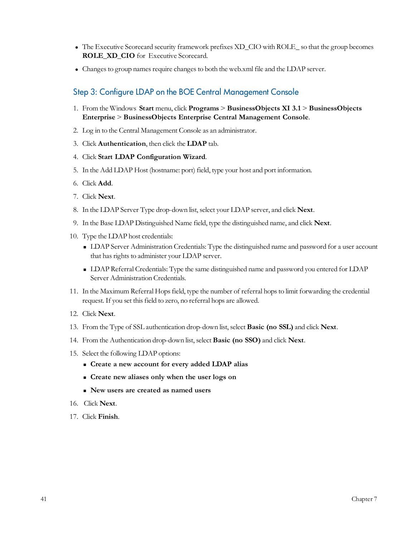- <sup>l</sup> The Executive Scorecard security framework prefixes XD\_CIO with ROLE\_ so that the group becomes **ROLE\_XD\_CIO** for Executive Scorecard.
- <span id="page-40-0"></span>• Changes to group names require changes to both the web.xml file and the LDAP server.

## Step 3: Configure LDAP on the BOE Central Management Console

- 1. From the Windows **Start** menu, click **Programs** > **BusinessObjects XI 3.1** > **BusinessObjects Enterprise** > **BusinessObjects Enterprise Central Management Console**.
- 2. Log in to the Central Management Console as an administrator.
- 3. Click **Authentication**, then click the **LDAP** tab.
- 4. Click **Start LDAP Configuration Wizard**.
- 5. In the Add LDAP Host (hostname: port) field, type your host and port information.
- 6. Click **Add**.
- 7. Click **Next**.
- 8. In the LDAP Server Type drop-down list, select your LDAP server, and click **Next**.
- 9. In the Base LDAP Distinguished Name field, type the distinguished name, and click **Next**.
- 10. Type the LDAP host credentials:
	- <sup>n</sup> LDAP Server Administration Credentials: Type the distinguished name and password for a user account that has rights to administer your LDAP server.
	- <sup>n</sup> LDAP Referral Credentials: Type the same distinguished name and password you entered for LDAP Server Administration Credentials.
- 11. In the Maximum Referral Hops field, type the number of referral hops to limit forwarding the credential request. If you set this field to zero, no referral hops are allowed.
- 12. Click **Next**.
- 13. From the Type of SSL authentication drop-down list, select **Basic (no SSL)** and click **Next**.
- 14. From the Authentication drop-down list, select **Basic (no SSO)** and click **Next**.
- 15. Select the following LDAP options:
	- <sup>n</sup> **Create a new account for every added LDAP alias**
	- <sup>n</sup> **Create new aliases only when the user logs on**
	- <sup>n</sup> **New users are created as named users**
- 16. Click **Next**.
- 17. Click **Finish**.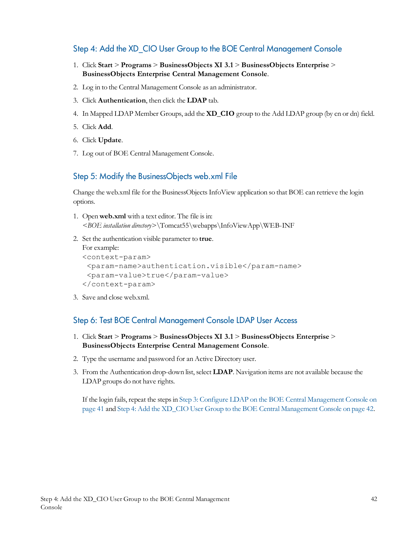## <span id="page-41-0"></span>Step 4: Add the XD\_CIO User Group to the BOE Central Management Console

- 1. Click **Start** > **Programs** > **BusinessObjects XI 3.1** > **BusinessObjects Enterprise** > **BusinessObjects Enterprise Central Management Console**.
- 2. Log in to the Central Management Console as an administrator.
- 3. Click **Authentication**, then click the **LDAP** tab.
- 4. In Mapped LDAP Member Groups, add the **XD\_CIO** group to the Add LDAP group (by cn or dn) field.
- 5. Click **Add**.
- 6. Click **Update**.
- <span id="page-41-1"></span>7. Log out of BOE Central Management Console.

## Step 5: Modify the BusinessObjects web.xml File

Change the web.xml file for the BusinessObjectsInfoView application so that BOE can retrieve the login options.

- 1. Open **web.xml** with a text editor. The file isin: *<BOE installation directory>*\Tomcat55\webapps\InfoViewApp\WEB-INF
- 2. Set the authentication visible parameter to **true**.

```
For example:
<context-param>
 <param-name>authentication.visible</param-name>
 <param-value>true</param-value>
</context-param>
```
<span id="page-41-2"></span>3. Save and close web.xml.

#### Step 6: Test BOE Central Management Console LDAP User Access

- 1. Click **Start** > **Programs** > **BusinessObjects XI 3.1** > **BusinessObjects Enterprise** > **BusinessObjects Enterprise Central Management Console**.
- 2. Type the username and password for an Active Directory user.
- 3. From the Authentication drop-down list, select **LDAP**. Navigation items are not available because the LDAP groups do not have rights.

If the login fails, repeat the steps in [Step](#page-40-0) [3:](#page-40-0) [Configure](#page-40-0) [LDAP](#page-40-0) [on](#page-40-0) [the](#page-40-0) [BOE](#page-40-0) [Central](#page-40-0) [Management](#page-40-0) [Console](#page-40-0) on [page](#page-40-0) [41](#page-40-0) and [Step](#page-41-0) [4:](#page-41-0) [Add](#page-41-0) [the](#page-41-0) [XD\\_CIO](#page-41-0) [User](#page-41-0) [Group](#page-41-0) [to](#page-41-0) [the](#page-41-0) [BOE](#page-41-0) [Central](#page-41-0) [Management](#page-41-0) [Console](#page-41-0) [on](#page-41-0) [page](#page-41-0) [42](#page-41-0).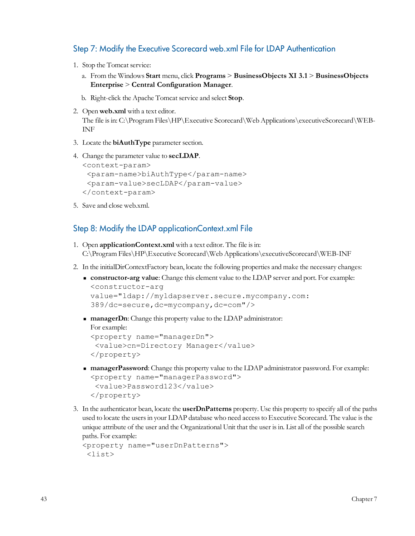## <span id="page-42-0"></span>Step 7: Modify the Executive Scorecard web.xml File for LDAP Authentication

- 1. Stop the Tomcat service:
	- a. From the Windows **Start** menu, click **Programs** > **BusinessObjects XI 3.1** > **BusinessObjects Enterprise** > **Central Configuration Manager**.
	- b. Right-click the Apache Tomcat service and select **Stop**.
- 2. Open **web.xml** with a text editor. The file isin: C:\Program Files\HP\Executive Scorecard\Web Applications\executiveScorecard\WEB-INF
- 3. Locate the **biAuthType** parameter section.
- 4. Change the parameter value to **secLDAP**.

```
<context-param>
 <param-name>biAuthType</param-name>
 <param-value>secLDAP</param-value>
</context-param>
```
<span id="page-42-1"></span>5. Save and close web.xml.

#### Step 8: Modify the LDAP applicationContext.xml File

- 1. Open **applicationContext.xml** with a text editor. The file isin: C:\Program Files\HP\Executive Scorecard\Web Applications\executiveScorecard\WEB-INF
- 2. In the initialDirContextFactory bean, locate the following properties and make the necessary changes:
	- <sup>n</sup> **constructor-arg value**: Change this element value to the LDAP server and port. For example: <constructor-arg value="ldap://myldapserver.secure.mycompany.com:

```
389/dc=secure,dc=mycompany,dc=com"/>
```
**n managerDn**: Change this property value to the LDAP administrator:

```
For example:
<property name="managerDn">
 <value>cn=Directory Manager</value>
</property>
```
- <sup>n</sup> **managerPassword**: Change this property value to the LDAP administrator password. For example: <property name="managerPassword"> <value>Password123</value> </property>
- 3. In the authenticator bean, locate the **userDnPatterns** property. Use this property to specify all of the paths used to locate the users in your LDAP database who need access to Executive Scorecard. The value is the unique attribute of the user and the Organizational Unit that the user isin. List all of the possible search paths. For example:

```
<property name="userDnPatterns">
 <list>
```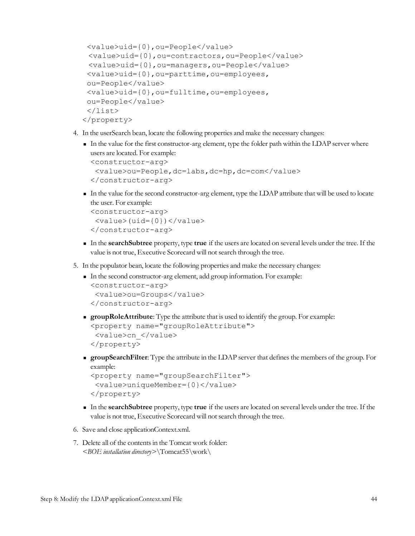```
<value>uid={0},ou=People</value>
 <value>uid={0},ou=contractors,ou=People</value>
 <value>uid={0},ou=managers,ou=People</value>
 <value>uid={0},ou=parttime,ou=employees,
 ou=People</value>
 <value>uid={0},ou=fulltime,ou=employees,
 ou=People</value>
 </list>
</property>
```
- 4. In the userSearch bean, locate the following properties and make the necessary changes:
	- <sup>n</sup> In the value for the first constructor-arg element, type the folder path within the LDAP server where users are located. For example: <constructor-arg> <value>ou=People,dc=labs,dc=hp,dc=com</value> </constructor-arg>
	- <sup>n</sup> In the value for the second constructor-arg element, type the LDAP attribute that will be used to locate the user. For example:

```
<constructor-arg>
 <value>(uid={0})</value>
</constructor-arg>
```
- <sup>n</sup> In the **searchSubtree** property, type **true** if the users are located on several levels under the tree. If the value is not true, Executive Scorecard will not search through the tree.
- 5. In the populator bean, locate the following properties and make the necessary changes:
	- <sup>n</sup> In the second constructor-arg element, add group information. For example: <constructor-arg>

```
<value>ou=Groups</value>
</constructor-arg>
```
- <sup>n</sup> **groupRoleAttribute**: Type the attribute that is used to identify the group. For example: <property name="groupRoleAttribute"> <value>cn\_</value> </property>
- <sup>n</sup> **groupSearchFilter**: Type the attribute in the LDAP server that definesthe members of the group. For example:

```
<property name="groupSearchFilter">
 <value>uniqueMember={0}</value>
</property>
```
- <sup>n</sup> In the **searchSubtree** property, type **true** if the users are located on several levels under the tree. If the value is not true, Executive Scorecard will not search through the tree.
- 6. Save and close applicationContext.xml.
- 7. Delete all of the contentsin the Tomcat work folder: *<BOE installation directory>*\Tomcat55\work\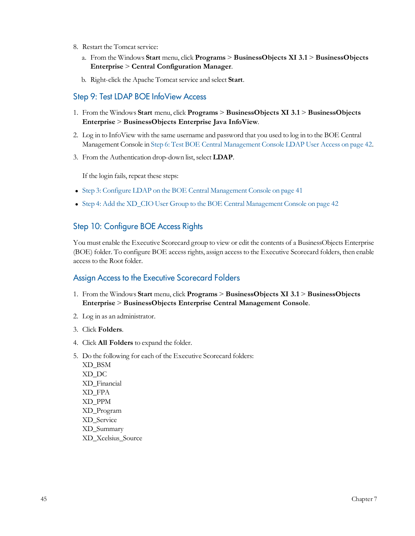- 8. Restart the Tomcat service:
	- a. From the Windows **Start** menu, click **Programs** > **BusinessObjects XI 3.1** > **BusinessObjects Enterprise** > **Central Configuration Manager**.
	- b. Right-click the Apache Tomcat service and select **Start**.

### <span id="page-44-0"></span>Step 9: Test LDAP BOE InfoView Access

- 1. From the Windows **Start** menu, click **Programs** > **BusinessObjects XI 3.1** > **BusinessObjects Enterprise** > **BusinessObjects Enterprise Java InfoView**.
- 2. Log in to InfoView with the same username and password that you used to log in to the BOE Central Management Console in [Step](#page-41-2) [6:](#page-41-2) [Test](#page-41-2) [BOE](#page-41-2) [Central](#page-41-2) [Management](#page-41-2) [Console](#page-41-2) [LDAP](#page-41-2) [User](#page-41-2) [Access](#page-41-2) [on](#page-41-2) [page](#page-41-2) [42](#page-41-2).
- 3. From the Authentication drop-down list, select **LDAP**.

If the login fails, repeat these steps:

- [Step](#page-40-0) [3:](#page-40-0) [Configure](#page-40-0) [LDAP](#page-40-0) [on](#page-40-0) [the](#page-40-0) [BOE](#page-40-0) [Central](#page-40-0) [Management](#page-40-0) [Console](#page-40-0) on [page](#page-40-0) [41](#page-40-0)
- <span id="page-44-1"></span>• [Step](#page-41-0) [4:](#page-41-0) [Add](#page-41-0) [the](#page-41-0) [XD\\_CIO](#page-41-0) [User](#page-41-0) [Group](#page-41-0) [to](#page-41-0) the [BOE](#page-41-0) [Central](#page-41-0) [Management](#page-41-0) [Console](#page-41-0) [on](#page-41-0) [page](#page-41-0) [42](#page-41-0)

## Step 10: Configure BOE Access Rights

You must enable the Executive Scorecard group to view or edit the contents of a BusinessObjects Enterprise (BOE) folder. To configure BOE access rights, assign access to the Executive Scorecard folders, then enable access to the Root folder.

#### Assign Access to the Executive Scorecard Folders

- 1. From the Windows **Start** menu, click **Programs** > **BusinessObjects XI 3.1** > **BusinessObjects Enterprise** > **BusinessObjects Enterprise Central Management Console**.
- 2. Log in as an administrator.
- 3. Click **Folders**.
- 4. Click **All Folders** to expand the folder.
- 5. Do the following for each of the Executive Scorecard folders: XD\_BSM XD\_DC XD\_Financial XD\_FPA XD\_PPM XD\_Program XD\_Service XD\_Summary XD\_Xcelsius\_Source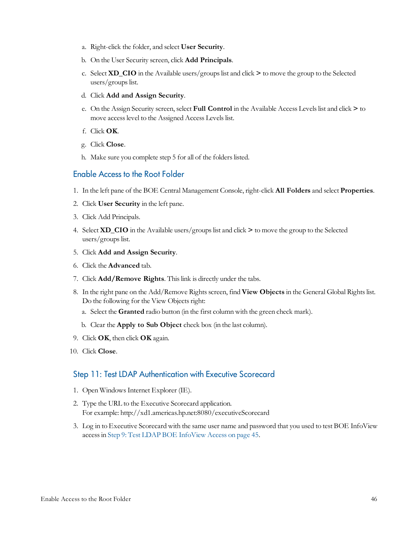- a. Right-click the folder, and select **User Security**.
- b. On the User Security screen, click **Add Principals**.
- c. Select **XD\_CIO** in the Available users/groupslist and click **>** to move the group to the Selected users/groups list.
- d. Click **Add and Assign Security**.
- e. On the Assign Security screen, select **Full Control** in the Available Access Levelslist and click **>** to move access level to the Assigned Access Levels list.
- f. Click **OK**.
- g. Click **Close**.
- h. Make sure you complete step 5 for all of the folders listed.

#### Enable Access to the Root Folder

- 1. In the left pane of the BOE Central Management Console, right-click **All Folders** and select **Properties**.
- 2. Click **User Security** in the left pane.
- 3. Click Add Principals.
- 4. Select **XD\_CIO** in the Available users/groupslist and click **>** to move the group to the Selected users/groups list.
- 5. Click **Add and Assign Security**.
- 6. Click the **Advanced** tab.
- 7. Click **Add/Remove Rights**. Thislink is directly under the tabs.
- 8. In the right pane on the Add/Remove Rights screen, find **View Objects** in the General Global Rights list. Do the following for the View Objects right:
	- a. Select the **Granted** radio button (in the first column with the green check mark).
	- b. Clear the **Apply to Sub Object** check box (in the last column).
- 9. Click **OK**, then click **OK** again.
- <span id="page-45-0"></span>10. Click **Close**.

#### Step 11: Test LDAP Authentication with Executive Scorecard

- 1. Open WindowsInternet Explorer (IE).
- 2. Type the URL to the Executive Scorecard application. For example: http://xd1.americas.hp.net:8080/executiveScorecard
- 3. Log in to Executive Scorecard with the same user name and password that you used to test BOE InfoView accessin [Step](#page-44-0) [9:](#page-44-0) [Test](#page-44-0) [LDAP](#page-44-0) [BOE](#page-44-0) [InfoView](#page-44-0) [Access](#page-44-0) [on](#page-44-0) [page](#page-44-0) [45.](#page-44-0)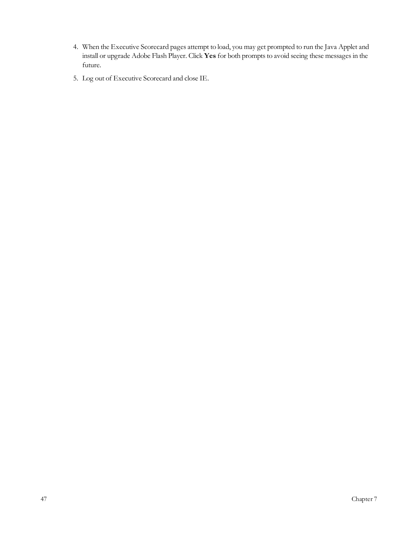- 4. When the Executive Scorecard pages attempt to load, you may get prompted to run the Java Applet and install or upgrade Adobe Flash Player. Click Yes for both prompts to avoid seeing these messages in the future.
- 5. Log out of Executive Scorecard and close IE.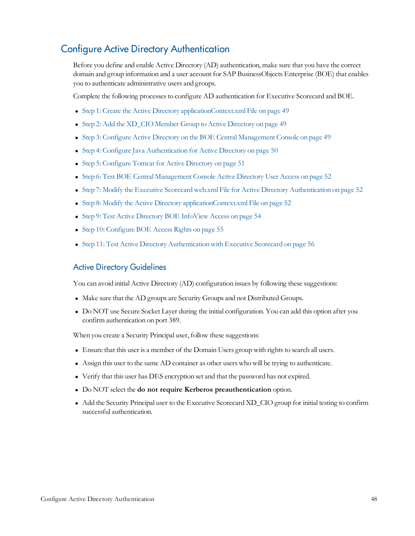## <span id="page-47-0"></span>Configure Active Directory Authentication

Before you define and enable Active Directory (AD) authentication, make sure that you have the correct domain and group information and a user account for SAP BusinessObjects Enterprise (BOE) that enables you to authenticate administrative users and groups.

Complete the following processesto configure AD authentication for Executive Scorecard and BOE.

- [Step](#page-48-0) [1:](#page-48-0) [Create](#page-48-0) [the](#page-48-0) [Active](#page-48-0) [Directory](#page-48-0) [applicationContext.xml](#page-48-0) [File](#page-48-0) [on](#page-48-0) [page](#page-48-0) [49](#page-48-0)
- [Step](#page-48-1) [2:](#page-48-1) [Add](#page-48-1) [the](#page-48-1) [XD\\_CIO](#page-48-1) [Member](#page-48-1) [Group](#page-48-1) [to](#page-48-1) [Active](#page-48-1) [Directory](#page-48-1) [on](#page-48-1) [page](#page-48-1) [49](#page-48-1)
- [Step](#page-48-2) [3:](#page-48-2) [Configure](#page-48-2) [Active](#page-48-2) [Directory](#page-48-2) [on](#page-48-2) [the](#page-48-2) [BOE](#page-48-2) [Central](#page-48-2) [Management](#page-48-2) [Console](#page-48-2) on [page](#page-48-2) [49](#page-48-2)
- [Step](#page-49-0) [4:](#page-49-0) [Configure](#page-49-0) [Java](#page-49-0) [Authentication](#page-49-0) [for](#page-49-0) [Active](#page-49-0) [Directory](#page-49-0) [on](#page-49-0) [page](#page-49-0) [50](#page-49-0)
- [Step](#page-50-0) [5:](#page-50-0) [Configure](#page-50-0) [Tomcat](#page-50-0) [for](#page-50-0) [Active](#page-50-0) [Directory](#page-50-0) [on](#page-50-0) [page](#page-50-0) [51](#page-50-0)
- [Step](#page-51-0) [6:](#page-51-0) [Test](#page-51-0) [BOE](#page-51-0) [Central](#page-51-0) [Management](#page-51-0) [Console](#page-51-0) [Active](#page-51-0) [Directory](#page-51-0) [User](#page-51-0) [Access](#page-51-0) [on](#page-51-0) [page](#page-51-0) [52](#page-51-0)
- [Step](#page-51-1) [7:](#page-51-1) [Modify](#page-51-1) [the](#page-51-1) [Executive](#page-51-1) [Scorecard](#page-51-1) [web.xml](#page-51-1) [File](#page-51-1) [for](#page-51-1) [Active](#page-51-1) [Directory](#page-51-1) [Authentication](#page-51-1) [on](#page-51-1) [page](#page-51-1) [52](#page-51-1)
- [Step](#page-51-2) [8:](#page-51-2) [Modify](#page-51-2) [the](#page-51-2) [Active](#page-51-2) [Directory](#page-51-2) [applicationContext.xml](#page-51-2) [File](#page-51-2) [on](#page-51-2) [page](#page-51-2) [52](#page-51-2)
- [Step](#page-53-0) [9:](#page-53-0) [Test](#page-53-0) [Active](#page-53-0) [Directory](#page-53-0) [BOE](#page-53-0) [InfoView](#page-53-0) [Access](#page-53-0) [on](#page-53-0) [page](#page-53-0) [54](#page-53-0)
- [Step](#page-54-0) [10:](#page-54-0) [Configure](#page-54-0) [BOE](#page-54-0) [Access](#page-54-0) [Rights](#page-54-0) [on](#page-54-0) [page](#page-54-0) [55](#page-54-0)
- [Step](#page-55-0) [11:](#page-55-0) [Test](#page-55-0) [Active](#page-55-0) [Directory](#page-55-0) [Authentication](#page-55-0) [with](#page-55-0) [Executive](#page-55-0) [Scorecard](#page-55-0) [on](#page-55-0) [page](#page-55-0) [56](#page-55-0)

#### Active Directory Guidelines

You can avoid initial Active Directory (AD) configuration issues by following these suggestions:

- Make sure that the AD groups are Security Groups and not Distributed Groups.
- Do NOT use Secure Socket Layer during the initial configuration. You can add this option after you confirm authentication on port 389.

When you create a Security Principal user, follow these suggestions:

- Ensure that this user is a member of the Domain Users group with rights to search all users.
- <sup>l</sup> Assign this user to the same AD container as other users who will be trying to authenticate.
- Verify that this user has DES encryption set and that the password has not expired.
- <sup>l</sup> Do NOT select the **do not require Kerberos preauthentication** option.
- Add the Security Principal user to the Executive Scorecard XD\_CIO group for initial testing to confirm successful authentication.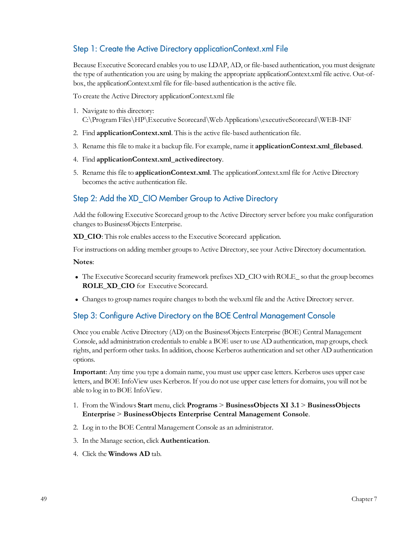## <span id="page-48-0"></span>Step 1: Create the Active Directory applicationContext.xml File

Because Executive Scorecard enables you to use LDAP, AD, or file-based authentication, you must designate the type of authentication you are using by making the appropriate applicationContext.xml file active. Out-ofbox, the applicationContext.xml file for file-based authentication isthe active file.

To create the Active Directory applicationContext.xml file

- 1. Navigate to this directory: C:\Program Files\HP\Executive Scorecard\Web Applications\executiveScorecard\WEB-INF
- 2. Find **applicationContext.xml**. This is the active file-based authentication file.
- 3. Rename thisfile to make it a backup file. For example, name it **applicationContext.xml\_filebased**.
- 4. Find **applicationContext.xml\_activedirectory**.
- 5. Rename thisfile to **applicationContext.xml**. The applicationContext.xml file for Active Directory becomes the active authentication file.

## <span id="page-48-1"></span>Step 2: Add the XD\_CIO Member Group to Active Directory

Add the following Executive Scorecard group to the Active Directory server before you make configuration changes to BusinessObjects Enterprise.

**XD\_CIO**: Thisrole enables accessto the Executive Scorecard application.

For instructions on adding member groups to Active Directory, see your Active Directory documentation.

**Notes**:

- <sup>l</sup> The Executive Scorecard security framework prefixes XD\_CIO with ROLE\_ so that the group becomes **ROLE\_XD\_CIO** for Executive Scorecard.
- <span id="page-48-2"></span>• Changes to group names require changes to both the web.xml file and the Active Directory server.

## Step 3: Configure Active Directory on the BOE Central Management Console

Once you enable Active Directory (AD) on the BusinessObjects Enterprise (BOE) Central Management Console, add administration credentialsto enable a BOE user to use AD authentication, map groups, check rights, and perform other tasks. In addition, choose Kerberos authentication and set other AD authentication options.

**Important**: Any time you type a domain name, you must use upper case letters. Kerberos uses upper case letters, and BOE InfoView uses Kerberos. If you do not use upper case lettersfor domains, you will not be able to log in to BOE InfoView.

- 1. From the Windows **Start** menu, click **Programs** > **BusinessObjects XI 3.1** > **BusinessObjects Enterprise** > **BusinessObjects Enterprise Central Management Console**.
- 2. Log in to the BOE Central Management Console as an administrator.
- 3. In the Manage section, click **Authentication**.
- 4. Click the **Windows AD** tab.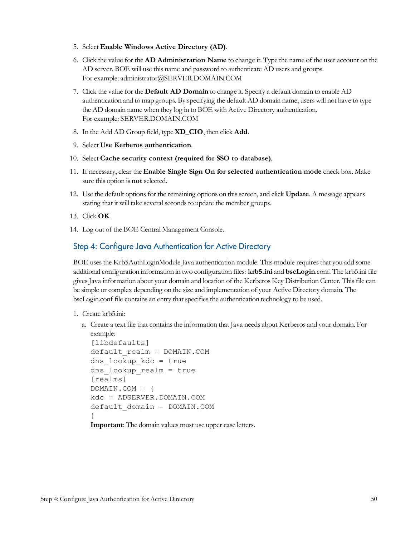- 5. Select **Enable Windows Active Directory (AD)**.
- 6. Click the value for the **AD Administration Name** to change it. Type the name of the user account on the AD server. BOE will use this name and password to authenticate AD users and groups. For example: administrator@SERVER.DOMAIN.COM
- 7. Click the value for the **Default AD Domain** to change it. Specify a default domain to enable AD authentication and to map groups. By specifying the default AD domain name, users will not have to type the AD domain name when they log in to BOE with Active Directory authentication. For example: SERVER.DOMAIN.COM
- 8. In the Add AD Group field, type **XD\_CIO**, then click **Add**.
- 9. Select **Use Kerberos authentication**.
- 10. Select **Cache security context (required for SSO to database)**.
- 11. If necessary, clear the **Enable Single Sign On for selected authentication mode** check box. Make sure this option is **not** selected.
- 12. Use the default optionsfor the remaining options on thisscreen, and click **Update**. A message appears stating that it will take several seconds to update the member groups.
- 13. Click **OK**.
- <span id="page-49-0"></span>14. Log out of the BOE Central Management Console.

### Step 4: Configure Java Authentication for Active Directory

BOE uses the Krb5AuthLoginModule Java authentication module. This module requires that you add some additional configuration information in two configuration files: **krb5.ini** and **bscLogin**.conf. The krb5.ini file givesJava information about your domain and location of the Kerberos Key Distribution Center. Thisfile can be simple or complex depending on the size and implementation of your Active Directory domain. The bscLogin.conf file contains an entry that specifies the authentication technology to be used.

- 1. Create krb5.ini:
	- a. Create a text file that containsthe information that Java needs about Kerberos and your domain. For example:

```
[libdefaults]
default_realm = DOMAIN.COM
dns_lookup_kdc = true
dns lookup realm = true
[realms]
DOMAIN.COM = {
kdc = ADSERVER.DOMAIN.COM
default_domain = DOMAIN.COM
}
Important: The domain values must use upper case letters.
```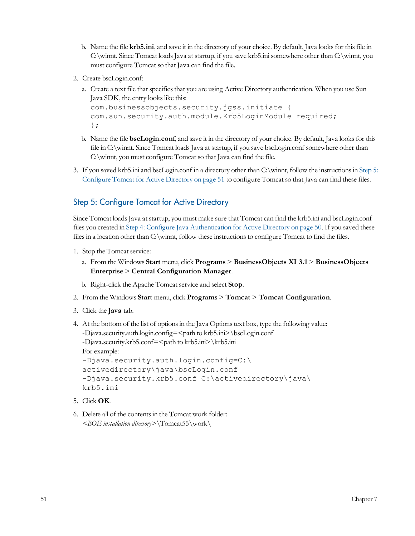- b. Name the file **krb5.ini**, and save it in the directory of your choice. By default, Java looks for this file in C:\winnt. Since Tomcat loads Java at startup, if you save krb5.ini somewhere other than C:\winnt, you must configure Tomcat so that Java can find the file.
- 2. Create bscLogin.conf:
	- a. Create a text file that specifies that you are using Active Directory authentication. When you use Sun Java SDK, the entry looks like this:

```
com.businessobjects.security.jgss.initiate {
com.sun.security.auth.module.Krb5LoginModule required;
};
```
- b. Name the file **bscLogin.conf**, and save it in the directory of your choice. By default, Java looksfor this file in C:\winnt. Since Tomcat loads Java at startup, if you save bscLogin.conf somewhere other than C:\winnt, you must configure Tomcat so that Java can find the file.
- 3. If you saved krb5.ini and bscLogin.conf in a directory other than C:\winnt, follow the instructionsin [Step](#page-50-0) [5:](#page-50-0) [Configure](#page-50-0) [Tomcat](#page-50-0) [for](#page-50-0) [Active](#page-50-0) [Directory](#page-50-0) [on](#page-50-0) [page](#page-50-0) [51](#page-50-0) to configure Tomcat so that Java can find these files.

## <span id="page-50-0"></span>Step 5: Configure Tomcat for Active Directory

Since Tomcat loads Java at startup, you must make sure that Tomcat can find the krb5.ini and bscLogin.conf files you created in [Step](#page-49-0) [4:](#page-49-0) [Configure](#page-49-0) [Java](#page-49-0) [Authentication](#page-49-0) [for](#page-49-0) [Active](#page-49-0) [Directory](#page-49-0) [on](#page-49-0) [page](#page-49-0) [50.](#page-49-0) If you saved these files in a location other than C:\winnt, follow these instructions to configure Tomcat to find the files.

- 1. Stop the Tomcat service:
	- a. From the Windows **Start** menu, click **Programs** > **BusinessObjects XI 3.1** > **BusinessObjects Enterprise** > **Central Configuration Manager**.
	- b. Right-click the Apache Tomcat service and select **Stop**.
- 2. From the Windows **Start** menu, click **Programs** > **Tomcat** > **Tomcat Configuration**.
- 3. Click the **Java** tab.
- 4. At the bottom of the list of optionsin the Java Optionstext box, type the following value: -Djava.security.auth.login.config=<path to krb5.ini>\bscLogin.conf -Djava.security.krb5.conf=<path to krb5.ini>\krb5.ini For example: -Djava.security.auth.login.config=C:\ activedirectory\java\bscLogin.conf -Djava.security.krb5.conf=C:\activedirectory\java\ krb5.ini
- 5. Click **OK**.
- 6. Delete all of the contentsin the Tomcat work folder: *<BOE installation directory>*\Tomcat55\work\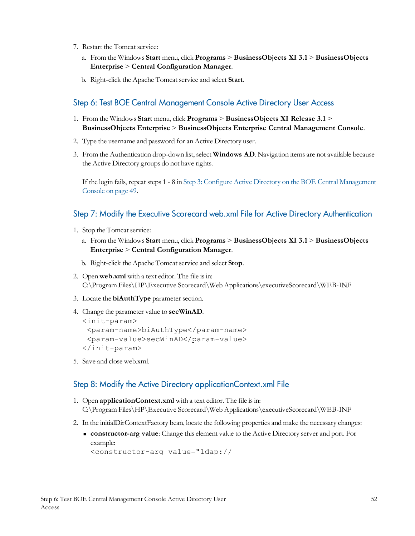- 7. Restart the Tomcat service:
	- a. From the Windows **Start** menu, click **Programs** > **BusinessObjects XI 3.1** > **BusinessObjects Enterprise** > **Central Configuration Manager**.
	- b. Right-click the Apache Tomcat service and select **Start**.

### <span id="page-51-0"></span>Step 6: Test BOE Central Management Console Active Directory User Access

- 1. From the Windows **Start** menu, click **Programs** > **BusinessObjects XI Release 3.1** > **BusinessObjects Enterprise** > **BusinessObjects Enterprise Central Management Console**.
- 2. Type the username and password for an Active Directory user.
- 3. From the Authentication drop-down list, select **Windows AD**. Navigation items are not available because the Active Directory groups do not have rights.

If the login fails, repeat steps 1 - 8 in [Step](#page-48-2) [3:](#page-48-2) [Configure](#page-48-2) [Active](#page-48-2) [Directory](#page-48-2) [on](#page-48-2) [the](#page-48-2) [BOE](#page-48-2) [Central](#page-48-2) [Management](#page-48-2) [Console](#page-48-2) [on](#page-48-2) [page](#page-48-2) [49.](#page-48-2)

### <span id="page-51-1"></span>Step 7: Modify the Executive Scorecard web.xml File for Active Directory Authentication

- 1. Stop the Tomcat service:
	- a. From the Windows **Start** menu, click **Programs** > **BusinessObjects XI 3.1** > **BusinessObjects Enterprise** > **Central Configuration Manager**.
	- b. Right-click the Apache Tomcat service and select **Stop**.
- 2. Open **web.xml** with a text editor. The file isin: C:\Program Files\HP\Executive Scorecard\Web Applications\executiveScorecard\WEB-INF
- 3. Locate the **biAuthType** parameter section.
- 4. Change the parameter value to **secWinAD**.

```
<init-param>
 <param-name>biAuthType</param-name>
 <param-value>secWinAD</param-value>
</init-param>
```
<span id="page-51-2"></span>5. Save and close web.xml.

## Step 8: Modify the Active Directory applicationContext.xml File

- 1. Open **applicationContext.xml** with a text editor. The file isin: C:\Program Files\HP\Executive Scorecard\Web Applications\executiveScorecard\WEB-INF
- 2. In the initialDirContextFactory bean, locate the following properties and make the necessary changes:
	- <sup>n</sup> **constructor-arg value**: Change this element value to the Active Directory server and port. For example:

```
<constructor-arg value="ldap://
```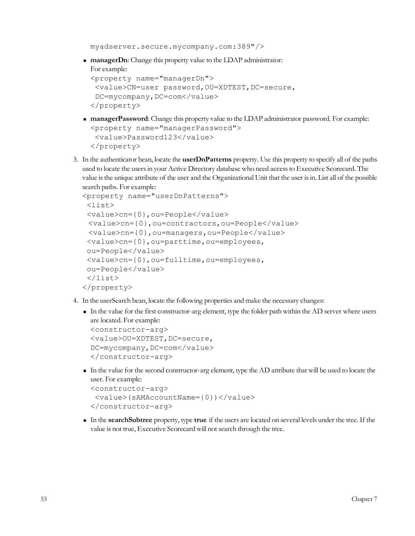```
myadserver.secure.mycompany.com:389"/>
```
**n managerDn**: Change this property value to the LDAP administrator: For example:

```
<property name="managerDn">
<value>CN=user password,OU=XDTEST,DC=secure,
 DC=mycompany, DC=com</value>
</property>
```
- **n managerPassword**: Change this property value to the LDAP administrator password. For example: <property name="managerPassword"> <value>Password123</value> </property>
- 3. In the authenticator bean, locate the **userDnPatterns** property. Use this property to specify all of the paths used to locate the usersin your Active Directory database who need accessto Executive Scorecard. The value isthe unique attribute of the user and the Organizational Unit that the user isin. List all of the possible search paths. For example:

```
<property name="userDnPatterns">
 <list>
 <value>cn={0},ou=People</value>
 <value>cn={0},ou=contractors,ou=People</value>
 <value>cn={0},ou=managers,ou=People</value>
 <value>cn={0},ou=parttime,ou=employees,
 ou=People</value>
 <value>cn={0},ou=fulltime,ou=employees,
 ou=People</value>
 </list>
</property>
```
- 4. In the userSearch bean, locate the following properties and make the necessary changes:
	- <sup>n</sup> In the value for the first constructor-arg element, type the folder path within the AD server where users are located. For example: <constructor-arg> <value>OU=XDTEST,DC=secure, DC=mycompany, DC=com</value> </constructor-arg>
	- <sup>n</sup> In the value for the second constructor-arg element, type the AD attribute that will be used to locate the user. For example:

```
<constructor-arg>
 <value>(sAMAccountName={0})</value>
</constructor-arg>
```
<sup>n</sup> In the **searchSubtree** property, type **true** if the users are located on several levels under the tree. If the value is not true, Executive Scorecard will not search through the tree.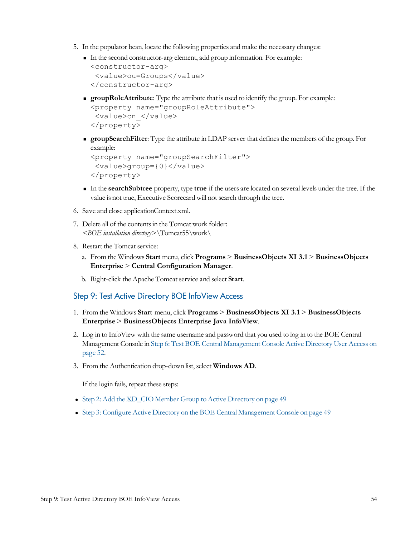- 5. In the populator bean, locate the following properties and make the necessary changes:
	- <sup>n</sup> In the second constructor-arg element, add group information. For example:

```
<constructor-arg>
 <value>ou=Groups</value>
</constructor-arg>
```
**groupRoleAttribute**: Type the attribute that is used to identify the group. For example: <property name="groupRoleAttribute"> <value>cn\_</value>

```
</property>
```
**groupSearchFilter**: Type the attribute in LDAP server that defines the members of the group. For example:

```
<property name="groupSearchFilter">
 <value>group={0}</value>
</property>
```
- <sup>n</sup> In the **searchSubtree** property, type **true** if the users are located on several levels under the tree. If the value is not true, Executive Scorecard will not search through the tree.
- 6. Save and close applicationContext.xml.
- 7. Delete all of the contentsin the Tomcat work folder: *<BOE installation directory>*\Tomcat55\work\
- 8. Restart the Tomcat service:
	- a. From the Windows **Start** menu, click **Programs** > **BusinessObjects XI 3.1** > **BusinessObjects Enterprise** > **Central Configuration Manager**.
	- b. Right-click the Apache Tomcat service and select **Start**.

#### <span id="page-53-0"></span>Step 9: Test Active Directory BOE InfoView Access

- 1. From the Windows **Start** menu, click **Programs** > **BusinessObjects XI 3.1** > **BusinessObjects Enterprise** > **BusinessObjects Enterprise Java InfoView**.
- 2. Log in to InfoView with the same username and password that you used to log in to the BOE Central Management Console in [Step](#page-51-0) [6:](#page-51-0) [Test](#page-51-0) [BOE](#page-51-0) [Central](#page-51-0) [Management](#page-51-0) [Console](#page-51-0) [Active](#page-51-0) [Directory](#page-51-0) [User](#page-51-0) [Access](#page-51-0) [on](#page-51-0) [page](#page-51-0) [52.](#page-51-0)
- 3. From the Authentication drop-down list, select **Windows AD**.

If the login fails, repeat these steps:

- [Step](#page-48-1) [2:](#page-48-1) [Add](#page-48-1) [the](#page-48-1) [XD\\_CIO](#page-48-1) [Member](#page-48-1) [Group](#page-48-1) [to](#page-48-1) [Active](#page-48-1) [Directory](#page-48-1) [on](#page-48-1) [page](#page-48-1) [49](#page-48-1)
- [Step](#page-48-2) [3:](#page-48-2) [Configure](#page-48-2) [Active](#page-48-2) [Directory](#page-48-2) [on](#page-48-2) [the](#page-48-2) [BOE](#page-48-2) [Central](#page-48-2) [Management](#page-48-2) [Console](#page-48-2) on [page](#page-48-2) [49](#page-48-2)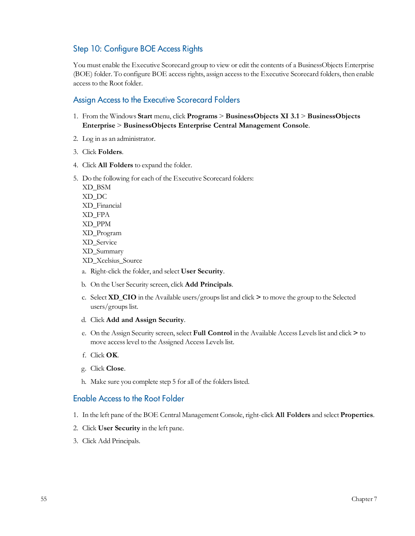## <span id="page-54-0"></span>Step 10: Configure BOE Access Rights

You must enable the Executive Scorecard group to view or edit the contents of a BusinessObjects Enterprise (BOE) folder. To configure BOE access rights, assign access to the Executive Scorecard folders, then enable access to the Root folder.

## Assign Access to the Executive Scorecard Folders

- 1. From the Windows **Start** menu, click **Programs** > **BusinessObjects XI 3.1** > **BusinessObjects Enterprise** > **BusinessObjects Enterprise Central Management Console**.
- 2. Log in as an administrator.
- 3. Click **Folders**.
- 4. Click **All Folders** to expand the folder.
- 5. Do the following for each of the Executive Scorecard folders:

XD\_BSM XD\_DC XD\_Financial XD\_FPA XD\_PPM XD\_Program XD\_Service XD\_Summary XD\_Xcelsius\_Source

- a. Right-click the folder, and select **User Security**.
- b. On the User Security screen, click **Add Principals**.
- c. Select **XD\_CIO** in the Available users/groupslist and click **>** to move the group to the Selected users/groups list.
- d. Click **Add and Assign Security**.
- e. On the Assign Security screen, select **Full Control** in the Available Access Levelslist and click **>** to move access level to the Assigned Access Levels list.
- f. Click **OK**.
- g. Click **Close**.
- h. Make sure you complete step 5 for all of the folders listed.

#### Enable Access to the Root Folder

- 1. In the left pane of the BOE Central Management Console, right-click **All Folders** and select **Properties**.
- 2. Click **User Security** in the left pane.
- 3. Click Add Principals.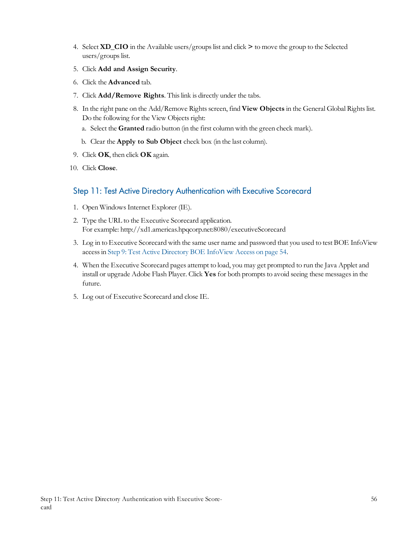- 4. Select **XD\_CIO** in the Available users/groupslist and click **>** to move the group to the Selected  $users/groups$  list.
- 5. Click **Add and Assign Security**.
- 6. Click the **Advanced** tab.
- 7. Click **Add/Remove Rights**. Thislink is directly under the tabs.
- 8. In the right pane on the Add/Remove Rights screen, find **View Objects** in the General Global Rights list. Do the following for the View Objects right:
	- a. Select the **Granted** radio button (in the first column with the green check mark).
	- b. Clear the **Apply to Sub Object** check box (in the last column).
- 9. Click **OK**, then click **OK** again.
- <span id="page-55-0"></span>10. Click **Close**.

## Step 11: Test Active Directory Authentication with Executive Scorecard

- 1. Open WindowsInternet Explorer (IE).
- 2. Type the URL to the Executive Scorecard application. For example: http://xd1.americas.hpqcorp.net:8080/executiveScorecard
- 3. Log in to Executive Scorecard with the same user name and password that you used to test BOE InfoView accessin [Step](#page-53-0) [9:](#page-53-0) [Test](#page-53-0) [Active](#page-53-0) [Directory](#page-53-0) [BOE](#page-53-0) [InfoView](#page-53-0) [Access](#page-53-0) [on](#page-53-0) [page](#page-53-0) [54](#page-53-0).
- 4. When the Executive Scorecard pages attempt to load, you may get prompted to run the Java Applet and install or upgrade Adobe Flash Player. Click Yes for both prompts to avoid seeing these messages in the future.
- 5. Log out of Executive Scorecard and close IE.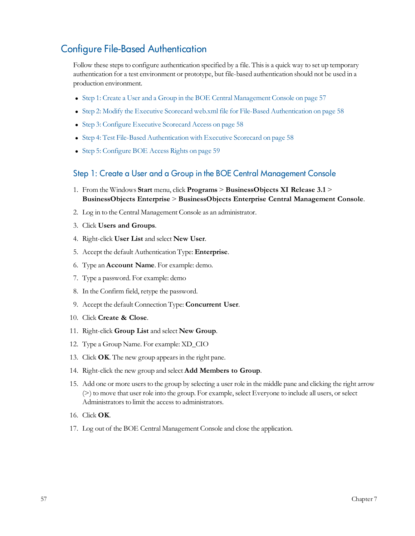## <span id="page-56-0"></span>Configure File-Based Authentication

Follow these steps to configure authentication specified by a file. This is a quick way to set up temporary authentication for a test environment or prototype, but file-based authentication should not be used in a production environment.

- [Step](#page-56-1) [1:](#page-56-1) [Create](#page-56-1) [a](#page-56-1) [User](#page-56-1) [and](#page-56-1) a [Group](#page-56-1) [in](#page-56-1) [the](#page-56-1) [BOE](#page-56-1) [Central](#page-56-1) [Management](#page-56-1) [Console](#page-56-1) [on](#page-56-1) [page](#page-56-1) [57](#page-56-1)
- [Step](#page-57-0) [2:](#page-57-0) [Modify](#page-57-0) [the](#page-57-0) [Executive](#page-57-0) [Scorecard](#page-57-0) [web.xml](#page-57-0) [file](#page-57-0) [for](#page-57-0) [File-Based](#page-57-0) [Authentication](#page-57-0) [on](#page-57-0) [page](#page-57-0) [58](#page-57-0)
- [Step](#page-57-1) [3:](#page-57-1) [Configure](#page-57-1) [Executive](#page-57-1) [Scorecard](#page-57-1) [Access](#page-57-1) [on](#page-57-1) [page](#page-57-1) [58](#page-57-1)
- [Step](#page-57-2) [4:](#page-57-2) [Test](#page-57-2) [File-Based](#page-57-2) [Authentication](#page-57-2) [with](#page-57-2) [Executive](#page-57-2) [Scorecard](#page-57-2) [on](#page-57-2) [page](#page-57-2) [58](#page-57-2)
- <span id="page-56-1"></span>• [Step](#page-58-0) [5:](#page-58-0) [Configure](#page-58-0) [BOE](#page-58-0) [Access](#page-58-0) [Rights](#page-58-0) [on](#page-58-0) [page](#page-58-0) [59](#page-58-0)

#### Step 1: Create a User and a Group in the BOE Central Management Console

- 1. From the Windows **Start** menu, click **Programs** > **BusinessObjects XI Release 3.1** > **BusinessObjects Enterprise** > **BusinessObjects Enterprise Central Management Console**.
- 2. Log in to the Central Management Console as an administrator.
- 3. Click **Users and Groups**.
- 4. Right-click **User List** and select **New User**.
- 5. Accept the default Authentication Type: **Enterprise**.
- 6. Type an **Account Name**. For example: demo.
- 7. Type a password. For example: demo
- 8. In the Confirm field, retype the password.
- 9. Accept the default Connection Type: **Concurrent User**.
- 10. Click **Create & Close**.
- 11. Right-click **Group List** and select **New Group**.
- 12. Type a Group Name. For example: XD\_CIO
- 13. Click **OK**. The new group appearsin the right pane.
- 14. Right-click the new group and select **Add Members to Group**.
- 15. Add one or more usersto the group by selecting a user role in the middle pane and clicking the right arrow (>) to move that user role into the group. For example, select Everyone to include all users, or select Administrators to limit the access to administrators.
- 16. Click **OK**.
- 17. Log out of the BOE Central Management Console and close the application.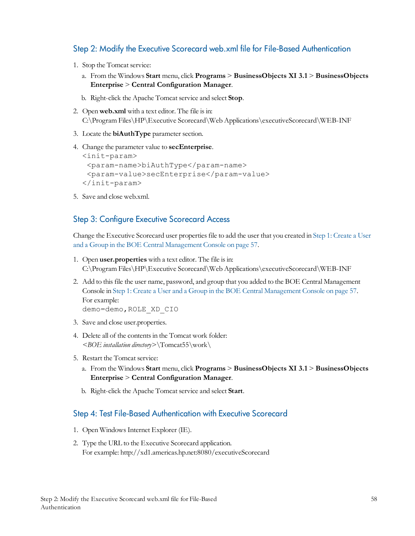## <span id="page-57-0"></span>Step 2: Modify the Executive Scorecard web.xml file for File-Based Authentication

- 1. Stop the Tomcat service:
	- a. From the Windows **Start** menu, click **Programs** > **BusinessObjects XI 3.1** > **BusinessObjects Enterprise** > **Central Configuration Manager**.
	- b. Right-click the Apache Tomcat service and select **Stop**.
- 2. Open **web.xml** with a text editor. The file is in: C:\Program Files\HP\Executive Scorecard\Web Applications\executiveScorecard\WEB-INF
- 3. Locate the **biAuthType** parameter section.
- 4. Change the parameter value to **secEnterprise**.

```
<init-param>
 <param-name>biAuthType</param-name>
 <param-value>secEnterprise</param-value>
</init-param>
```
<span id="page-57-1"></span>5. Save and close web.xml.

### Step 3: Configure Executive Scorecard Access

Change the Executive Scorecard user propertiesfile to add the user that you created in [Step](#page-56-1) [1:](#page-56-1) [Create](#page-56-1) [a](#page-56-1) [User](#page-56-1) [and](#page-56-1) [a](#page-56-1) [Group](#page-56-1) [in](#page-56-1) [the](#page-56-1) [BOE](#page-56-1) [Central](#page-56-1) [Management](#page-56-1) [Console](#page-56-1) [on](#page-56-1) [page](#page-56-1) [57](#page-56-1).

- 1. Open **user.properties** with a text editor. The file isin: C:\Program Files\HP\Executive Scorecard\Web Applications\executiveScorecard\WEB-INF
- 2. Add to thisfile the user name, password, and group that you added to the BOE Central Management Console in [Step](#page-56-1) [1:](#page-56-1) [Create](#page-56-1) [a](#page-56-1) [User](#page-56-1) [and](#page-56-1) [a](#page-56-1) [Group](#page-56-1) [in](#page-56-1) [the](#page-56-1) [BOE](#page-56-1) [Central](#page-56-1) [Management](#page-56-1) [Console](#page-56-1) [on](#page-56-1) [page](#page-56-1) [57](#page-56-1). For example: demo=demo,ROLE\_XD\_CIO
- 3. Save and close user.properties.
- 4. Delete all of the contentsin the Tomcat work folder: *<BOE installation directory>*\Tomcat55\work\
- 5. Restart the Tomcat service:
	- a. From the Windows **Start** menu, click **Programs** > **BusinessObjects XI 3.1** > **BusinessObjects Enterprise** > **Central Configuration Manager**.
	- b. Right-click the Apache Tomcat service and select **Start**.

#### <span id="page-57-2"></span>Step 4: Test File-Based Authentication with Executive Scorecard

- 1. Open WindowsInternet Explorer (IE).
- 2. Type the URL to the Executive Scorecard application. For example: http://xd1.americas.hp.net:8080/executiveScorecard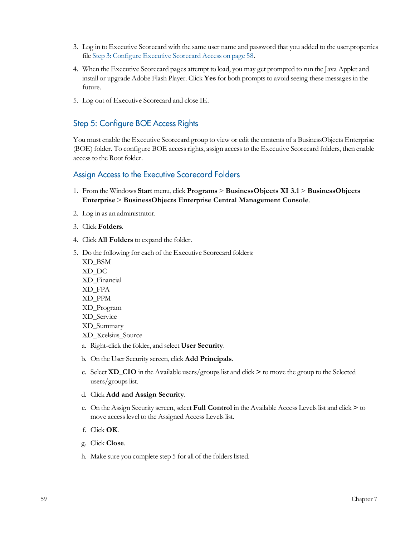- 3. Log in to Executive Scorecard with the same user name and password that you added to the user.properties file [Step](#page-57-1) [3:](#page-57-1) [Configure](#page-57-1) [Executive](#page-57-1) [Scorecard](#page-57-1) [Access](#page-57-1) [on](#page-57-1) [page](#page-57-1) [58](#page-57-1).
- 4. When the Executive Scorecard pages attempt to load, you may get prompted to run the Java Applet and install or upgrade Adobe Flash Player. Click Yes for both prompts to avoid seeing these messages in the future.
- <span id="page-58-0"></span>5. Log out of Executive Scorecard and close IE.

## Step 5: Configure BOE Access Rights

You must enable the Executive Scorecard group to view or edit the contents of a BusinessObjects Enterprise (BOE) folder. To configure BOE access rights, assign access to the Executive Scorecard folders, then enable access to the Root folder.

#### Assign Access to the Executive Scorecard Folders

- 1. From the Windows **Start** menu, click **Programs** > **BusinessObjects XI 3.1** > **BusinessObjects Enterprise** > **BusinessObjects Enterprise Central Management Console**.
- 2. Log in as an administrator.
- 3. Click **Folders**.
- 4. Click **All Folders** to expand the folder.
- 5. Do the following for each of the Executive Scorecard folders: XD\_BSM XD\_DC XD\_Financial XD\_FPA XD\_PPM XD\_Program XD\_Service XD\_Summary XD\_Xcelsius\_Source
	- a. Right-click the folder, and select **User Security**.
	- b. On the User Security screen, click **Add Principals**.
	- c. Select **XD\_CIO** in the Available users/groupslist and click **>** to move the group to the Selected users/groups list.

#### d. Click **Add and Assign Security**.

- e. On the Assign Security screen, select **Full Control** in the Available Access Levelslist and click **>** to move access level to the Assigned Access Levels list.
- f. Click **OK**.
- g. Click **Close**.
- h. Make sure you complete step 5 for all of the folders listed.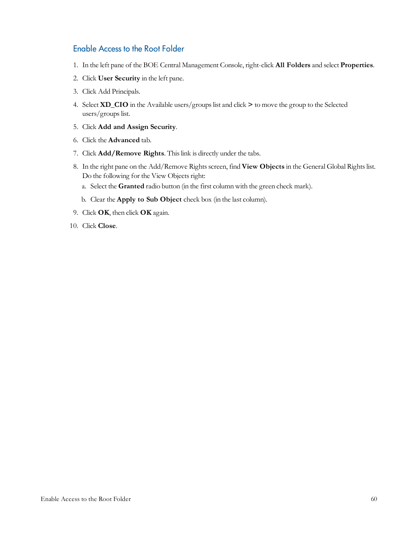### Enable Access to the Root Folder

- 1. In the left pane of the BOE Central Management Console, right-click **All Folders** and select **Properties**.
- 2. Click **User Security** in the left pane.
- 3. Click Add Principals.
- 4. Select **XD\_CIO** in the Available users/groupslist and click **>** to move the group to the Selected users/groups list.
- 5. Click **Add and Assign Security**.
- 6. Click the **Advanced** tab.
- 7. Click **Add/Remove Rights**. Thislink is directly under the tabs.
- 8. In the right pane on the Add/Remove Rights screen, find View Objects in the General Global Rights list. Do the following for the View Objects right:
	- a. Select the **Granted** radio button (in the first column with the green check mark).
	- b. Clear the **Apply to Sub Object** check box (in the last column).
- 9. Click **OK**, then click **OK** again.
- 10. Click **Close**.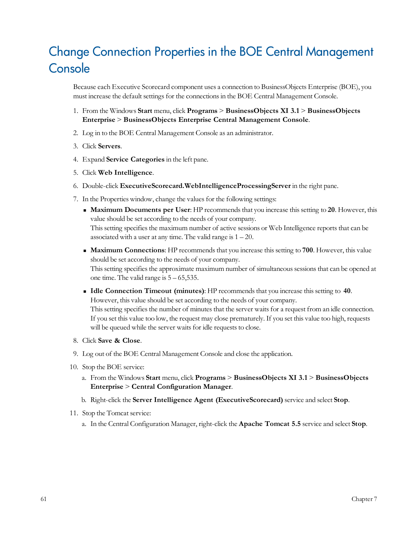# <span id="page-60-0"></span>Change Connection Properties in the BOE Central Management **Console**

Because each Executive Scorecard component uses a connection to BusinessObjects Enterprise (BOE), you must increase the default settings for the connections in the BOE Central Management Console.

- 1. From the Windows **Start** menu, click **Programs** > **BusinessObjects XI 3.1** > **BusinessObjects Enterprise** > **BusinessObjects Enterprise Central Management Console**.
- 2. Log in to the BOE Central Management Console as an administrator.
- 3. Click **Servers**.
- 4. Expand **Service Categories** in the left pane.
- 5. Click **Web Intelligence**.
- 6. Double-click **ExecutiveScorecard.WebIntelligenceProcessingServer** in the right pane.
- 7. In the Properties window, change the valuesfor the following settings:
	- <sup>n</sup> **Maximum Documents per User**: HP recommendsthat you increase thissetting to **20**. However, this value should be set according to the needs of your company. This setting specifies the maximum number of active sessions or Web Intelligence reports that can be associated with a user at any time. The valid range is  $1 - 20$ .
	- **Maximum Connections:** HP recommends that you increase this setting to **700**. However, this value should be set according to the needs of your company. This setting specifies the approximate maximum number of simultaneous sessions that can be opened at

one time. The valid range is  $5 - 65,535$ .

- <sup>n</sup> **Idle Connection Timeout (minutes)**: HP recommendsthat you increase thissetting to **40**. However, this value should be set according to the needs of your company. This setting specifies the number of minutes that the server waits for a request from an idle connection. If you set this value too low, the request may close prematurely. If you set this value too high, requests will be queued while the server waits for idle requests to close.
- 8. Click **Save & Close**.
- 9. Log out of the BOE Central Management Console and close the application.
- 10. Stop the BOE service:
	- a. From the Windows **Start** menu, click **Programs** > **BusinessObjects XI 3.1** > **BusinessObjects Enterprise** > **Central Configuration Manager**.
	- b. Right-click the **Server Intelligence Agent (ExecutiveScorecard)** service and select **Stop**.
- 11. Stop the Tomcat service:
	- a. In the Central Configuration Manager, right-click the **Apache Tomcat 5.5** service and select **Stop**.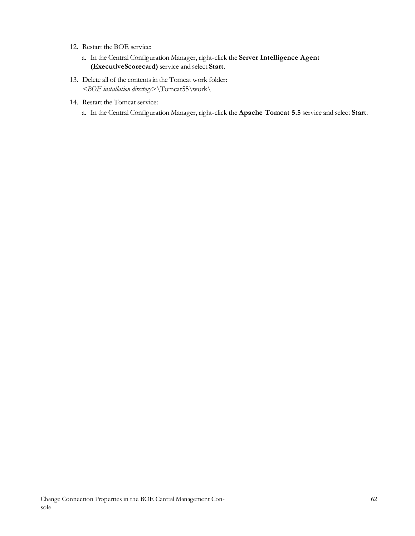- 12. Restart the BOE service:
	- a. In the Central Configuration Manager, right-click the **Server Intelligence Agent (ExecutiveScorecard)** service and select **Start**.
- 13. Delete all of the contentsin the Tomcat work folder: *<BOE installation directory>*\Tomcat55\work\
- 14. Restart the Tomcat service:
	- a. In the Central Configuration Manager, right-click the **Apache Tomcat 5.5** service and select **Start**.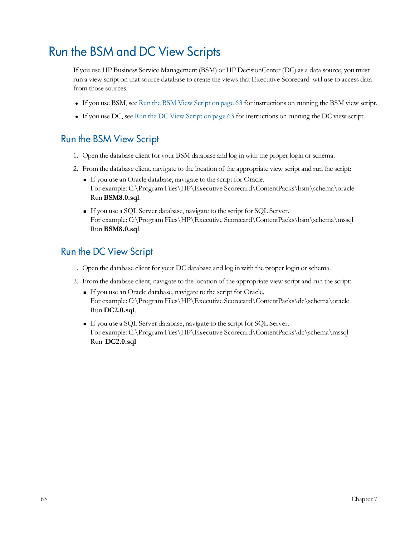# <span id="page-62-0"></span>Run the BSM and DC View Scripts

If you use HP Business Service Management (BSM) or HP DecisionCenter (DC) as a data source, you must run a view script on that source database to create the views that Executive Scorecard will use to access data from those sources.

- <sup>l</sup> If you use BSM, see [Run](#page-62-1) [the](#page-62-1) [BSM](#page-62-1) [View](#page-62-1) [Script](#page-62-1) [on](#page-62-1) [page](#page-62-1) [63](#page-62-1) for instructions on running the BSM view script.
- <sup>l</sup> If you use DC, see [Run](#page-62-2) [the](#page-62-2) [DC](#page-62-2) [View](#page-62-2) [Script](#page-62-2) [on](#page-62-2) [page](#page-62-2) [63](#page-62-2) for instructions on running the DC view script.

## <span id="page-62-1"></span>Run the BSM View Script

- 1. Open the database client for your BSM database and log in with the proper login or schema.
- 2. From the database client, navigate to the location of the appropriate view script and run the script:
	- <sup>n</sup> If you use an Oracle database, navigate to the script for Oracle. For example: C:\Program Files\HP\Executive Scorecard\ContentPacks\bsm\schema\oracle Run **BSM8.0.sql**.
	- <sup>n</sup> If you use a SQL Server database, navigate to the script for SQL Server. For example: C:\Program Files\HP\Executive Scorecard\ContentPacks\bsm\schema\mssql Run **BSM8.0.sql**.

## <span id="page-62-2"></span>Run the DC View Script

- 1. Open the database client for your DC database and log in with the proper login or schema.
- 2. From the database client, navigate to the location of the appropriate view script and run the script:
	- <sup>n</sup> If you use an Oracle database, navigate to the script for Oracle. For example: C:\Program Files\HP\Executive Scorecard\ContentPacks\dc\schema\oracle Run **DC2.0.sql**.
	- <sup>n</sup> If you use a SQL Server database, navigate to the script for SQL Server. For example: C:\Program Files\HP\Executive Scorecard\ContentPacks\dc\schema\mssql Run **DC2.0.sql**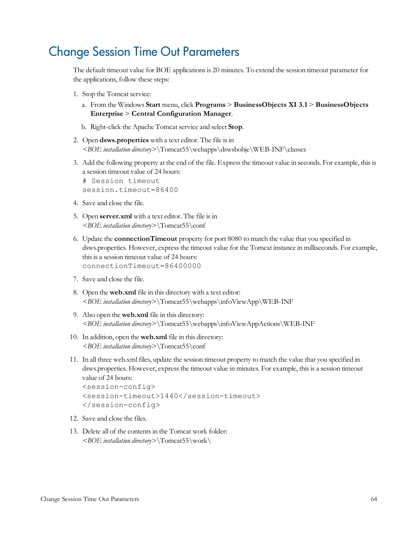# <span id="page-63-0"></span>Change Session Time Out Parameters

The default timeout value for BOE applications is 20 minutes. To extend the session timeout parameter for the applications, follow these steps:

- 1. Stop the Tomcat service:
	- a. From the Windows **Start** menu, click **Programs** > **BusinessObjects XI 3.1** > **BusinessObjects Enterprise** > **Central Configuration Manager**.
	- b. Right-click the Apache Tomcat service and select **Stop**.
- 2. Open **dsws.properties** with a text editor. The file isin *<BOE installation directory>*\Tomcat55\webapps\dswsbobje\WEB-INF\classes
- 3. Add the following property at the end of the file. Expressthe timeout value in seconds. For example, thisis a session timeout value of 24 hours:

# Session timeout session.timeout=86400

- 4. Save and close the file.
- 5. Open **server.xml** with a text editor. The file is in *<BOE installation directory>*\Tomcat55\conf
- 6. Update the **connectionTimeout** property for port 8080 to match the value that you specified in dsws.properties. However, expressthe timeout value for the Tomcat instance in milliseconds. For example, this is a session timeout value of 24 hours: connectionTimeout=86400000
- 7. Save and close the file.
- 8. Open the **web.xml** file in this directory with a text editor: *<BOE installation directory>*\Tomcat55\webapps\infoViewApp\WEB-INF
- 9. Also open the **web.xml** file in this directory: *<BOE installation directory>*\Tomcat55\webapps\infoViewAppActions\WEB-INF
- 10. In addition, open the **web.xml** file in this directory: *<BOE installation directory>*\Tomcat55\conf
- 11. In all three web.xml files, update the session timeout property to match the value that you specified in dsws.properties. However, express the timeout value in minutes. For example, this is a session timeout value of 24 hours:

```
<session-config>
<session-timeout>1440</session-timeout>
</session-config>
```
- 12. Save and close the files.
- 13. Delete all of the contents in the Tomcat work folder: *<BOE installation directory>*\Tomcat55\work\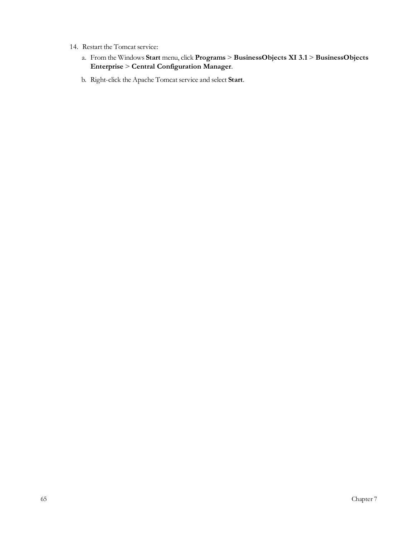- 14. Restart the Tomcat service:
	- a. From the Windows **Start** menu, click **Programs** > **BusinessObjects XI 3.1** > **BusinessObjects Enterprise** > **Central Configuration Manager**.
	- b. Right-click the Apache Tomcat service and select **Start**.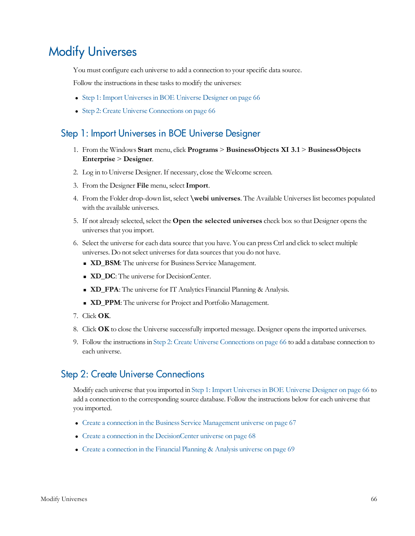# <span id="page-65-0"></span>Modify Universes

You must configure each universe to add a connection to your specific data source.

Follow the instructions in these tasks to modify the universes:

- [Step](#page-65-1) [1:](#page-65-1) [Import](#page-65-1) Universes in [BOE](#page-65-1) [Universe](#page-65-1) [Designer](#page-65-1) [on](#page-65-1) [page](#page-65-1) [66](#page-65-1)
- <span id="page-65-1"></span>• [Step](#page-65-2) [2:](#page-65-2) [Create](#page-65-2) [Universe](#page-65-2) [Connections](#page-65-2) [on](#page-65-2) [page](#page-65-2) [66](#page-65-2)

## Step 1: Import Universes in BOE Universe Designer

- 1. From the Windows **Start** menu, click **Programs** > **BusinessObjects XI 3.1** > **BusinessObjects Enterprise** > **Designer**.
- 2. Log in to Universe Designer. If necessary, close the Welcome screen.
- 3. From the Designer **File** menu, select**Import**.
- 4. From the Folder drop-down list, select **\webi universes**. The Available Universeslist becomes populated with the available universes.
- 5. If not already selected, select the **Open the selected universes** check box so that Designer opensthe universes that you import.
- 6. Select the universe for each data source that you have. You can press Ctrl and click to select multiple universes. Do not select universes for data sources that you do not have.
	- **ND\_BSM**: The universe for Business Service Management.
	- **ND\_DC**: The universe for DecisionCenter.
	- **ND\_FPA**: The universe for IT Analytics Financial Planning & Analysis.
	- **ND\_PPM**: The universe for Project and Portfolio Management.
- 7. Click **OK**.
- 8. Click **OK** to close the Universe successfully imported message. Designer opensthe imported universes.
- 9. Follow the instructionsin [Step](#page-65-2) [2:](#page-65-2) [Create](#page-65-2) [Universe](#page-65-2) [Connections](#page-65-2) [on](#page-65-2) [page](#page-65-2) [66](#page-65-2) to add a database connection to each universe.

## <span id="page-65-2"></span>Step 2: Create Universe Connections

Modify each universe that you imported in [Step](#page-65-1) [1:](#page-65-1) [Import](#page-65-1) [Universesin](#page-65-1) [BOE](#page-65-1) [Universe](#page-65-1) [Designer](#page-65-1) [on](#page-65-1) [page](#page-65-1) [66](#page-65-1) to add a connection to the corresponding source database. Follow the instructions below for each universe that you imported.

- [Create](#page-66-0) [a](#page-66-0) [connection](#page-66-0) [in](#page-66-0) [the](#page-66-0) [Business](#page-66-0) [Service](#page-66-0) [Management](#page-66-0) [universe](#page-66-0) [on](#page-66-0) [page](#page-66-0) [67](#page-66-0)
- [Create](#page-67-0) [a](#page-67-0) [connection](#page-67-0) [in](#page-67-0) [the](#page-67-0) [DecisionCenter](#page-67-0) [universe](#page-67-0) [on](#page-67-0) [page](#page-67-0) [68](#page-67-0)
- [Create](#page-68-0) [a](#page-68-0) [connection](#page-68-0) [in](#page-68-0) [the](#page-68-0) [Financial](#page-68-0) [Planning](#page-68-0) [&](#page-68-0) [Analysis](#page-68-0) [universe](#page-68-0) [on](#page-68-0) [page](#page-68-0) [69](#page-68-0)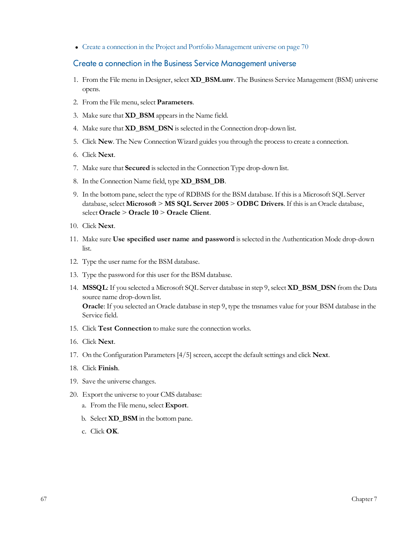<span id="page-66-0"></span>• [Create](#page-69-0) [a](#page-69-0) [connection](#page-69-0) [in](#page-69-0) [the](#page-69-0) [Project](#page-69-0) [and](#page-69-0) [Portfolio](#page-69-0) [Management](#page-69-0) [universe](#page-69-0) [on](#page-69-0) [page](#page-69-0) [70](#page-69-0)

#### Create a connection in the Business Service Management universe

- 1. From the File menu in Designer, select **XD\_BSM.unv**. The Business Service Management (BSM) universe opens.
- 2. From the File menu, select **Parameters**.
- 3. Make sure that **XD\_BSM** appearsin the Name field.
- 4. Make sure that **XD\_BSM\_DSN** isselected in the Connection drop-down list.
- 5. Click **New**. The New Connection Wizard guides you through the processto create a connection.
- 6. Click **Next**.
- 7. Make sure that **Secured** isselected in the Connection Type drop-down list.
- 8. In the Connection Name field, type **XD\_BSM\_DB**.
- 9. In the bottom pane, select the type of RDBMS for the BSM database. If thisis a Microsoft SQL Server database, select **Microsoft** > **MS SQL Server 2005** > **ODBC Drivers**. If thisis an Oracle database, select **Oracle** > **Oracle 10** > **Oracle Client**.
- 10. Click **Next**.
- 11. Make sure **Use specified user name and password** isselected in the Authentication Mode drop-down list.
- 12. Type the user name for the BSM database.
- 13. Type the password for this user for the BSM database.
- 14. **MSSQL**: If you selected a Microsoft SQL Server database in step 9, select **XD\_BSM\_DSN** from the Data source name drop-down list. **Oracle**: If you selected an Oracle database in step 9, type the tnsnames value for your BSM database in the

Service field.

- 15. Click **Test Connection** to make sure the connection works.
- 16. Click **Next**.
- 17. On the Configuration Parameters[4/5] screen, accept the default settings and click **Next**.
- 18. Click **Finish**.
- 19. Save the universe changes.
- 20. Export the universe to your CMS database:
	- a. From the File menu, select **Export**.
	- b. Select **XD\_BSM** in the bottom pane.
	- c. Click **OK**.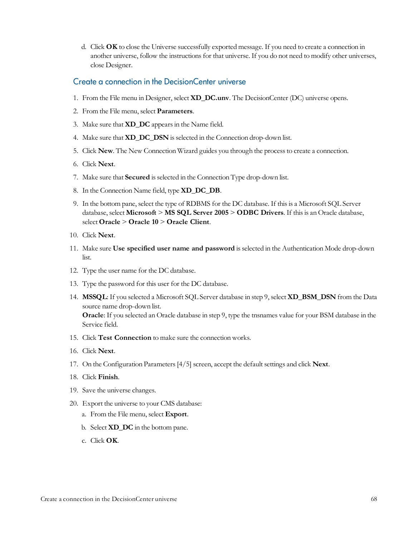d. Click **OK** to close the Universe successfully exported message. If you need to create a connection in another universe, follow the instructions for that universe. If you do not need to modify other universes, close Designer.

#### <span id="page-67-0"></span>Create a connection in the DecisionCenter universe

- 1. From the File menu in Designer, select **XD\_DC.unv**. The DecisionCenter (DC) universe opens.
- 2. From the File menu, select **Parameters**.
- 3. Make sure that **XD\_DC** appearsin the Name field.
- 4. Make sure that **XD\_DC\_DSN** isselected in the Connection drop-down list.
- 5. Click **New**. The New Connection Wizard guides you through the processto create a connection.
- 6. Click **Next**.
- 7. Make sure that **Secured** isselected in the Connection Type drop-down list.
- 8. In the Connection Name field, type **XD\_DC\_DB**.
- 9. In the bottom pane, select the type of RDBMS for the DC database. If thisis a Microsoft SQL Server database, select **Microsoft** > **MS SQL Server 2005** > **ODBC Drivers**. If thisis an Oracle database, select **Oracle** > **Oracle 10** > **Oracle Client**.
- 10. Click **Next**.
- 11. Make sure **Use specified user name and password** isselected in the Authentication Mode drop-down list.
- 12. Type the user name for the DC database.
- 13. Type the password for this user for the DC database.
- 14. **MSSQL**: If you selected a Microsoft SQL Server database in step 9, select **XD\_BSM\_DSN** from the Data source name drop-down list. **Oracle**: If you selected an Oracle database in step 9, type the tnsnames value for your BSM database in the Service field.
- 15. Click **Test Connection** to make sure the connection works.
- 16. Click **Next**.
- 17. On the Configuration Parameters[4/5] screen, accept the default settings and click **Next**.
- 18. Click **Finish**.
- 19. Save the universe changes.
- 20. Export the universe to your CMS database:
	- a. From the File menu, select **Export**.
	- b. Select **XD\_DC** in the bottom pane.
	- c. Click **OK**.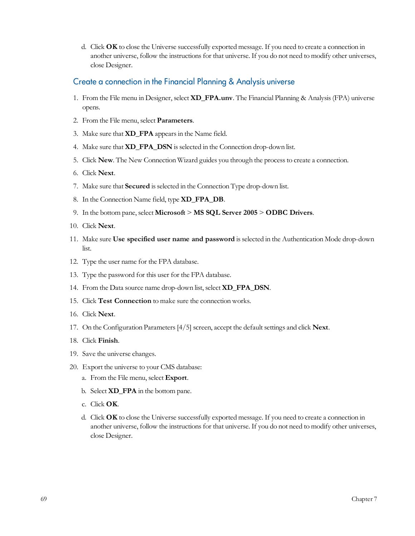d. Click **OK** to close the Universe successfully exported message. If you need to create a connection in another universe, follow the instructions for that universe. If you do not need to modify other universes, close Designer.

#### <span id="page-68-0"></span>Create a connection in the Financial Planning & Analysis universe

- 1. From the File menu in Designer, select **XD\_FPA.unv**. The Financial Planning & Analysis(FPA) universe opens.
- 2. From the File menu, select **Parameters**.
- 3. Make sure that **XD\_FPA** appearsin the Name field.
- 4. Make sure that **XD\_FPA\_DSN** isselected in the Connection drop-down list.
- 5. Click **New**. The New Connection Wizard guides you through the processto create a connection.
- 6. Click **Next**.
- 7. Make sure that **Secured** isselected in the Connection Type drop-down list.
- 8. In the Connection Name field, type **XD\_FPA\_DB**.
- 9. In the bottom pane, select **Microsoft** > **MS SQL Server 2005** > **ODBC Drivers**.
- 10. Click **Next**.
- 11. Make sure **Use specified user name and password** isselected in the Authentication Mode drop-down list.
- 12. Type the user name for the FPA database.
- 13. Type the password for this user for the FPA database.
- 14. From the Data source name drop-down list, select **XD\_FPA\_DSN**.
- 15. Click **Test Connection** to make sure the connection works.
- 16. Click **Next**.
- 17. On the Configuration Parameters[4/5] screen, accept the default settings and click **Next**.
- 18. Click **Finish**.
- 19. Save the universe changes.
- 20. Export the universe to your CMS database:
	- a. From the File menu, select **Export**.
	- b. Select **XD\_FPA** in the bottom pane.
	- c. Click **OK**.
	- d. Click **OK** to close the Universe successfully exported message. If you need to create a connection in another universe, follow the instructions for that universe. If you do not need to modify other universes, close Designer.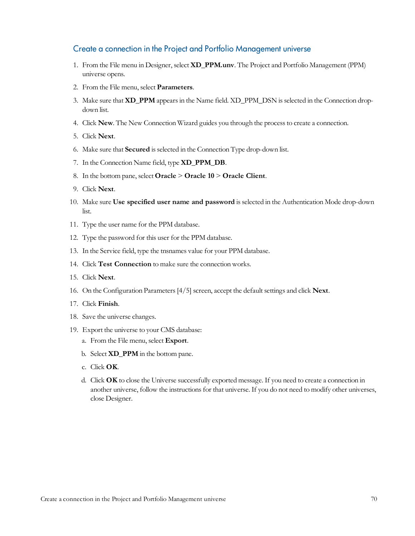#### <span id="page-69-0"></span>Create a connection in the Project and Portfolio Management universe

- 1. From the File menu in Designer, select **XD\_PPM.unv**. The Project and Portfolio Management (PPM) universe opens.
- 2. From the File menu, select **Parameters**.
- 3. Make sure that **XD\_PPM** appearsin the Name field. XD\_PPM\_DSN isselected in the Connection dropdown list.
- 4. Click **New**. The New Connection Wizard guides you through the processto create a connection.
- 5. Click **Next**.
- 6. Make sure that **Secured** isselected in the Connection Type drop-down list.
- 7. In the Connection Name field, type **XD\_PPM\_DB**.
- 8. In the bottom pane, select **Oracle** > **Oracle 10** > **Oracle Client**.
- 9. Click **Next**.
- 10. Make sure **Use specified user name and password** isselected in the Authentication Mode drop-down list.
- 11. Type the user name for the PPM database.
- 12. Type the password for this user for the PPM database.
- 13. In the Service field, type the tnsnames value for your PPM database.
- 14. Click **Test Connection** to make sure the connection works.
- 15. Click **Next**.
- 16. On the Configuration Parameters[4/5] screen, accept the default settings and click **Next**.
- 17. Click **Finish**.
- 18. Save the universe changes.
- 19. Export the universe to your CMS database:
	- a. From the File menu, select **Export**.
	- b. Select **XD\_PPM** in the bottom pane.
	- c. Click **OK**.
	- d. Click **OK** to close the Universe successfully exported message. If you need to create a connection in another universe, follow the instructions for that universe. If you do not need to modify other universes, close Designer.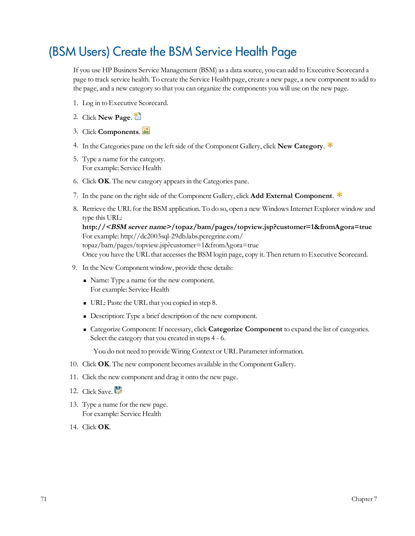# <span id="page-70-0"></span>(BSM Users) Create the BSM Service Health Page

If you use HP Business Service Management (BSM) as a data source, you can add to Executive Scorecard a page to track service health. To create the Service Health page, create a new page, a new component to add to the page, and a new category so that you can organize the components you will use on the new page.

- 1. Log in to Executive Scorecard.
- 2. Click **New Page**.
- 3. Click **Components**.
- 4. In the Categories pane on the left side of the Component Gallery, click **New Category**.
- 5. Type a name for the category. For example: Service Health
- 6. Click **OK**. The new category appearsin the Categories pane.
- 7. In the pane on the right side of the Component Gallery, click **Add External Component**.
- 8. Retrieve the URL for the BSM application. To do so, open a new WindowsInternet Explorer window and type this URL:

**http://<BSM server name>/topaz/bam/pages/topview.jsp?customer=1&fromAgora=true** For example: http://dc2003sql-29db.labs.peregrine.com/ topaz/bam/pages/topview.jsp?customer=1&fromAgora=true Once you have the URL that accessesthe BSM login page, copy it. Then return to Executive Scorecard.

- 9. In the New Component window, provide these details:
	- <sup>n</sup> Name: Type a name for the new component. For example: Service Health
	- <sup>n</sup> URL: Paste the URL that you copied in step 8.
	- <sup>n</sup> Description: Type a brief description of the new component.
	- <sup>n</sup> Categorize Component: If necessary, click **Categorize Component** to expand the list of categories. Select the category that you created in steps 4 - 6.

You do not need to provide Wiring Context or URL Parameter information.

- 10. Click **OK**. The new component becomes available in the Component Gallery.
- 11. Click the new component and drag it onto the new page.
- 12. Click Save.
- 13. Type a name for the new page. For example: Service Health
- 14. Click **OK**.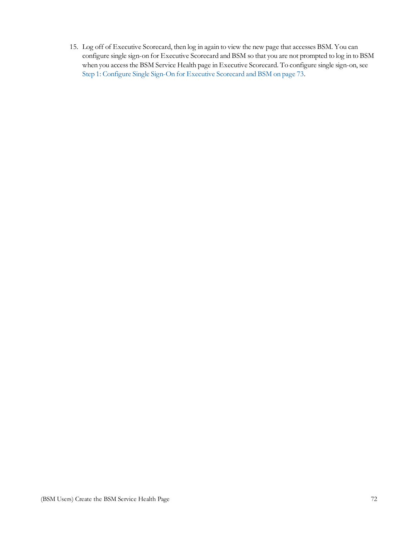15. Log off of Executive Scorecard, then log in again to view the new page that accesses BSM. You can configure single sign-on for Executive Scorecard and BSM so that you are not prompted to log in to BSM when you access the BSM Service Health page in Executive Scorecard. To configure single sign-on, see [Step](#page-72-1) [1:](#page-72-1) [Configure](#page-72-1) [Single](#page-72-1) [Sign-On](#page-72-1) [for](#page-72-1) [Executive](#page-72-1) [Scorecard](#page-72-1) [and](#page-72-1) [BSM](#page-72-1) [on](#page-72-1) [page](#page-72-1) [73](#page-72-1).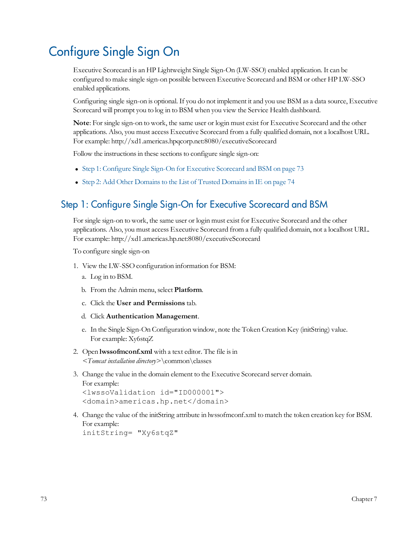# Configure Single Sign On

Executive Scorecard is an HP Lightweight Single Sign-On (LW-SSO) enabled application. It can be configured to make single sign-on possible between Executive Scorecard and BSM or other HP LW-SSO enabled applications.

Configuring single sign-on is optional. If you do not implement it and you use BSM as a data source, Executive Scorecard will prompt you to log in to BSM when you view the Service Health dashboard.

**Note**: For single sign-on to work, the same user or login must exist for Executive Scorecard and the other applications. Also, you must access Executive Scorecard from a fully qualified domain, not a localhost URL. For example: http://xd1.americas.hpqcorp.net:8080/executiveScorecard

Follow the instructions in these sections to configure single sign-on:

- [Step](#page-72-0) [1:](#page-72-0) [Configure](#page-72-0) [Single](#page-72-0) [Sign-On](#page-72-0) [for](#page-72-0) [Executive](#page-72-0) [Scorecard](#page-72-0) [and](#page-72-0) [BSM](#page-72-0) [on](#page-72-0) [page](#page-72-0) [73](#page-72-0)
- [Step](#page-73-0) [2:](#page-73-0) [Add](#page-73-0) [Other](#page-73-0) Domains to [the](#page-73-0) [List](#page-73-0) [of](#page-73-0) [Trusted](#page-73-0) Domains in [IE](#page-73-0) [on](#page-73-0) [page](#page-73-0) [74](#page-73-0)

#### <span id="page-72-0"></span>Step 1: Configure Single Sign-On for Executive Scorecard and BSM

For single sign-on to work, the same user or login must exist for Executive Scorecard and the other applications. Also, you must access Executive Scorecard from a fully qualified domain, not a localhost URL. For example: http://xd1.americas.hp.net:8080/executiveScorecard

To configure single sign-on

- 1. View the LW-SSO configuration information for BSM:
	- a. Log in to BSM.
	- b. From the Admin menu, select **Platform**.
	- c. Click the **User and Permissions** tab.
	- d. Click **Authentication Management**.
	- e. In the Single Sign-On Configuration window, note the Token Creation Key (initString) value. For example: Xy6stqZ
- 2. Open **lwssofmconf.xml** with a text editor. The file is in *<Tomcat installation directory>*\common\classes
- 3. Change the value in the domain element to the Executive Scorecard server domain. For example:

```
<lwssoValidation id="ID000001">
<domain>americas.hp.net</domain>
```
4. Change the value of the initString attribute in lwssofmconf.xml to match the token creation key for BSM. For example: initString= "Xy6stqZ"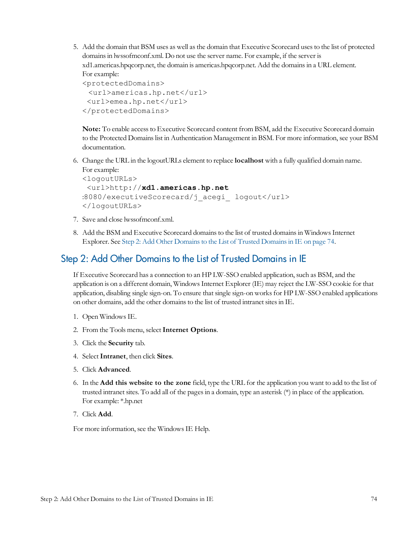5. Add the domain that BSM uses as well as the domain that Executive Scorecard uses to the list of protected domainsin lwssofmconf.xml. Do not use the server name. For example, if the server is xd1.americas.hpqcorp.net, the domain is americas.hpqcorp.net. Add the domainsin a URL element. For example:

```
<protectedDomains>
 <url>americas.hp.net</url>
 <url>emea.hp.net</url>
</protectedDomains>
```
**Note:** To enable accessto Executive Scorecard content from BSM, add the Executive Scorecard domain to the Protected Domains list in Authentication Management in BSM. For more information, see your BSM documentation.

6. Change the URL in the logoutURLs element to replace **localhost** with a fully qualified domain name. For example:

```
<logoutURLs>
 <url>http://xd1.americas.hp.net
:8080/executiveScorecard/j_acegi_ logout</url>
</logoutURLs>
```
- 7. Save and close lwssofmconf.xml.
- 8. Add the BSM and Executive Scorecard domainsto the list of trusted domainsin WindowsInternet Explorer. See [Step](#page-73-0) [2:](#page-73-0) [Add](#page-73-0) [Other](#page-73-0) Domains to [the](#page-73-0) [List](#page-73-0) [of](#page-73-0) [Trusted](#page-73-0) Domains in [IE](#page-73-0) [on](#page-73-0) [page](#page-73-0) [74.](#page-73-0)

#### <span id="page-73-0"></span>Step 2: Add Other Domains to the List of Trusted Domains in IE

If Executive Scorecard has a connection to an HP LW-SSO enabled application, such as BSM, and the application is on a different domain, WindowsInternet Explorer (IE) may reject the LW-SSO cookie for that application, disabling single sign-on. To ensure that single sign-on works for HP LW-SSO enabled applications on other domains, add the other domainsto the list of trusted intranet sitesin IE.

- 1. Open WindowsIE.
- 2. From the Tools menu, select**Internet Options**.
- 3. Click the **Security** tab.
- 4. Select**Intranet**, then click **Sites**.
- 5. Click **Advanced**.
- 6. In the **Add this website to the zone** field, type the URL for the application you want to add to the list of trusted intranet sites. To add all of the pagesin a domain, type an asterisk (\*) in place of the application. For example: \*.hp.net
- 7. Click **Add**.

For more information, see the WindowsIE Help.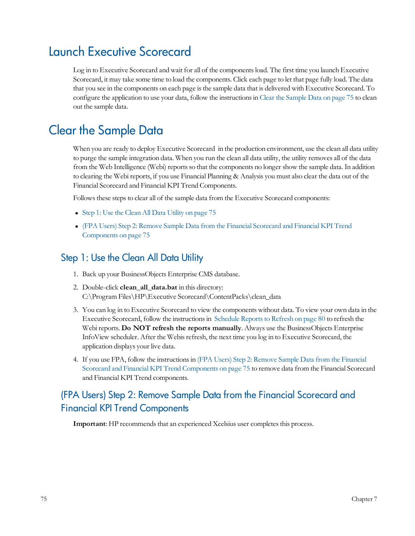### Launch Executive Scorecard

Log in to Executive Scorecard and wait for all of the componentsload. The first time you launch Executive Scorecard, it may take some time to load the components. Click each page to let that page fully load. The data that you see in the components on each page isthe sample data that is delivered with Executive Scorecard. To configure the application to use your data, follow the instructionsin [Clear](#page-74-0) [the](#page-74-0) [Sample](#page-74-0) [Data](#page-74-0) [on](#page-74-0) [page](#page-74-0) [75](#page-74-0) to clean out the sample data.

### <span id="page-74-0"></span>Clear the Sample Data

When you are ready to deploy Executive Scorecard in the production environment, use the clean all data utility to purge the sample integration data. When you run the clean all data utility, the utility removes all of the data from the Web Intelligence (Webi) reportsso that the components no longer show the sample data. In addition to clearing the Webi reports, if you use Financial Planning & Analysis you must also clear the data out of the Financial Scorecard and Financial KPI Trend Components.

Follows these steps to clear all of the sample data from the Executive Scorecard components:

- [Step](#page-74-1) [1:](#page-74-1) [Use](#page-74-1) [the](#page-74-1) [Clean](#page-74-1) [All](#page-74-1) [Data](#page-74-1) [Utility](#page-74-1) [on](#page-74-1) [page](#page-74-1) [75](#page-74-1)
- <sup>l</sup> [\(FPA](#page-74-2) [Users\)](#page-74-2) [Step](#page-74-2) [2:](#page-74-2) [Remove](#page-74-2) [Sample](#page-74-2) [Data](#page-74-2) [from](#page-74-2) [the](#page-74-2) [Financial](#page-74-2) [Scorecard](#page-74-2) [and](#page-74-2) [Financial](#page-74-2) [KPI](#page-74-2) [Trend](#page-74-2) [Components](#page-74-2) [on](#page-74-2) [page](#page-74-2) [75](#page-74-2)

#### <span id="page-74-1"></span>Step 1: Use the Clean All Data Utility

- 1. Back up your BusinessObjects Enterprise CMS database.
- 2. Double-click **clean\_all\_data.bat** in this directory: C:\Program Files\HP\Executive Scorecard\ContentPacks\clean\_data
- 3. You can log in to Executive Scorecard to view the components without data. To view your own data in the Executive Scorecard, follow the instructionsin [Schedule](#page-79-0) [Reportsto](#page-79-0) [Refresh](#page-79-0) [on](#page-79-0) [page](#page-79-0) [80](#page-79-0) to refresh the Webi reports. **Do NOT refresh the reports manually**. Always use the BusinessObjects Enterprise InfoView scheduler. After the Webisrefresh, the next time you log in to Executive Scorecard, the application displays your live data.
- 4. If you use FPA, follow the instructionsin [\(FPA](#page-74-2) [Users\)](#page-74-2) [Step](#page-74-2) [2:](#page-74-2) [Remove](#page-74-2) [Sample](#page-74-2) [Data](#page-74-2) [from](#page-74-2) [the](#page-74-2) [Financial](#page-74-2) [Scorecard](#page-74-2) [and](#page-74-2) [Financial](#page-74-2) [KPI](#page-74-2) [Trend](#page-74-2) [Components](#page-74-2) [on](#page-74-2) [page](#page-74-2) [75](#page-74-2) to remove data from the Financial Scorecard and Financial KPI Trend components.

#### <span id="page-74-2"></span>(FPA Users) Step 2: Remove Sample Data from the Financial Scorecard and Financial KPI Trend Components

**Important**: HP recommends that an experienced Xcelsius user completes this process.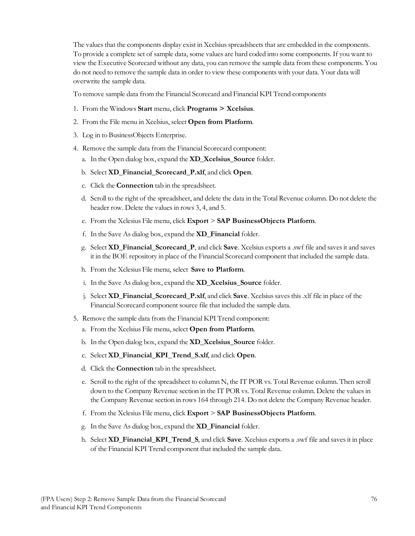The values that the components display exist in Xcelsius spreadsheets that are embedded in the components. To provide a complete set of sample data, some values are hard coded into some components. If you want to view the Executive Scorecard without any data, you can remove the sample data from these components. You do not need to remove the sample data in order to view these components with your data. Your data will overwrite the sample data.

To remove sample data from the Financial Scorecard and Financial KPI Trend components

- 1. From the Windows **Start** menu, click **Programs > Xcelsius**.
- 2. From the File menu inXcelsius, select **Open from Platform**.
- 3. Log in to BusinessObjects Enterprise.
- 4. Remove the sample data from the Financial Scorecard component:
	- a. In the Open dialog box, expand the **XD\_Xcelsius\_Source** folder.
	- b. Select **XD\_Financial\_Scorecard\_P.xlf**, and click **Open**.
	- c. Click the **Connection** tab in the spreadsheet.
	- d. Scroll to the right of the spreadsheet, and delete the data in the Total Revenue column. Do not delete the header row. Delete the values in rows 3, 4, and 5.
	- e. From the Xclesius File menu, click **Export** > **SAP BusinessObjects Platform**.
	- f. In the Save As dialog box, expand the **XD\_Financial** folder.
	- g. Select **XD\_Financial\_Scorecard\_P**, and click **Save**. Xcelsius exports a .swf file and savesit and saves it in the BOE repository in place of the Financial Scorecard component that included the sample data.
	- h. From the Xclesius File menu, select **Save to Platform**.
	- i. In the Save As dialog box, expand the **XD\_Xcelsius\_Source** folder.
	- j. Select **XD\_Financial\_Scorecard\_P.xlf**, and click **Save**. Xcelsiussavesthis.xlf file in place of the Financial Scorecard component source file that included the sample data.
- 5. Remove the sample data from the Financial KPI Trend component:
	- a. From the Xcelsius File menu, select **Open from Platform**.
	- b. In the Open dialog box, expand the **XD\_Xcelsius\_Source** folder.
	- c. Select **XD\_Financial\_KPI\_Trend\_S.xlf**, and click **Open**.
	- d. Click the **Connection** tab in the spreadsheet.
	- e. Scroll to the right of the spreadsheet to column N, the IT POR vs. Total Revenue column. Then scroll down to the Company Revenue section in the IT POR vs. Total Revenue column. Delete the valuesin the Company Revenue section in rows 164 through 214. Do not delete the Company Revenue header.
	- f. From the Xclesius File menu, click **Export** > **SAP BusinessObjects Platform**.
	- g. In the Save As dialog box, expand the **XD\_Financial** folder.
	- h. Select **XD\_Financial\_KPI\_Trend\_S**, and click **Save**. Xcelsius exports a .swf file and savesit in place of the Financial KPI Trend component that included the sample data.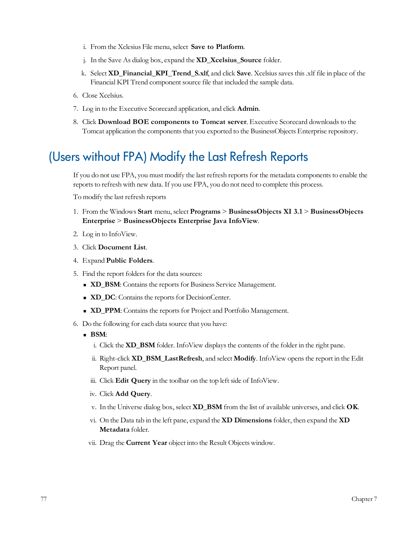- i. From the Xclesius File menu, select **Save to Platform**.
- j. In the Save As dialog box, expand the **XD\_Xcelsius\_Source** folder.
- k. Select **XD\_Financial\_KPI\_Trend\_S.xlf**, and click **Save**. Xcelsiussavesthis.xlf file in place of the Financial KPI Trend component source file that included the sample data.
- 6. Close Xcelsius.
- 7. Log in to the Executive Scorecard application, and click **Admin**.
- 8. Click **Download BOE components to Tomcat server**. Executive Scorecard downloadsto the Tomcat application the components that you exported to the BusinessObjects Enterprise repository.

### (Users without FPA) Modify the Last Refresh Reports

If you do not use FPA, you must modify the last refresh reports for the metadata components to enable the reports to refresh with new data. If you use FPA, you do not need to complete this process.

To modify the last refresh reports

- 1. From the Windows **Start** menu, select **Programs** > **BusinessObjects XI 3.1** > **BusinessObjects Enterprise** > **BusinessObjects Enterprise Java InfoView**.
- 2. Log in to InfoView.
- 3. Click **Document List**.
- 4. Expand **Public Folders**.
- 5. Find the report folders for the data sources:
	- **ND\_BSM**: Contains the reports for Business Service Management.
	- **ND\_DC**: Contains the reports for DecisionCenter.
	- **ND\_PPM:** Contains the reports for Project and Portfolio Management.
- 6. Do the following for each data source that you have:
	- <sup>n</sup> **BSM**:
		- i. Click the **XD\_BSM** folder. InfoView displays the contents of the folder in the right pane.
		- ii. Right-click **XD\_BSM\_LastRefresh**, and select **Modify**. InfoView opensthe report in the Edit Report panel.
		- iii. Click **Edit Query** in the toolbar on the top left side of InfoView.
		- iv. Click **Add Query**.
		- v. In the Universe dialog box, select **XD\_BSM** from the list of available universes, and click **OK**.
		- vi. On the Data tab in the left pane, expand the **XD Dimensions** folder, then expand the **XD Metadata** folder.
		- vii. Drag the **Current Year** object into the Result Objects window.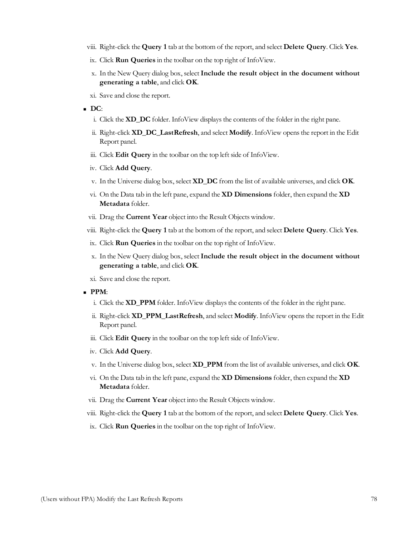- viii. Right-click the **Query 1** tab at the bottom of the report, and select **Delete Query**. Click **Yes**.
- ix. Click **Run Queries** in the toolbar on the top right of InfoView.
- x. In the New Query dialog box, select**Include the result object in the document without generating a table**, and click **OK**.
- xi. Save and close the report.
- <sup>n</sup> **DC**:
	- i. Click the **XD\_DC** folder. InfoView displaysthe contents of the folder in the right pane.
	- ii. Right-click **XD\_DC\_LastRefresh**, and select **Modify**. InfoView opensthe report in the Edit Report panel.
	- iii. Click **Edit Query** in the toolbar on the top left side of InfoView.
	- iv. Click **Add Query**.
	- v. In the Universe dialog box, select **XD\_DC** from the list of available universes, and click **OK**.
	- vi. On the Data tab in the left pane, expand the **XD Dimensions** folder, then expand the **XD Metadata** folder.
	- vii. Drag the **Current Year** object into the Result Objects window.
- viii. Right-click the **Query 1** tab at the bottom of the report, and select **Delete Query**. Click **Yes**.
- ix. Click **Run Queries** in the toolbar on the top right of InfoView.
- x. In the New Query dialog box, select**Include the result object in the document without generating a table**, and click **OK**.
- xi. Save and close the report.
- <sup>n</sup> **PPM**:
	- i. Click the **XD\_PPM** folder. InfoView displays the contents of the folder in the right pane.
	- ii. Right-click **XD\_PPM\_LastRefresh**, and select **Modify**. InfoView opensthe report in the Edit Report panel.
	- iii. Click **Edit Query** in the toolbar on the top left side of InfoView.
	- iv. Click **Add Query**.
	- v. In the Universe dialog box, select **XD\_PPM** from the list of available universes, and click **OK**.
	- vi. On the Data tab in the left pane, expand the **XD Dimensions** folder, then expand the **XD Metadata** folder.
	- vii. Drag the **Current Year** object into the Result Objects window.
- viii. Right-click the **Query 1** tab at the bottom of the report, and select **Delete Query**. Click **Yes**.
- ix. Click **Run Queries** in the toolbar on the top right of InfoView.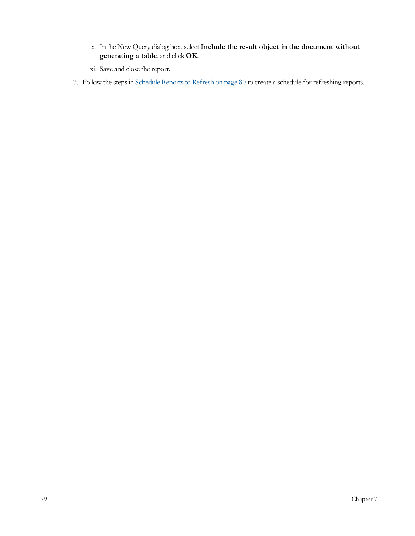- x. In the New Query dialog box, select**Include the result object in the document without generating a table**, and click **OK**.
- xi. Save and close the report.
- 7. Follow the steps in [Schedule](#page-79-0) Reports to [Refresh](#page-79-0) [on](#page-79-0) [page](#page-79-0) [80](#page-79-0) to create a schedule for refreshing reports.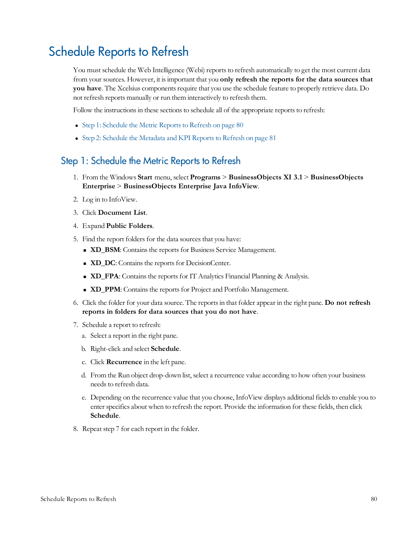### <span id="page-79-0"></span>Schedule Reports to Refresh

You must schedule the Web Intelligence (Webi) reports to refresh automatically to get the most current data from your sources. However, it isimportant that you **only refresh the reports for the data sources that you have**. The Xcelsius components require that you use the schedule feature to properly retrieve data. Do not refresh reports manually or run them interactively to refresh them.

Follow the instructions in these sections to schedule all of the appropriate reports to refresh:

- [Step](#page-79-1) [1:](#page-79-1) [Schedule](#page-79-1) [the](#page-79-1) [Metric](#page-79-1) Reports to [Refresh](#page-79-1) [on](#page-79-1) [page](#page-79-1) [80](#page-79-1)
- [Step](#page-80-0) [2:](#page-80-0) [Schedule](#page-80-0) [the](#page-80-0) [Metadata](#page-80-0) [and](#page-80-0) [KPI](#page-80-0) Reports to [Refresh](#page-80-0) [on](#page-80-0) [page](#page-80-0) [81](#page-80-0)

#### <span id="page-79-1"></span>Step 1: Schedule the Metric Reports to Refresh

- 1. From the Windows **Start** menu, select **Programs** > **BusinessObjects XI 3.1** > **BusinessObjects Enterprise** > **BusinessObjects Enterprise Java InfoView**.
- 2. Log in to InfoView.
- 3. Click **Document List**.
- 4. Expand **Public Folders**.
- 5. Find the report folders for the data sources that you have:
	- **ND\_BSM**: Contains the reports for Business Service Management.
	- **ND\_DC**: Contains the reports for DecisionCenter.
	- **ND\_FPA**: Contains the reports for IT Analytics Financial Planning & Analysis.
	- **xD\_PPM**: Contains the reports for Project and Portfolio Management.
- 6. Click the folder for your data source. The reportsin that folder appear in the right pane. **Do not refresh reports in folders for data sources that you do not have**.
- 7. Schedule a report to refresh:
	- a. Select a report in the right pane.
	- b. Right-click and select **Schedule**.
	- c. Click **Recurrence** in the left pane.
	- d. From the Run object drop-down list, select a recurrence value according to how often your business needs to refresh data.
	- e. Depending on the recurrence value that you choose, InfoView displays additional fields to enable you to enter specifics about when to refresh the report. Provide the information for these fields, then click **Schedule**.
- 8. Repeat step 7 for each report in the folder.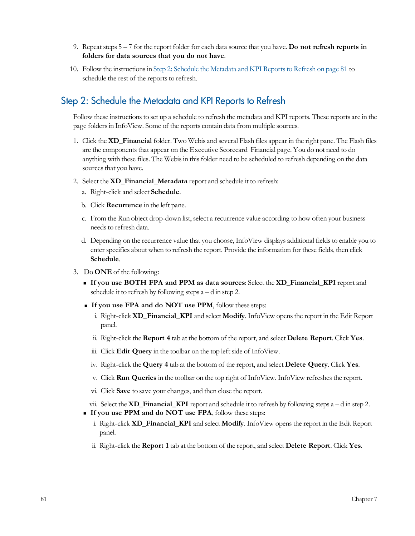- 9. Repeat steps 5 7 for the report folder for each data source that you have. **Do not refresh reports in folders for data sources that you do not have**.
- 10. Follow the instructionsin [Step](#page-80-0) [2:](#page-80-0) [Schedule](#page-80-0) [the](#page-80-0) [Metadata](#page-80-0) [and](#page-80-0) [KPI](#page-80-0) [Reportsto](#page-80-0) [Refresh](#page-80-0) [on](#page-80-0) [page](#page-80-0) [81](#page-80-0) to schedule the rest of the reports to refresh.

#### <span id="page-80-0"></span>Step 2: Schedule the Metadata and KPI Reports to Refresh

Follow these instructions to set up a schedule to refresh the metadata and KPI reports. These reports are in the page folders in InfoView. Some of the reports contain data from multiple sources.

- 1. Click the **XD\_Financial** folder. Two Webis and several Flash files appear in the right pane. The Flash files are the components that appear on the Executive Scorecard Financial page. You do not need to do anything with these files. The Webisin thisfolder need to be scheduled to refresh depending on the data sources that you have.
- 2. Select the **XD\_Financial\_Metadata** report and schedule it to refresh:
	- a. Right-click and select **Schedule**.
	- b. Click **Recurrence** in the left pane.
	- c. From the Run object drop-down list, select a recurrence value according to how often your business needs to refresh data.
	- d. Depending on the recurrence value that you choose, InfoView displays additional fields to enable you to enter specifics about when to refresh the report. Provide the information for these fields, then click **Schedule**.
- 3. Do **ONE** of the following:
	- <sup>n</sup> **If you use BOTH FPA and PPM as data sources**: Select the **XD\_Financial\_KPI** report and schedule it to refresh by following steps a – d in step 2.
	- <sup>n</sup> **If you use FPA and do NOT use PPM**, follow these steps:
		- i. Right-click **XD\_Financial\_KPI** and select **Modify**. InfoView opensthe report in the Edit Report panel.
		- ii. Right-click the **Report 4** tab at the bottom of the report, and select **Delete Report**. Click **Yes**.
		- iii. Click **Edit Query** in the toolbar on the top left side of InfoView.
		- iv. Right-click the **Query 4** tab at the bottom of the report, and select **Delete Query**. Click **Yes**.
		- v. Click **Run Queries** in the toolbar on the top right of InfoView. InfoView refreshesthe report.
		- vi. Click **Save** to save your changes, and then close the report.

vii. Select the **XD\_Financial\_KPI** report and schedule it to refresh by following steps a – d in step 2.

- n **If you use PPM and do NOT use FPA**, follow these steps:
	- i. Right-click **XD\_Financial\_KPI** and select **Modify**. InfoView opensthe report in the Edit Report panel.
	- ii. Right-click the **Report 1** tab at the bottom of the report, and select **Delete Report**. Click **Yes**.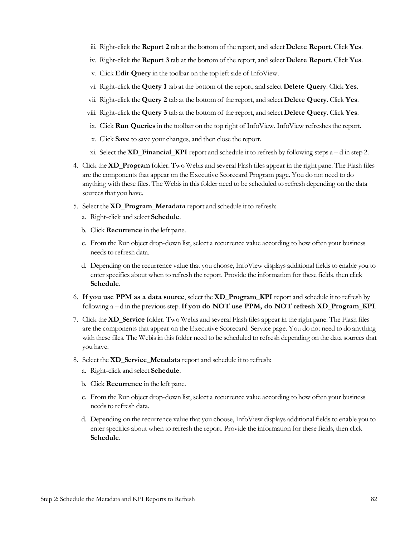- iii. Right-click the **Report 2** tab at the bottom of the report, and select **Delete Report**. Click **Yes**.
- iv. Right-click the **Report 3** tab at the bottom of the report, and select **Delete Report**. Click **Yes**.
- v. Click **Edit Query** in the toolbar on the top left side of InfoView.
- vi. Right-click the **Query 1** tab at the bottom of the report, and select **Delete Query**. Click **Yes**.
- vii. Right-click the **Query 2** tab at the bottom of the report, and select **Delete Query**. Click **Yes**.
- viii. Right-click the **Query 3** tab at the bottom of the report, and select **Delete Query**. Click **Yes**.
- ix. Click **Run Queries** in the toolbar on the top right of InfoView. InfoView refreshesthe report.
- x. Click **Save** to save your changes, and then close the report.
- xi. Select the **XD\_Financial\_KPI** report and schedule it to refresh by following steps a d in step 2.
- 4. Click the **XD\_Program** folder. Two Webis and several Flash files appear in the right pane. The Flash files are the components that appear on the Executive Scorecard Program page. You do not need to do anything with these files. The Webisin thisfolder need to be scheduled to refresh depending on the data sources that you have.
- 5. Select the **XD\_Program\_Metadata** report and schedule it to refresh:
	- a. Right-click and select **Schedule**.
	- b. Click **Recurrence** in the left pane.
	- c. From the Run object drop-down list, select a recurrence value according to how often your business needs to refresh data.
	- d. Depending on the recurrence value that you choose, InfoView displays additional fields to enable you to enter specifics about when to refresh the report. Provide the information for these fields, then click **Schedule**.
- 6. **If you use PPM as a data source**, select the **XD\_Program\_KPI** report and schedule it to refresh by following a – d in the previousstep.**If you do NOT use PPM, do NOT refresh XD\_Program\_KPI**.
- 7. Click the **XD\_Service** folder. Two Webis and several Flash files appear in the right pane. The Flash files are the components that appear on the Executive Scorecard Service page. You do not need to do anything with these files. The Webis in this folder need to be scheduled to refresh depending on the data sources that you have.
- 8. Select the **XD\_Service\_Metadata** report and schedule it to refresh:
	- a. Right-click and select **Schedule**.
	- b. Click **Recurrence** in the left pane.
	- c. From the Run object drop-down list, select a recurrence value according to how often your business needs to refresh data.
	- d. Depending on the recurrence value that you choose, InfoView displays additional fields to enable you to enter specifics about when to refresh the report. Provide the information for these fields, then click **Schedule**.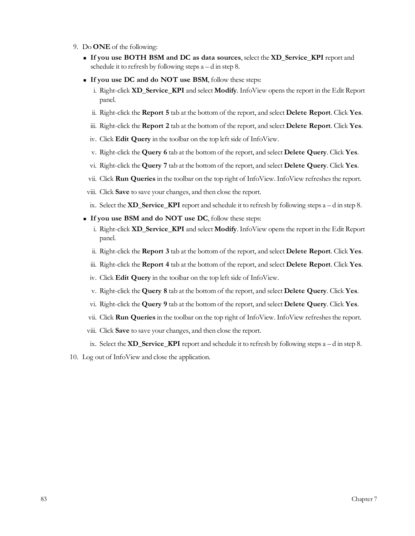- 9. Do **ONE** of the following:
	- <sup>n</sup> **If you use BOTH BSM and DC as data sources**, select the **XD\_Service\_KPI** report and schedule it to refresh by following steps  $a - d$  in step 8.
	- <sup>n</sup> **If you use DC and do NOT use BSM**, follow these steps:
		- i. Right-click **XD\_Service\_KPI** and select **Modify**. InfoView opensthe report in the Edit Report panel.
		- ii. Right-click the **Report 5** tab at the bottom of the report, and select **Delete Report**. Click **Yes**.
		- iii. Right-click the **Report 2** tab at the bottom of the report, and select **Delete Report**. Click **Yes**.
		- iv. Click **Edit Query** in the toolbar on the top left side of InfoView.
		- v. Right-click the **Query 6** tab at the bottom of the report, and select **Delete Query**. Click **Yes**.
		- vi. Right-click the **Query 7** tab at the bottom of the report, and select **Delete Query**. Click **Yes**.
		- vii. Click **Run Queries** in the toolbar on the top right of InfoView. InfoView refreshesthe report.
	- viii. Click **Save** to save your changes, and then close the report.
	- ix. Select the **XD\_Service\_KPI** report and schedule it to refresh by following steps a d in step 8.
	- <sup>n</sup> **If you use BSM and do NOT use DC**, follow these steps:
		- i. Right-click **XD\_Service\_KPI** and select **Modify**. InfoView opensthe report in the Edit Report panel.
		- ii. Right-click the **Report 3** tab at the bottom of the report, and select **Delete Report**. Click **Yes**.
		- iii. Right-click the **Report 4** tab at the bottom of the report, and select **Delete Report**. Click **Yes**.
		- iv. Click **Edit Query** in the toolbar on the top left side of InfoView.
		- v. Right-click the **Query 8** tab at the bottom of the report, and select **Delete Query**. Click **Yes**.
		- vi. Right-click the **Query 9** tab at the bottom of the report, and select **Delete Query**. Click **Yes**.
		- vii. Click **Run Queries** in the toolbar on the top right of InfoView. InfoView refreshesthe report.
	- viii. Click **Save** to save your changes, and then close the report.
	- ix. Select the **XD\_Service\_KPI** report and schedule it to refresh by following steps a d in step 8.
- 10. Log out of InfoView and close the application.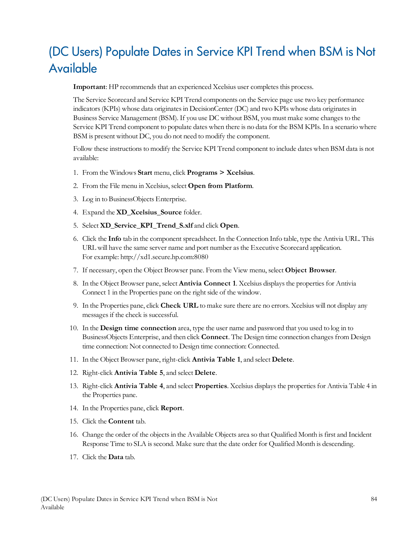# (DC Users) Populate Dates in Service KPI Trend when BSM is Not Available

**Important**: HP recommends that an experienced Xcelsius user completes this process.

The Service Scorecard and Service KPI Trend components on the Service page use two key performance indicators(KPIs) whose data originatesin DecisionCenter (DC) and two KPIs whose data originatesin Business Service Management (BSM). If you use DC without BSM, you must make some changesto the Service KPI Trend component to populate dates when there is no data for the BSM KPIs. In a scenario where BSM is present without DC, you do not need to modify the component.

Follow these instructions to modify the Service KPI Trend component to include dates when BSM data is not available:

- 1. From the Windows **Start** menu, click **Programs > Xcelsius**.
- 2. From the File menu inXcelsius, select **Open from Platform**.
- 3. Log in to BusinessObjects Enterprise.
- 4. Expand the **XD\_Xcelsius\_Source** folder.
- 5. Select **XD\_Service\_KPI\_Trend\_S.xlf** and click **Open**.
- 6. Click the **Info** tab in the component spreadsheet. In the Connection Info table, type the Antivia URL. This URL will have the same server name and port number asthe Executive Scorecard application. For example: http://xd1.secure.hp.com:8080
- 7. If necessary, open the Object Browser pane. From the View menu, select **Object Browser**.
- 8. In the Object Browser pane, select **Antivia Connect 1**. Xcelsius displaysthe propertiesfor Antivia Connect 1 in the Properties pane on the right side of the window.
- 9. In the Properties pane, click **Check URL** to make sure there are no errors. Xcelsius will not display any messages if the check is successful.
- 10. In the **Design time connection** area, type the user name and password that you used to log in to BusinessObjects Enterprise, and then click **Connect**. The Design time connection changesfrom Design time connection: Not connected to Design time connection: Connected.
- 11. In the Object Browser pane, right-click **Antivia Table 1**, and select **Delete**.
- 12. Right-click **Antivia Table 5**, and select **Delete**.
- 13. Right-click **Antivia Table 4**, and select **Properties**. Xcelsius displaysthe propertiesfor Antivia Table 4 in the Properties pane.
- 14. In the Properties pane, click **Report**.
- 15. Click the **Content** tab.
- 16. Change the order of the objectsin the Available Objects area so that Qualified Month isfirst and Incident Response Time to SLA is second. Make sure that the date order for Qualified Month is descending.
- 17. Click the **Data** tab.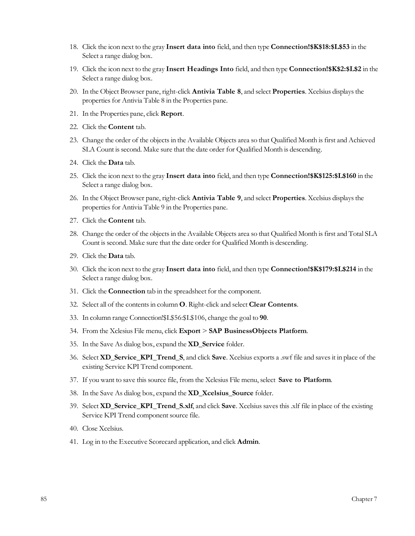- 18. Click the icon next to the gray **Insert data into** field, and then type **Connection!\$K\$18:\$L\$53** in the Select a range dialog box.
- 19. Click the icon next to the gray **Insert Headings Into** field, and then type **Connection!\$K\$2:\$L\$2** in the Select a range dialog box.
- 20. In the Object Browser pane, right-click **Antivia Table 8**, and select **Properties**. Xcelsius displaysthe properties for Antivia Table 8 in the Properties pane.
- 21. In the Properties pane, click **Report**.
- 22. Click the **Content** tab.
- 23. Change the order of the objects in the Available Objects area so that Qualified Month is first and Achieved SLA Count issecond. Make sure that the date order for Qualified Month is descending.
- 24. Click the **Data** tab.
- 25. Click the icon next to the gray **Insert data into** field, and then type **Connection!\$K\$125:\$L\$160** in the Select a range dialog box.
- 26. In the Object Browser pane, right-click **Antivia Table 9**, and select **Properties**. Xcelsius displaysthe properties for Antivia Table 9 in the Properties pane.
- 27. Click the **Content** tab.
- 28. Change the order of the objects in the Available Objects area so that Qualified Month is first and Total SLA Count is second. Make sure that the date order for Qualified Month is descending.
- 29. Click the **Data** tab.
- 30. Click the icon next to the gray **Insert data into** field, and then type **Connection!\$K\$179:\$L\$214** in the Select a range dialog box.
- 31. Click the **Connection** tab in the spreadsheet for the component.
- 32. Select all of the contentsin column **O**. Right-click and select **Clear Contents**.
- 33. In column range Connection!\$L\$56:\$L\$106, change the goal to **90**.
- 34. From the Xclesius File menu, click **Export** > **SAP BusinessObjects Platform**.
- 35. In the Save As dialog box, expand the **XD\_Service** folder.
- 36. Select **XD\_Service\_KPI\_Trend\_S**, and click **Save**. Xcelsius exports a .swf file and savesit in place of the existing Service KPI Trend component.
- 37. If you want to save thissource file, from the Xclesius File menu, select **Save to Platform**.
- 38. In the Save As dialog box, expand the **XD\_Xcelsius\_Source** folder.
- 39. Select **XD\_Service\_KPI\_Trend\_S.xlf**, and click **Save**. Xcelsiussavesthis.xlf file in place of the existing Service KPI Trend component source file.
- 40. Close Xcelsius.
- 41. Log in to the Executive Scorecard application, and click **Admin**.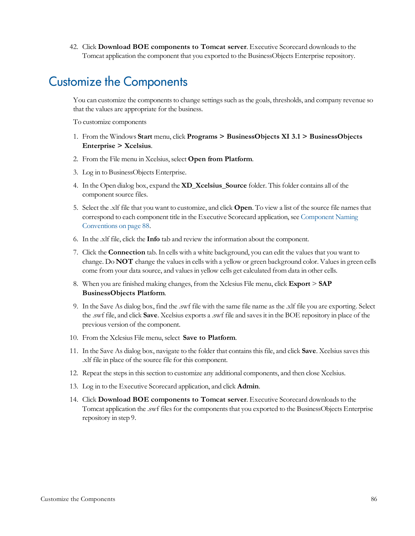42. Click **Download BOE components to Tomcat server**. Executive Scorecard downloadsto the Tomcat application the component that you exported to the BusinessObjects Enterprise repository.

### Customize the Components

You can customize the components to change settings such as the goals, thresholds, and company revenue so that the values are appropriate for the business.

To customize components

- 1. From the Windows **Start** menu, click **Programs > BusinessObjects XI 3.1 > BusinessObjects Enterprise > Xcelsius**.
- 2. From the File menu inXcelsius, select **Open from Platform**.
- 3. Log in to BusinessObjects Enterprise.
- 4. In the Open dialog box, expand the **XD\_Xcelsius\_Source** folder. Thisfolder contains all of the component source files.
- 5. Select the .xlf file that you want to customize, and click **Open**. To view a list of the source file namesthat correspond to each component title in the Executive Scorecard application, see [Component](#page-87-0) [Naming](#page-87-0) [Conventions](#page-87-0) [on](#page-87-0) [page](#page-87-0) [88](#page-87-0).
- 6. In the .xlf file, click the **Info** tab and review the information about the component.
- 7. Click the **Connection** tab. In cells with a white background, you can edit the valuesthat you want to change. Do **NOT** change the valuesin cells with a yellow or green background color. Valuesin green cells come from your data source, and valuesin yellow cells get calculated from data in other cells.
- 8. When you are finished making changes, from the Xclesius File menu, click **Export** > **SAP BusinessObjects Platform**.
- 9. In the Save As dialog box, find the .swf file with the same file name asthe .xlf file you are exporting. Select the .swf file, and click **Save**. Xcelsius exports a .swf file and savesit in the BOE repository in place of the previous version of the component.
- 10. From the Xclesius File menu, select **Save to Platform**.
- 11. In the Save As dialog box, navigate to the folder that containsthisfile, and click **Save**. Xcelsiussavesthis .xlf file in place of the source file for this component.
- 12. Repeat the stepsin thissection to customize any additional components, and then close Xcelsius.
- 13. Log in to the Executive Scorecard application, and click **Admin**.
- 14. Click **Download BOE components to Tomcat server**. Executive Scorecard downloadsto the Tomcat application the .swf files for the components that you exported to the BusinessObjects Enterprise repository in step 9.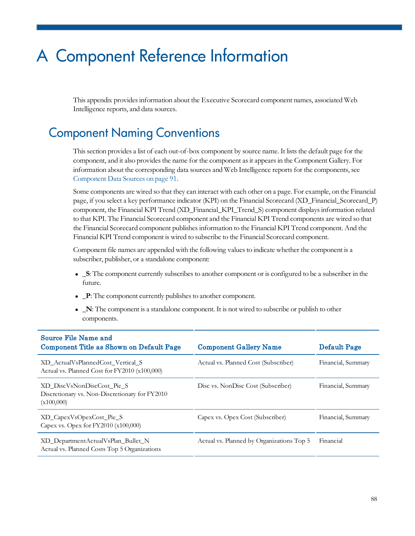# A Component Reference Information

This appendix provides information about the Executive Scorecard component names, associated Web Intelligence reports, and data sources.

### <span id="page-87-0"></span>Component Naming Conventions

This section provides a list of each out-of-box component by source name. It lists the default page for the component, and it also provides the name for the component as it appears in the Component Gallery. For information about the corresponding data sources and Web Intelligence reportsfor the components, see [Component](#page-90-0) [Data](#page-90-0) [Sources](#page-90-0) [on](#page-90-0) [page](#page-90-0) [91](#page-90-0).

Some components are wired so that they can interact with each other on a page. For example, on the Financial page, if you select a key performance indicator (KPI) on the Financial Scorecard (XD\_Financial\_Scorecard\_P) component, the Financial KPI Trend (XD\_Financial\_KPI\_Trend\_S) component displaysinformation related to that KPI. The Financial Scorecard component and the Financial KPI Trend components are wired so that the Financial Scorecard component publishesinformation to the Financial KPI Trend component. And the Financial KPI Trend component is wired to subscribe to the Financial Scorecard component.

Component file names are appended with the following valuesto indicate whether the component is a subscriber, publisher, or a standalone component:

- S: The component currently subscribes to another component or is configured to be a subscriber in the future.
- $\mathbf{P}$ : The component currently publishes to another component.
- **.**  $\blacksquare$  **N**: The component is a standalone component. It is not wired to subscribe or publish to other components.

| <b>Component Gallery Name</b>             | Default Page       |
|-------------------------------------------|--------------------|
| Actual vs. Planned Cost (Subscriber)      | Financial, Summary |
| Disc vs. NonDisc Cost (Subscriber)        | Financial, Summary |
| Capex vs. Opex Cost (Subscriber)          | Financial, Summary |
| Actual vs. Planned by Organizations Top 5 | Financial          |
|                                           |                    |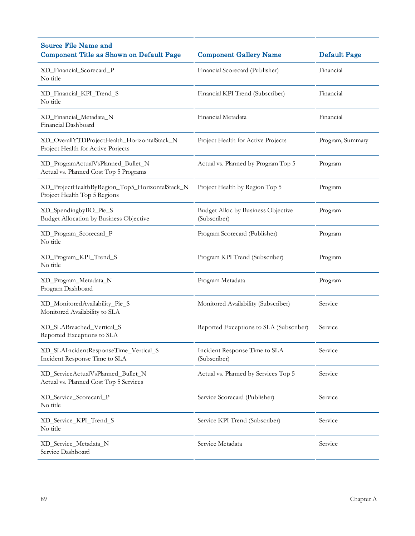| <b>Source File Name and</b><br><b>Component Title as Shown on Default Page</b>     | <b>Component Gallery Name</b>                      | <b>Default Page</b> |
|------------------------------------------------------------------------------------|----------------------------------------------------|---------------------|
| XD_Financial_Scorecard_P<br>No title                                               | Financial Scorecard (Publisher)                    | Financial           |
| XD_Financial_KPI_Trend_S<br>No title                                               | Financial KPI Trend (Subscriber)                   | Financial           |
| XD_Financial_Metadata_N<br>Financial Dashboard                                     | Financial Metadata                                 | Financial           |
| XD_OverallYTDProjectHealth_HorizontalStack_N<br>Project Health for Active Porjects | Project Health for Active Projects                 | Program, Summary    |
| XD_ProgramActualVsPlanned_Bullet_N<br>Actual vs. Planned Cost Top 5 Programs       | Actual vs. Planned by Program Top 5                | Program             |
| XD_ProjectHealthByRegion_Top5_HorizontalStack_N<br>Project Health Top 5 Regions    | Project Health by Region Top 5                     | Program             |
| XD_SpendingbyBO_Pie_S<br>Budget Allocation by Business Objective                   | Budget Alloc by Business Objective<br>(Subscriber) | Program             |
| XD_Program_Scorecard_P<br>No title                                                 | Program Scorecard (Publisher)                      | Program             |
| XD_Program_KPI_Trend_S<br>No title                                                 | Program KPI Trend (Subscriber)                     | Program             |
| XD_Program_Metadata_N<br>Program Dashboard                                         | Program Metadata                                   | Program             |
| XD_MonitoredAvailability_Pie_S<br>Monitored Availability to SLA                    | Monitored Availability (Subscriber)                | Service             |
| XD_SLABreached_Vertical_S<br>Reported Exceptions to SLA                            | Reported Exceptions to SLA (Subscriber)            | Service             |
| XD_SLAIncidentResponseTime_Vertical_S<br>Incident Response Time to SLA             | Incident Response Time to SLA<br>(Subscriber)      | Service             |
| XD_ServiceActualVsPlanned_Bullet_N<br>Actual vs. Planned Cost Top 5 Services       | Actual vs. Planned by Services Top 5               | Service             |
| XD_Service_Scorecard_P<br>No title                                                 | Service Scorecard (Publisher)                      | Service             |
| XD_Service_KPI_Trend_S<br>No title                                                 | Service KPI Trend (Subscriber)                     | Service             |
| XD_Service_Metadata_N<br>Service Dashboard                                         | Service Metadata                                   | Service             |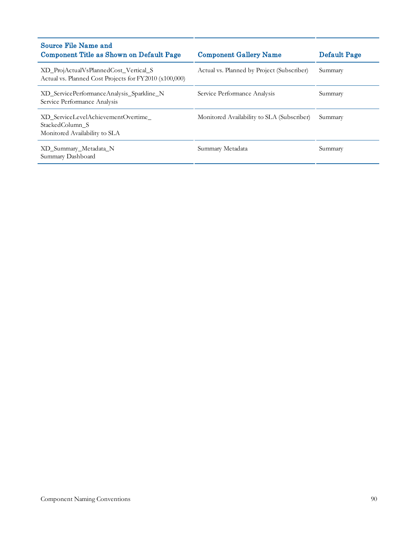| Source File Name and<br>Component Title as Shown on Default Page                                | <b>Component Gallery Name</b>              | <b>Default Page</b> |
|-------------------------------------------------------------------------------------------------|--------------------------------------------|---------------------|
| XD ProjActualVsPlannedCost Vertical S<br>Actual vs. Planned Cost Projects for FY2010 (x100,000) | Actual vs. Planned by Project (Subscriber) | Summary             |
| XD ServicePerformanceAnalysis Sparkline N<br>Service Performance Analysis                       | Service Performance Analysis               | Summary             |
| XD ServiceLevelAchievementOvertime<br>StackedColumn S<br>Monitored Availability to SLA          | Monitored Availability to SLA (Subscriber) | Summary             |
| XD_Summary_Metadata_N<br>Summary Dashboard                                                      | Summary Metadata                           | Summary             |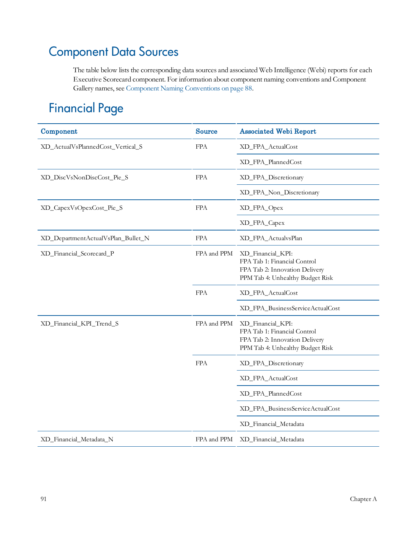## <span id="page-90-0"></span>Component Data Sources

The table below lists the corresponding data sources and associated Web Intelligence (Webi) reports for each Executive Scorecard component. For information about component naming conventions and Component Gallery names, see [Component](#page-87-0) [Naming](#page-87-0) [Conventions](#page-87-0) [on](#page-87-0) [page](#page-87-0) [88](#page-87-0).

### Financial Page

| Component                          | <b>Source</b> | <b>Associated Webi Report</b>                                                                                           |
|------------------------------------|---------------|-------------------------------------------------------------------------------------------------------------------------|
| XD_ActualVsPlannedCost_Vertical_S  | <b>FPA</b>    | XD_FPA_ActualCost                                                                                                       |
|                                    |               | XD_FPA_PlannedCost                                                                                                      |
| XD_DiscVsNonDiscCost_Pie_S         | <b>FPA</b>    | XD_FPA_Discretionary                                                                                                    |
|                                    |               | XD_FPA_Non_Discretionary                                                                                                |
| XD_CapexVsOpexCost_Pie_S           | <b>FPA</b>    | XD_FPA_Opex                                                                                                             |
|                                    |               | XD_FPA_Capex                                                                                                            |
| XD_DepartmentActualVsPlan_Bullet_N | <b>FPA</b>    | XD_FPA_ActualvsPlan                                                                                                     |
| XD_Financial_Scorecard_P           | FPA and PPM   | XD_Financial_KPI:<br>FPA Tab 1: Financial Control<br>FPA Tab 2: Innovation Delivery<br>PPM Tab 4: Unhealthy Budget Risk |
|                                    | <b>FPA</b>    | XD_FPA_ActualCost                                                                                                       |
|                                    |               | XD_FPA_BusinessServiceActualCost                                                                                        |
| XD_Financial_KPI_Trend_S           | FPA and PPM   | XD_Financial_KPI:<br>FPA Tab 1: Financial Control<br>FPA Tab 2: Innovation Delivery<br>PPM Tab 4: Unhealthy Budget Risk |
|                                    | <b>FPA</b>    | XD_FPA_Discretionary                                                                                                    |
|                                    |               | XD_FPA_ActualCost                                                                                                       |
|                                    |               | XD_FPA_PlannedCost                                                                                                      |
|                                    |               | XD_FPA_BusinessServiceActualCost                                                                                        |
|                                    |               | XD_Financial_Metadata                                                                                                   |
| XD_Financial_Metadata_N            | FPA and PPM   | XD_Financial_Metadata                                                                                                   |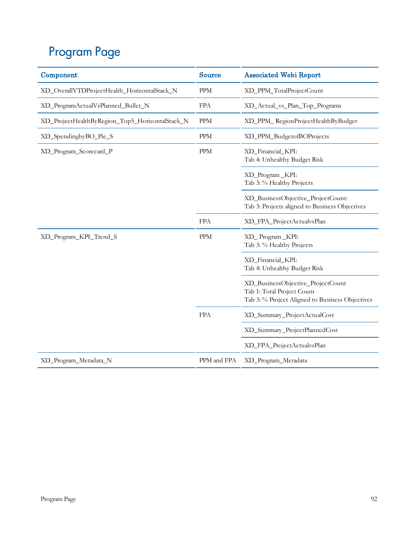# Program Page

| Component                                       | <b>Source</b> | <b>Associated Webi Report</b>                                                                                      |
|-------------------------------------------------|---------------|--------------------------------------------------------------------------------------------------------------------|
| XD_OverallYTDProjectHealth_HorizontalStack_N    | <b>PPM</b>    | XD_PPM_TotalProjectCount                                                                                           |
| XD_ProgramActualVsPlanned_Bullet_N              | <b>FPA</b>    | XD_Actual_vs_Plan_Top_Programs                                                                                     |
| XD_ProjectHealthByRegion_Top5_HorizontalStack_N | <b>PPM</b>    | XD_PPM_RegionProjectHealthByBudget                                                                                 |
| XD_SpendingbyBO_Pie_S                           | <b>PPM</b>    | XD_PPM_BudgetofBOProjects                                                                                          |
| XD_Program_Scorecard_P                          | <b>PPM</b>    | XD_Financial_KPI:<br>Tab 4: Unhealthy Budget Risk                                                                  |
|                                                 |               | XD_Program_KPI:<br>Tab 3: % Healthy Projects                                                                       |
|                                                 |               | XD_BusinessObjective_ProjectCount:<br>Tab 3: Projects aligned to Business Objectives                               |
|                                                 | <b>FPA</b>    | XD_FPA_ProjectActualvsPlan                                                                                         |
| XD_Program_KPI_Trend_S                          | <b>PPM</b>    | XD_Program_KPI:<br>Tab 3: % Healthy Projects                                                                       |
|                                                 |               | XD_Financial_KPI:<br>Tab 4: Unhealthy Budget Risk                                                                  |
|                                                 |               | XD_BusinessObjective_ProjectCount<br>Tab 1: Total Project Count<br>Tab 3: % Project Aligned to Business Objectives |
|                                                 | <b>FPA</b>    | XD_Summary_ProjectActualCost                                                                                       |
|                                                 |               | XD_Summary_ProjectPlannedCost                                                                                      |
|                                                 |               | XD_FPA_ProjectActualvsPlan                                                                                         |
| XD_Program_Metadata_N                           | PPM and FPA   | XD_Program_Metadata                                                                                                |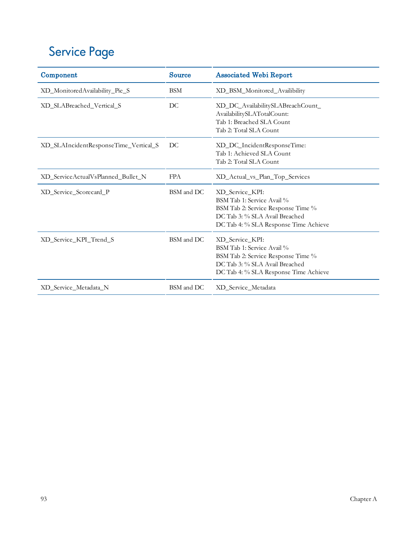# Service Page

| Component                             | <b>Source</b> | <b>Associated Webi Report</b>                                                                                                                                  |
|---------------------------------------|---------------|----------------------------------------------------------------------------------------------------------------------------------------------------------------|
| XD_MonitoredAvailability_Pie_S        | <b>BSM</b>    | XD_BSM_Monitored_Availibility                                                                                                                                  |
| XD_SLABreached_Vertical_S             | DC            | XD_DC_AvailabilitySLABreachCount_<br>AvailabilitySLATotalCount:<br>Tab 1: Breached SLA Count<br>Tab 2: Total SLA Count                                         |
| XD_SLAIncidentResponseTime_Vertical_S | DC            | XD_DC_IncidentResponseTime:<br>Tab 1: Achieved SLA Count<br>Tab 2: Total SLA Count                                                                             |
| XD_ServiceActualVsPlanned_Bullet_N    | <b>FPA</b>    | XD_Actual_vs_Plan_Top_Services                                                                                                                                 |
| XD_Service_Scorecard_P                | BSM and DC    | XD Service KPI:<br>BSM Tab 1: Service Avail %<br>BSM Tab 2: Service Response Time %<br>DC Tab 3: % SLA Avail Breached<br>DC Tab 4: % SLA Response Time Achieve |
| XD Service KPI Trend S                | BSM and DC    | XD Service KPI:<br>BSM Tab 1: Service Avail %<br>BSM Tab 2: Service Response Time %<br>DC Tab 3: % SLA Avail Breached<br>DC Tab 4: % SLA Response Time Achieve |
| XD Service Metadata N                 | BSM and DC    | XD_Service_Metadata                                                                                                                                            |